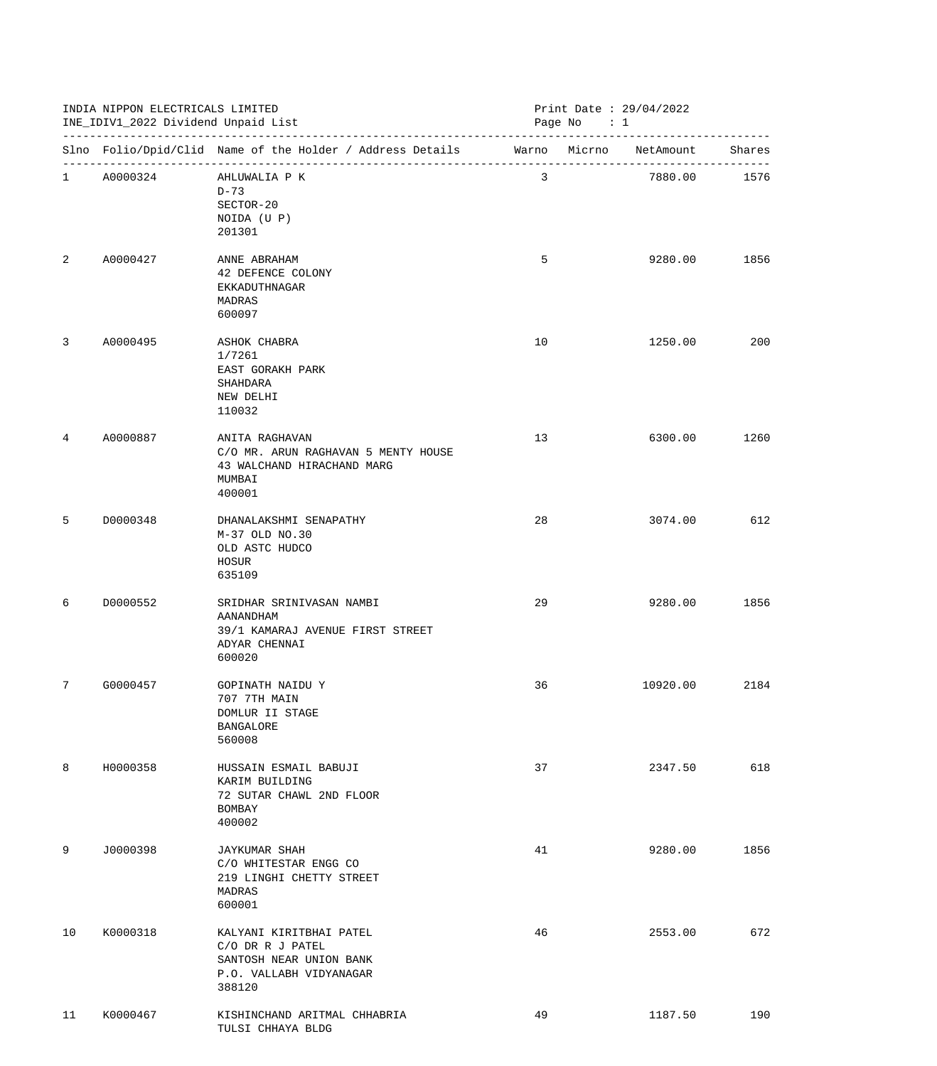| INDIA NIPPON ELECTRICALS LIMITED<br>INE_IDIV1_2022 Dividend Unpaid List |            | Print Date : 29/04/2022<br>Page No $: 1$                                                                    |    |          |              |
|-------------------------------------------------------------------------|------------|-------------------------------------------------------------------------------------------------------------|----|----------|--------------|
|                                                                         |            | Slno Folio/Dpid/Clid Name of the Holder / Address Details Marno Micrno NetAmount Shares                     |    |          |              |
|                                                                         | 1 A0000324 | AHLUWALIA P K<br>$D-73$<br>SECTOR-20<br>NOIDA (U P)<br>201301                                               | 3  |          | 7880.00 1576 |
| 2                                                                       | A0000427   | ANNE ABRAHAM<br>42 DEFENCE COLONY<br>EKKADUTHNAGAR<br>MADRAS<br>600097                                      | 5  | 9280.00  | 1856         |
| 3                                                                       | A0000495   | ASHOK CHABRA<br>1/7261<br>EAST GORAKH PARK<br>SHAHDARA<br>NEW DELHI<br>110032                               | 10 | 1250.00  | 200          |
| 4                                                                       | A0000887   | ANITA RAGHAVAN<br>C/O MR. ARUN RAGHAVAN 5 MENTY HOUSE<br>43 WALCHAND HIRACHAND MARG<br>MUMBAI<br>400001     | 13 | 6300.00  | 1260         |
| 5                                                                       | D0000348   | DHANALAKSHMI SENAPATHY<br>M-37 OLD NO.30<br>OLD ASTC HUDCO<br>HOSUR<br>635109                               | 28 | 3074.00  | 612          |
| 6                                                                       | D0000552   | SRIDHAR SRINIVASAN NAMBI<br>AANANDHAM<br>39/1 KAMARAJ AVENUE FIRST STREET<br>ADYAR CHENNAI<br>600020        | 29 | 9280.00  | 1856         |
| 7                                                                       | G0000457   | GOPINATH NAIDU Y<br>707 7TH MAIN<br>DOMLUR II STAGE<br><b>BANGALORE</b><br>560008                           | 36 | 10920.00 | 2184         |
| 8                                                                       | H0000358   | HUSSAIN ESMAIL BABUJI<br>KARIM BUILDING<br>72 SUTAR CHAWL 2ND FLOOR<br>BOMBAY<br>400002                     | 37 | 2347.50  | 618          |
| 9                                                                       | J0000398   | <b>JAYKUMAR SHAH</b><br>C/O WHITESTAR ENGG CO<br>219 LINGHI CHETTY STREET<br>MADRAS<br>600001               | 41 | 9280.00  | 1856         |
| 10                                                                      | K0000318   | KALYANI KIRITBHAI PATEL<br>C/O DR R J PATEL<br>SANTOSH NEAR UNION BANK<br>P.O. VALLABH VIDYANAGAR<br>388120 | 46 | 2553.00  | 672          |
| 11                                                                      | K0000467   | KISHINCHAND ARITMAL CHHABRIA<br>TULSI CHHAYA BLDG                                                           | 49 | 1187.50  | 190          |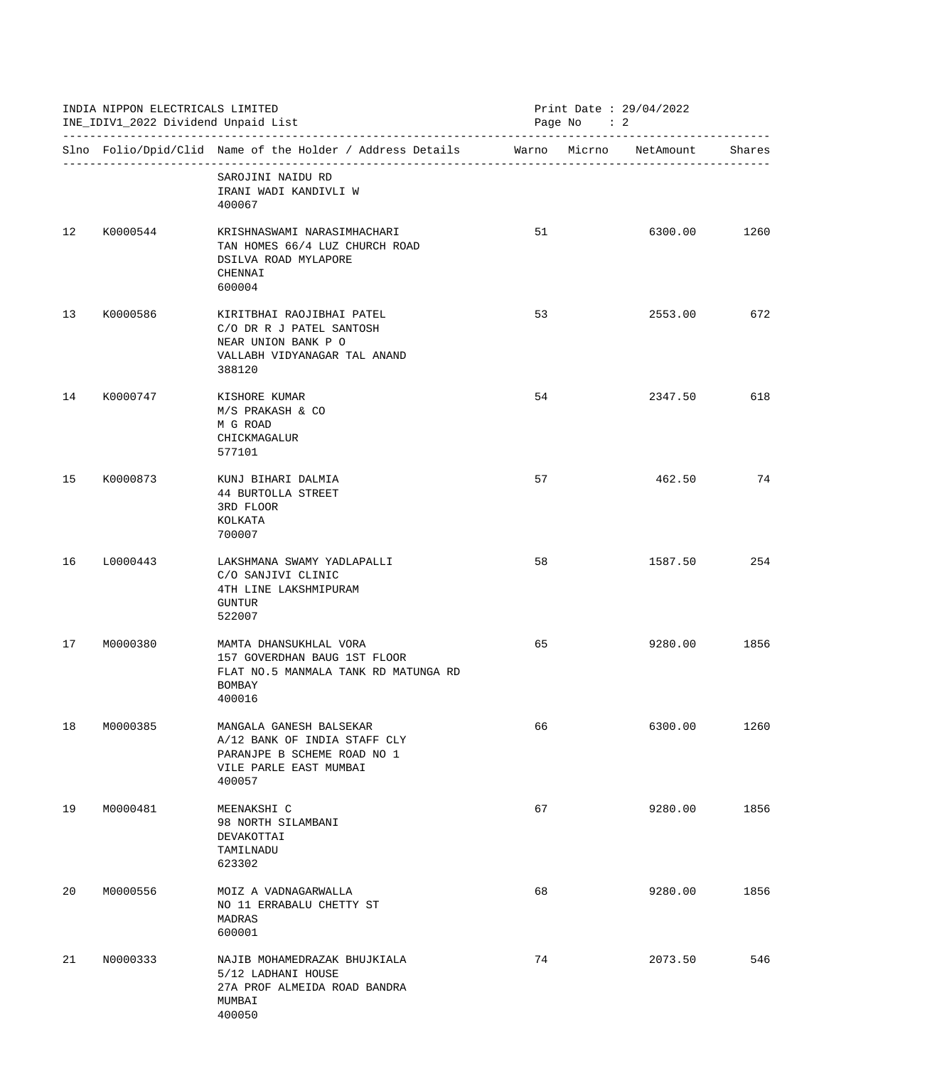|    | INDIA NIPPON ELECTRICALS LIMITED<br>INE_IDIV1_2022 Dividend Unpaid List |                                                                                                                            | Print Date: 29/04/2022<br>Page No : 2 |  |         |        |
|----|-------------------------------------------------------------------------|----------------------------------------------------------------------------------------------------------------------------|---------------------------------------|--|---------|--------|
|    |                                                                         | Slno Folio/Dpid/Clid Name of the Holder / Address Details Marno Micrno NetAmount                                           |                                       |  |         | Shares |
|    |                                                                         | SAROJINI NAIDU RD<br>IRANI WADI KANDIVLI W<br>400067                                                                       |                                       |  |         |        |
| 12 | K0000544                                                                | KRISHNASWAMI NARASIMHACHARI<br>TAN HOMES 66/4 LUZ CHURCH ROAD<br>DSILVA ROAD MYLAPORE<br>CHENNAI<br>600004                 | 51                                    |  | 6300.00 | 1260   |
| 13 | K0000586                                                                | KIRITBHAI RAOJIBHAI PATEL<br>C/O DR R J PATEL SANTOSH<br>NEAR UNION BANK P O<br>VALLABH VIDYANAGAR TAL ANAND<br>388120     | 53                                    |  | 2553.00 | 672    |
| 14 | K0000747                                                                | KISHORE KUMAR<br>M/S PRAKASH & CO<br>M G ROAD<br>CHICKMAGALUR<br>577101                                                    | 54                                    |  | 2347.50 | 618    |
| 15 | K0000873                                                                | KUNJ BIHARI DALMIA<br>44 BURTOLLA STREET<br>3RD FLOOR<br>KOLKATA<br>700007                                                 | 57                                    |  | 462.50  | 74     |
| 16 | L0000443                                                                | LAKSHMANA SWAMY YADLAPALLI<br>C/O SANJIVI CLINIC<br>4TH LINE LAKSHMIPURAM<br>GUNTUR<br>522007                              | 58                                    |  | 1587.50 | 254    |
| 17 | M0000380                                                                | MAMTA DHANSUKHLAL VORA<br>157 GOVERDHAN BAUG 1ST FLOOR<br>FLAT NO.5 MANMALA TANK RD MATUNGA RD<br>BOMBAY<br>400016         | 65                                    |  | 9280.00 | 1856   |
| 18 | M0000385                                                                | MANGALA GANESH BALSEKAR<br>A/12 BANK OF INDIA STAFF CLY<br>PARANJPE B SCHEME ROAD NO 1<br>VILE PARLE EAST MUMBAI<br>400057 | 66                                    |  | 6300.00 | 1260   |
| 19 | M0000481                                                                | MEENAKSHI C<br>98 NORTH SILAMBANI<br>DEVAKOTTAI<br>TAMILNADU<br>623302                                                     | 67                                    |  | 9280.00 | 1856   |
| 20 | M0000556                                                                | MOIZ A VADNAGARWALLA<br>NO 11 ERRABALU CHETTY ST<br>MADRAS<br>600001                                                       | 68                                    |  | 9280.00 | 1856   |
| 21 | N0000333                                                                | NAJIB MOHAMEDRAZAK BHUJKIALA<br>5/12 LADHANI HOUSE<br>27A PROF ALMEIDA ROAD BANDRA<br>MUMBAI<br>400050                     | 74                                    |  | 2073.50 | 546    |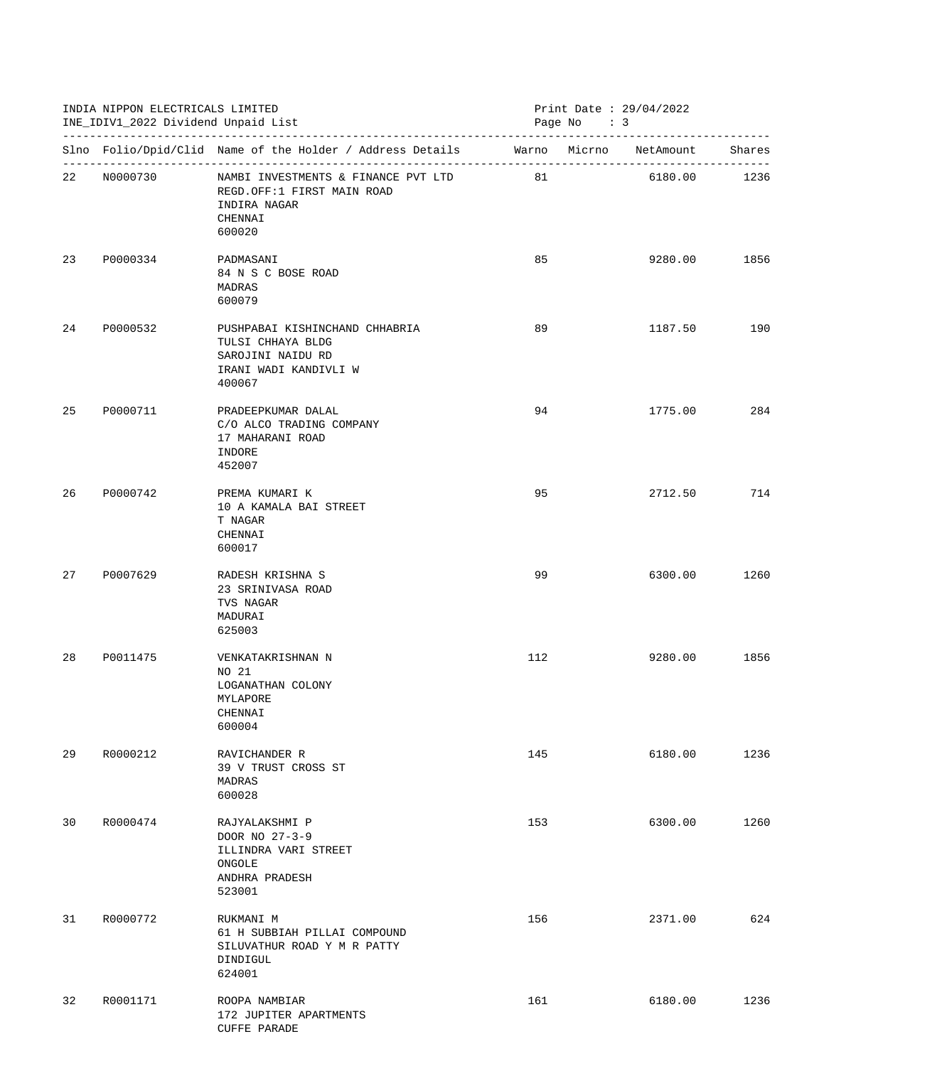| INDIA NIPPON ELECTRICALS LIMITED<br>INE_IDIV1_2022 Dividend Unpaid List |             | Print Date: 29/04/2022<br>Page No : 3                                                                       |     |  |              |      |
|-------------------------------------------------------------------------|-------------|-------------------------------------------------------------------------------------------------------------|-----|--|--------------|------|
|                                                                         |             | Slno Folio/Dpid/Clid Name of the Holder / Address Details Marno Micrno NetAmount Shares                     |     |  |              |      |
|                                                                         | 22 N0000730 | NAMBI INVESTMENTS & FINANCE PVT LTD 81<br>REGD.OFF:1 FIRST MAIN ROAD<br>INDIRA NAGAR<br>CHENNAI<br>600020   |     |  | 6180.00 1236 |      |
|                                                                         | 23 P0000334 | PADMASANI<br>84 N S C BOSE ROAD<br>MADRAS<br>600079                                                         | 85  |  | 9280.00      | 1856 |
| 24                                                                      | P0000532    | PUSHPABAI KISHINCHAND CHHABRIA<br>TULSI CHHAYA BLDG<br>SAROJINI NAIDU RD<br>IRANI WADI KANDIVLI W<br>400067 | 89  |  | 1187.50      | 190  |
| 25                                                                      | P0000711    | PRADEEPKUMAR DALAL<br>C/O ALCO TRADING COMPANY<br>17 MAHARANI ROAD<br>INDORE<br>452007                      | 94  |  | 1775.00      | 284  |
| 26                                                                      | P0000742    | PREMA KUMARI K<br>10 A KAMALA BAI STREET<br>T NAGAR<br>CHENNAI<br>600017                                    | 95  |  | 2712.50      | 714  |
| 27                                                                      | P0007629    | RADESH KRISHNA S<br>23 SRINIVASA ROAD<br>TVS NAGAR<br>MADURAI<br>625003                                     | 99  |  | 6300.00      | 1260 |
| 28                                                                      | P0011475    | VENKATAKRISHNAN N<br>NO 21<br>LOGANATHAN COLONY<br>MYLAPORE<br>CHENNAI<br>600004                            | 112 |  | 9280.00      | 1856 |
| 29                                                                      | R0000212    | RAVICHANDER R<br>39 V TRUST CROSS ST<br>MADRAS<br>600028                                                    | 145 |  | 6180.00      | 1236 |
| 30                                                                      | R0000474    | RAJYALAKSHMI P<br>DOOR NO 27-3-9<br>ILLINDRA VARI STREET<br>ONGOLE<br>ANDHRA PRADESH<br>523001              | 153 |  | 6300.00      | 1260 |
| 31                                                                      | R0000772    | RUKMANI M<br>61 H SUBBIAH PILLAI COMPOUND<br>SILUVATHUR ROAD Y M R PATTY<br>DINDIGUL<br>624001              | 156 |  | 2371.00      | 624  |
| 32                                                                      | R0001171    | ROOPA NAMBIAR<br>172 JUPITER APARTMENTS<br><b>CUFFE PARADE</b>                                              | 161 |  | 6180.00      | 1236 |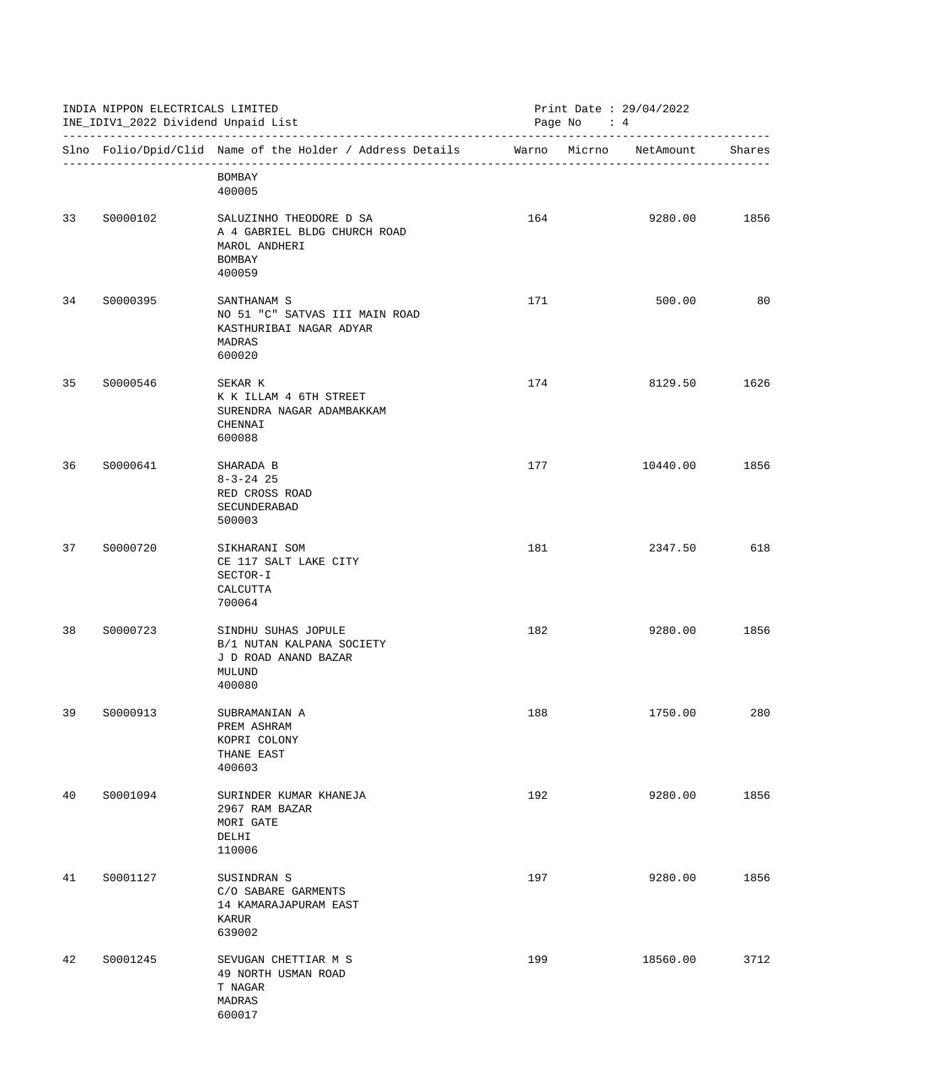|    | INDIA NIPPON ELECTRICALS LIMITED<br>INE_IDIV1_2022 Dividend Unpaid List |                                                                                              | Print Date: 29/04/2022<br>Page No : 4 |  |                        |        |
|----|-------------------------------------------------------------------------|----------------------------------------------------------------------------------------------|---------------------------------------|--|------------------------|--------|
|    |                                                                         | Slno Folio/Dpid/Clid Name of the Holder / Address Details                                    |                                       |  | Warno Micrno NetAmount | Shares |
|    |                                                                         | BOMBAY<br>400005                                                                             |                                       |  |                        |        |
| 33 | S0000102                                                                | SALUZINHO THEODORE D SA<br>A 4 GABRIEL BLDG CHURCH ROAD<br>MAROL ANDHERI<br>BOMBAY<br>400059 | 164                                   |  | 9280.00                | 1856   |
| 34 | S0000395                                                                | SANTHANAM S<br>NO 51 "C" SATVAS III MAIN ROAD<br>KASTHURIBAI NAGAR ADYAR<br>MADRAS<br>600020 | 171                                   |  | 500.00                 | 80     |
| 35 | S0000546                                                                | SEKAR K<br>K K ILLAM 4 6TH STREET<br>SURENDRA NAGAR ADAMBAKKAM<br>CHENNAI<br>600088          | 174                                   |  | 8129.50                | 1626   |
| 36 | S0000641                                                                | SHARADA B<br>$8 - 3 - 24$ 25<br>RED CROSS ROAD<br>SECUNDERABAD<br>500003                     | 177                                   |  | 10440.00               | 1856   |
| 37 | S0000720                                                                | SIKHARANI SOM<br>CE 117 SALT LAKE CITY<br>SECTOR-I<br>CALCUTTA<br>700064                     | 181                                   |  | 2347.50                | 618    |
| 38 | S0000723                                                                | SINDHU SUHAS JOPULE<br>B/1 NUTAN KALPANA SOCIETY<br>J D ROAD ANAND BAZAR<br>MULUND<br>400080 | 182                                   |  | 9280.00                | 1856   |
| 39 | S0000913                                                                | SUBRAMANIAN A<br>PREM ASHRAM<br>KOPRI COLONY<br>THANE EAST<br>400603                         | 188                                   |  | 1750.00                | 280    |
| 40 | S0001094                                                                | SURINDER KUMAR KHANEJA<br>2967 RAM BAZAR<br>MORI GATE<br>DELHI<br>110006                     | 192                                   |  | 9280.00                | 1856   |
| 41 | S0001127                                                                | SUSINDRAN S<br>C/O SABARE GARMENTS<br>14 KAMARAJAPURAM EAST<br>KARUR<br>639002               | 197                                   |  | 9280.00                | 1856   |
| 42 | S0001245                                                                | SEVUGAN CHETTIAR M S<br>49 NORTH USMAN ROAD<br>T NAGAR<br>MADRAS<br>600017                   | 199                                   |  | 18560.00               | 3712   |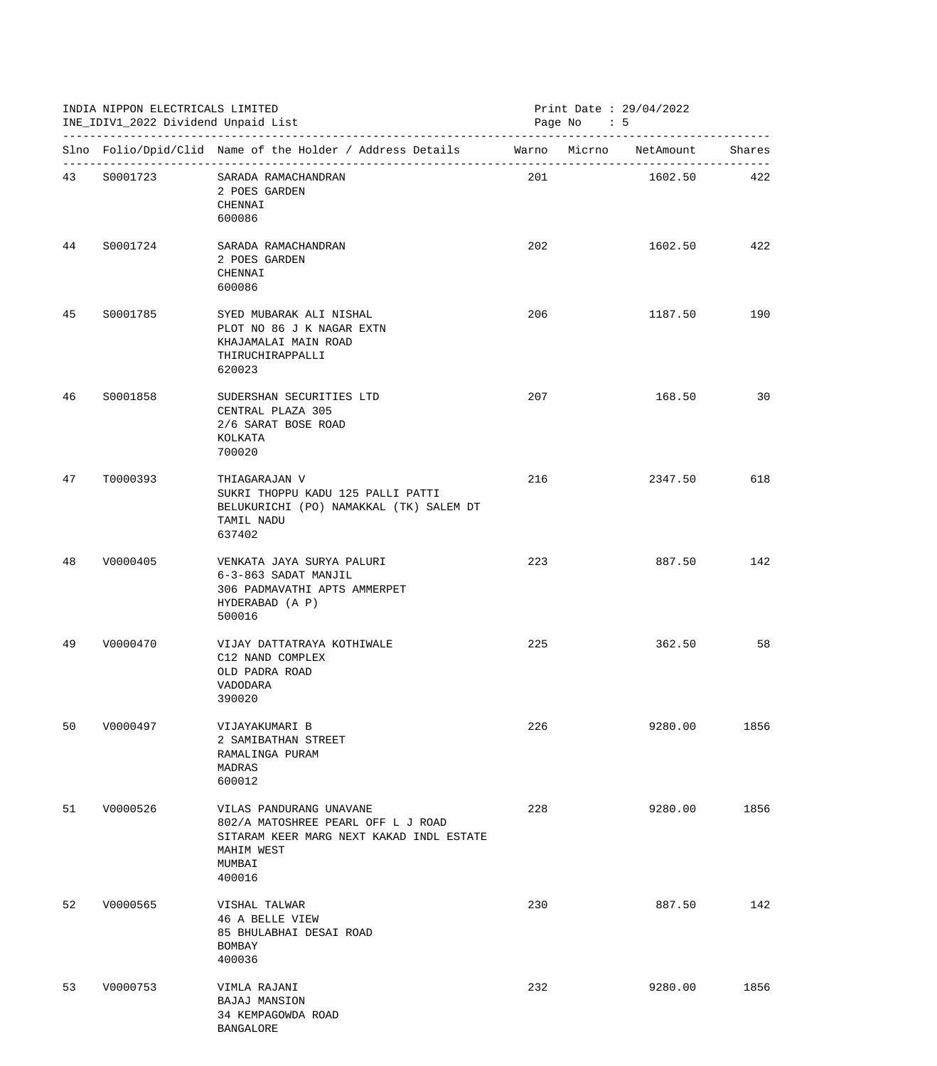|    | INDIA NIPPON ELECTRICALS LIMITED<br>INE_IDIV1_2022 Dividend Unpaid List |                                                                                                                                             | Print Date: 29/04/2022<br>Page No $: 5$ |  |             |      |
|----|-------------------------------------------------------------------------|---------------------------------------------------------------------------------------------------------------------------------------------|-----------------------------------------|--|-------------|------|
|    |                                                                         | Slno Folio/Dpid/Clid Name of the Holder / Address Details Marno Micrno NetAmount Shares                                                     |                                         |  |             |      |
|    | 43 \$0001723                                                            | SARADA RAMACHANDRAN<br>2 POES GARDEN<br>CHENNAI<br>600086                                                                                   | 201                                     |  | 1602.50 422 |      |
|    | 44 S0001724                                                             | SARADA RAMACHANDRAN<br>2 POES GARDEN<br>CHENNAI<br>600086                                                                                   | 202                                     |  | 1602.50     | 422  |
| 45 | S0001785                                                                | SYED MUBARAK ALI NISHAL<br>PLOT NO 86 J K NAGAR EXTN<br>KHAJAMALAI MAIN ROAD<br>THIRUCHIRAPPALLI<br>620023                                  | 206                                     |  | 1187.50     | 190  |
| 46 | S0001858                                                                | SUDERSHAN SECURITIES LTD<br>CENTRAL PLAZA 305<br>2/6 SARAT BOSE ROAD<br>KOLKATA<br>700020                                                   | 207                                     |  | 168.50      | 30   |
| 47 | T0000393                                                                | THIAGARAJAN V<br>SUKRI THOPPU KADU 125 PALLI PATTI<br>BELUKURICHI (PO) NAMAKKAL (TK) SALEM DT<br>TAMIL NADU<br>637402                       | 216                                     |  | 2347.50     | 618  |
| 48 | V0000405                                                                | VENKATA JAYA SURYA PALURI<br>6-3-863 SADAT MANJIL<br>306 PADMAVATHI APTS AMMERPET<br>HYDERABAD (A P)<br>500016                              | 223                                     |  | 887.50      | 142  |
| 49 | V0000470                                                                | VIJAY DATTATRAYA KOTHIWALE<br>C12 NAND COMPLEX<br>OLD PADRA ROAD<br><b>VADODARA</b><br>390020                                               | 225                                     |  | 362.50      | 58   |
| 50 | V0000497                                                                | VIJAYAKUMARI B<br>2 SAMIBATHAN STREET<br>RAMALINGA PURAM<br>MADRAS<br>600012                                                                | 226                                     |  | 9280.00     | 1856 |
| 51 | V0000526                                                                | VILAS PANDURANG UNAVANE<br>802/A MATOSHREE PEARL OFF L J ROAD<br>SITARAM KEER MARG NEXT KAKAD INDL ESTATE<br>MAHIM WEST<br>MUMBAI<br>400016 | 228                                     |  | 9280.00     | 1856 |
| 52 | V0000565                                                                | VISHAL TALWAR<br>46 A BELLE VIEW<br>85 BHULABHAI DESAI ROAD<br>BOMBAY<br>400036                                                             | 230                                     |  | 887.50      | 142  |
| 53 | V0000753                                                                | VIMLA RAJANI<br><b>BAJAJ MANSION</b><br>34 KEMPAGOWDA ROAD<br><b>BANGALORE</b>                                                              | 232                                     |  | 9280.00     | 1856 |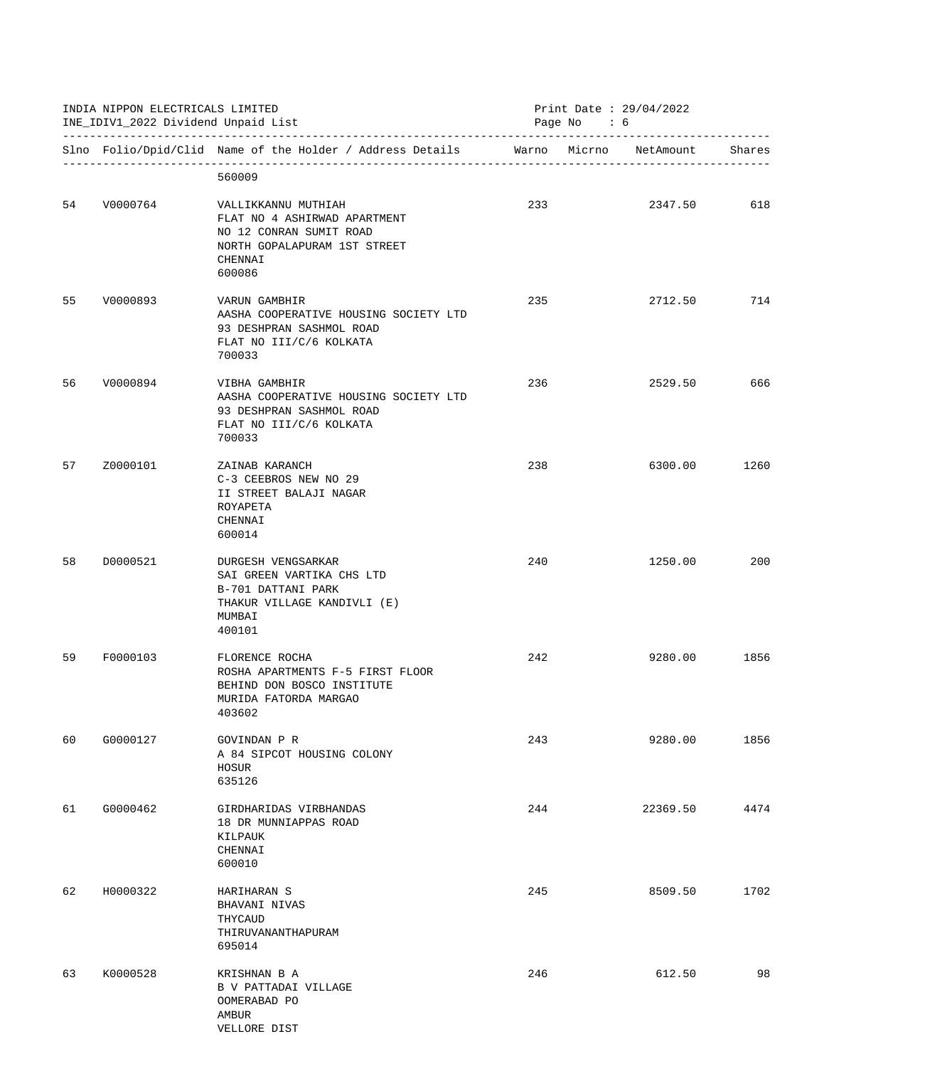| INDIA NIPPON ELECTRICALS LIMITED<br>INE_IDIV1_2022 Dividend Unpaid List |             | Print Date: 29/04/2022<br>Page No : 6                                                                                               |     |  |          |        |
|-------------------------------------------------------------------------|-------------|-------------------------------------------------------------------------------------------------------------------------------------|-----|--|----------|--------|
|                                                                         |             | Slno Folio/Dpid/Clid Name of the Holder / Address Details Marno Micrno NetAmount                                                    |     |  |          | Shares |
|                                                                         |             | 560009                                                                                                                              |     |  |          |        |
|                                                                         | 54 V0000764 | VALLIKKANNU MUTHIAH<br>FLAT NO 4 ASHIRWAD APARTMENT<br>NO 12 CONRAN SUMIT ROAD<br>NORTH GOPALAPURAM 1ST STREET<br>CHENNAI<br>600086 | 233 |  | 2347.50  | 618    |
| 55                                                                      | V0000893    | VARUN GAMBHIR<br>AASHA COOPERATIVE HOUSING SOCIETY LTD<br>93 DESHPRAN SASHMOL ROAD<br>FLAT NO III/C/6 KOLKATA<br>700033             | 235 |  | 2712.50  | 714    |
| 56                                                                      | V0000894    | VIBHA GAMBHIR<br>AASHA COOPERATIVE HOUSING SOCIETY LTD<br>93 DESHPRAN SASHMOL ROAD<br>FLAT NO III/C/6 KOLKATA<br>700033             | 236 |  | 2529.50  | 666    |
| 57                                                                      | Z0000101    | ZAINAB KARANCH<br>C-3 CEEBROS NEW NO 29<br>II STREET BALAJI NAGAR<br>ROYAPETA<br>CHENNAI<br>600014                                  | 238 |  | 6300.00  | 1260   |
| 58                                                                      | D0000521    | DURGESH VENGSARKAR<br>SAI GREEN VARTIKA CHS LTD<br>B-701 DATTANI PARK<br>THAKUR VILLAGE KANDIVLI (E)<br>MUMBAI<br>400101            | 240 |  | 1250.00  | 200    |
| 59                                                                      | F0000103    | FLORENCE ROCHA<br>ROSHA APARTMENTS F-5 FIRST FLOOR<br>BEHIND DON BOSCO INSTITUTE<br>MURIDA FATORDA MARGAO<br>403602                 | 242 |  | 9280.00  | 1856   |
| 60                                                                      | G0000127    | GOVINDAN P R<br>A 84 SIPCOT HOUSING COLONY<br>HOSUR<br>635126                                                                       | 243 |  | 9280.00  | 1856   |
| 61                                                                      | G0000462    | GIRDHARIDAS VIRBHANDAS<br>18 DR MUNNIAPPAS ROAD<br>KILPAUK<br>CHENNAI<br>600010                                                     | 244 |  | 22369.50 | 4474   |
| 62                                                                      | H0000322    | HARIHARAN S<br>BHAVANI NIVAS<br>THYCAUD<br>THIRUVANANTHAPURAM<br>695014                                                             | 245 |  | 8509.50  | 1702   |
| 63                                                                      | K0000528    | KRISHNAN B A<br>B V PATTADAI VILLAGE<br>OOMERABAD PO<br>AMBUR<br>VELLORE DIST                                                       | 246 |  | 612.50   | 98     |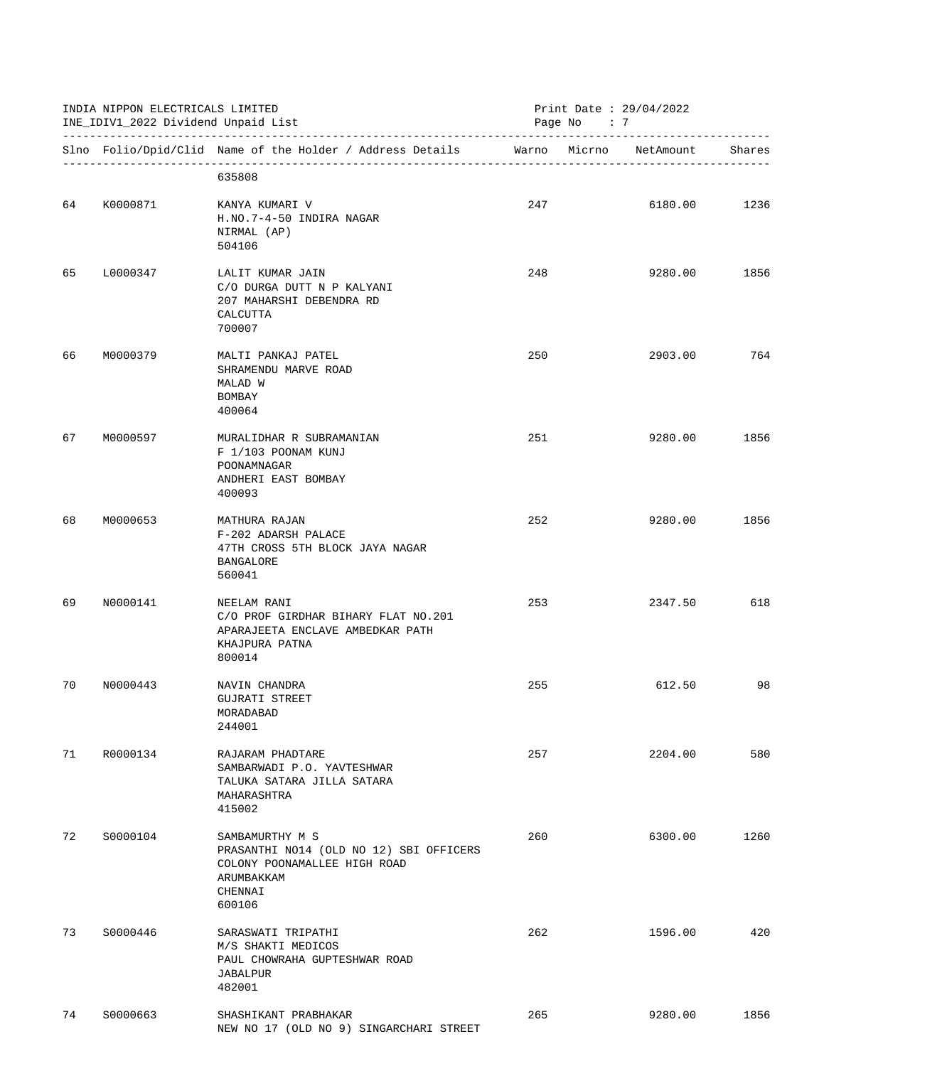|    | INDIA NIPPON ELECTRICALS LIMITED<br>INE_IDIV1_2022 Dividend Unpaid List |                                                                                                                               | Print Date : $29/04/2022$<br>Page No : 7 |  |                               |      |
|----|-------------------------------------------------------------------------|-------------------------------------------------------------------------------------------------------------------------------|------------------------------------------|--|-------------------------------|------|
|    |                                                                         | Slno Folio/Dpid/Clid Name of the Holder / Address Details                                                                     |                                          |  | Warno Micrno NetAmount Shares |      |
|    |                                                                         | 635808                                                                                                                        |                                          |  |                               |      |
|    | 64 K0000871                                                             | KANYA KUMARI V<br>H.NO.7-4-50 INDIRA NAGAR<br>NIRMAL (AP)<br>504106                                                           | 247                                      |  | 6180.00                       | 1236 |
| 65 | L0000347                                                                | LALIT KUMAR JAIN<br>C/O DURGA DUTT N P KALYANI<br>207 MAHARSHI DEBENDRA RD<br>CALCUTTA<br>700007                              | 248                                      |  | 9280.00                       | 1856 |
| 66 | M0000379                                                                | MALTI PANKAJ PATEL<br>SHRAMENDU MARVE ROAD<br>MALAD W<br>BOMBAY<br>400064                                                     | 250                                      |  | 2903.00                       | 764  |
| 67 | M0000597                                                                | MURALIDHAR R SUBRAMANIAN<br>F 1/103 POONAM KUNJ<br>POONAMNAGAR<br>ANDHERI EAST BOMBAY<br>400093                               | 251                                      |  | 9280.00                       | 1856 |
| 68 | M0000653                                                                | MATHURA RAJAN<br>F-202 ADARSH PALACE<br>47TH CROSS 5TH BLOCK JAYA NAGAR<br>BANGALORE<br>560041                                | 252                                      |  | 9280.00                       | 1856 |
| 69 | N0000141                                                                | NEELAM RANI<br>C/O PROF GIRDHAR BIHARY FLAT NO.201<br>APARAJEETA ENCLAVE AMBEDKAR PATH<br>KHAJPURA PATNA<br>800014            | 253                                      |  | 2347.50                       | 618  |
| 70 | N0000443                                                                | NAVIN CHANDRA<br>GUJRATI STREET<br>MORADABAD<br>244001                                                                        | 255                                      |  | 612.50                        | 98   |
| 71 | R0000134                                                                | RAJARAM PHADTARE<br>SAMBARWADI P.O. YAVTESHWAR<br>TALUKA SATARA JILLA SATARA<br>MAHARASHTRA<br>415002                         | 257                                      |  | 2204.00                       | 580  |
| 72 | S0000104                                                                | SAMBAMURTHY M S<br>PRASANTHI NO14 (OLD NO 12) SBI OFFICERS<br>COLONY POONAMALLEE HIGH ROAD<br>ARUMBAKKAM<br>CHENNAI<br>600106 | 260                                      |  | 6300.00                       | 1260 |
| 73 | S0000446                                                                | SARASWATI TRIPATHI<br>M/S SHAKTI MEDICOS<br>PAUL CHOWRAHA GUPTESHWAR ROAD<br>JABALPUR<br>482001                               | 262                                      |  | 1596.00                       | 420  |
| 74 | S0000663                                                                | SHASHIKANT PRABHAKAR<br>NEW NO 17 (OLD NO 9) SINGARCHARI STREET                                                               | 265                                      |  | 9280.00                       | 1856 |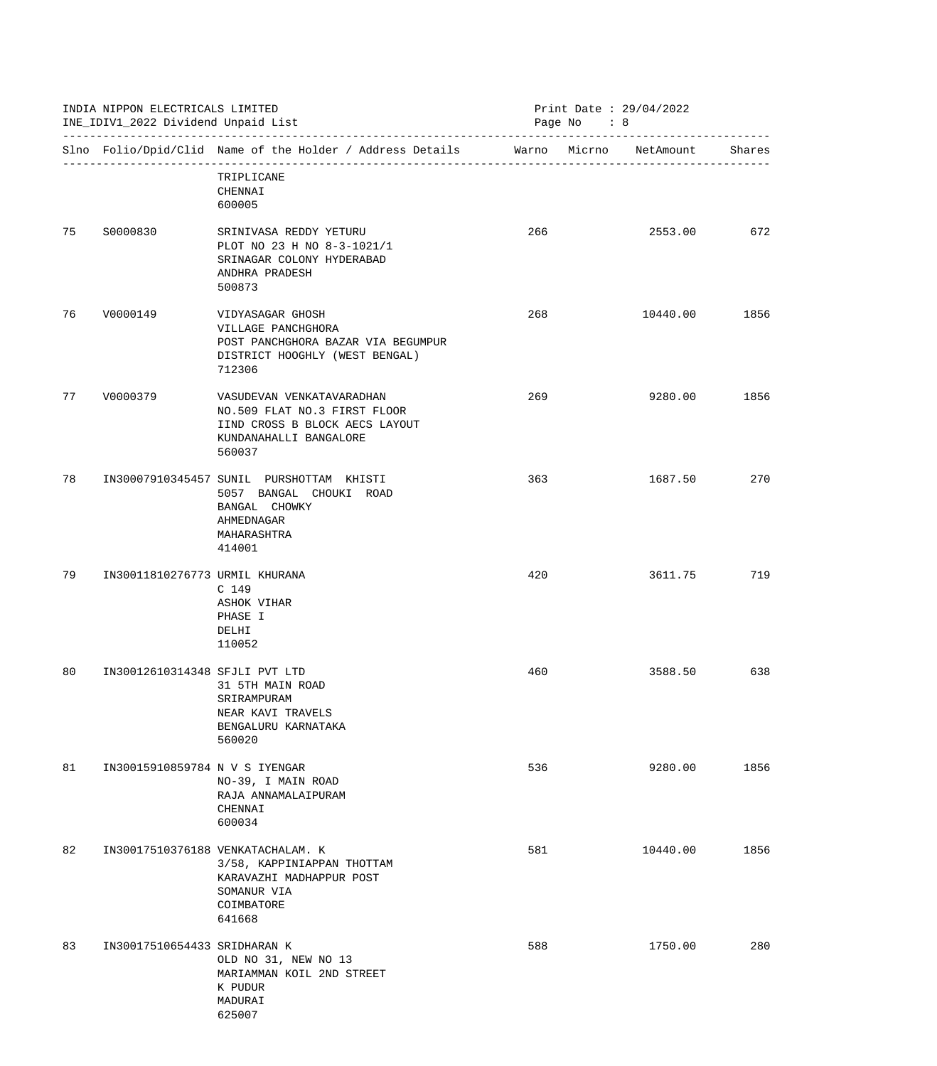|      | INDIA NIPPON ELECTRICALS LIMITED<br>INE_IDIV1_2022 Dividend Unpaid List |                                                                                                                                    | Print Date : $29/04/2022$<br>Page No : 8 |          |        |
|------|-------------------------------------------------------------------------|------------------------------------------------------------------------------------------------------------------------------------|------------------------------------------|----------|--------|
|      |                                                                         | Slno Folio/Dpid/Clid Name of the Holder / Address Details Marno Micrno NetAmount                                                   |                                          |          | Shares |
|      |                                                                         | TRIPLICANE<br>CHENNAI<br>600005                                                                                                    |                                          |          |        |
| 75 — | S0000830                                                                | SRINIVASA REDDY YETURU<br>PLOT NO 23 H NO 8-3-1021/1<br>SRINAGAR COLONY HYDERABAD<br>ANDHRA PRADESH<br>500873                      | 266                                      | 2553.00  | 672    |
| 76   | V0000149                                                                | VIDYASAGAR GHOSH<br>VILLAGE PANCHGHORA<br>POST PANCHGHORA BAZAR VIA BEGUMPUR<br>DISTRICT HOOGHLY (WEST BENGAL)<br>712306           | 268                                      | 10440.00 | 1856   |
| 77   | V0000379                                                                | VASUDEVAN VENKATAVARADHAN<br>NO.509 FLAT NO.3 FIRST FLOOR<br>IIND CROSS B BLOCK AECS LAYOUT<br>KUNDANAHALLI BANGALORE<br>560037    | 269                                      | 9280.00  | 1856   |
| 78   |                                                                         | IN30007910345457 SUNIL PURSHOTTAM KHISTI<br>5057 BANGAL CHOUKI ROAD<br>BANGAL CHOWKY<br>AHMEDNAGAR<br>MAHARASHTRA<br>414001        | 363                                      | 1687.50  | 270    |
| 79   | IN30011810276773 URMIL KHURANA                                          | C <sub>149</sub><br>ASHOK VIHAR<br>PHASE I<br>DELHI<br>110052                                                                      | 420                                      | 3611.75  | 719    |
| 80   | IN30012610314348 SFJLI PVT LTD                                          | 31 5TH MAIN ROAD<br>SRIRAMPURAM<br>NEAR KAVI TRAVELS<br>BENGALURU KARNATAKA<br>560020                                              | 460                                      | 3588.50  | 638    |
| 81   | IN30015910859784 N V S IYENGAR                                          | NO-39, I MAIN ROAD<br>RAJA ANNAMALAIPURAM<br>CHENNAI<br>600034                                                                     | 536                                      | 9280.00  | 1856   |
| 82   |                                                                         | IN30017510376188 VENKATACHALAM. K<br>3/58, KAPPINIAPPAN THOTTAM<br>KARAVAZHI MADHAPPUR POST<br>SOMANUR VIA<br>COIMBATORE<br>641668 | 581                                      | 10440.00 | 1856   |
| 83   | IN30017510654433 SRIDHARAN K                                            | OLD NO 31, NEW NO 13<br>MARIAMMAN KOIL 2ND STREET<br>K PUDUR<br>MADURAI<br>625007                                                  | 588                                      | 1750.00  | 280    |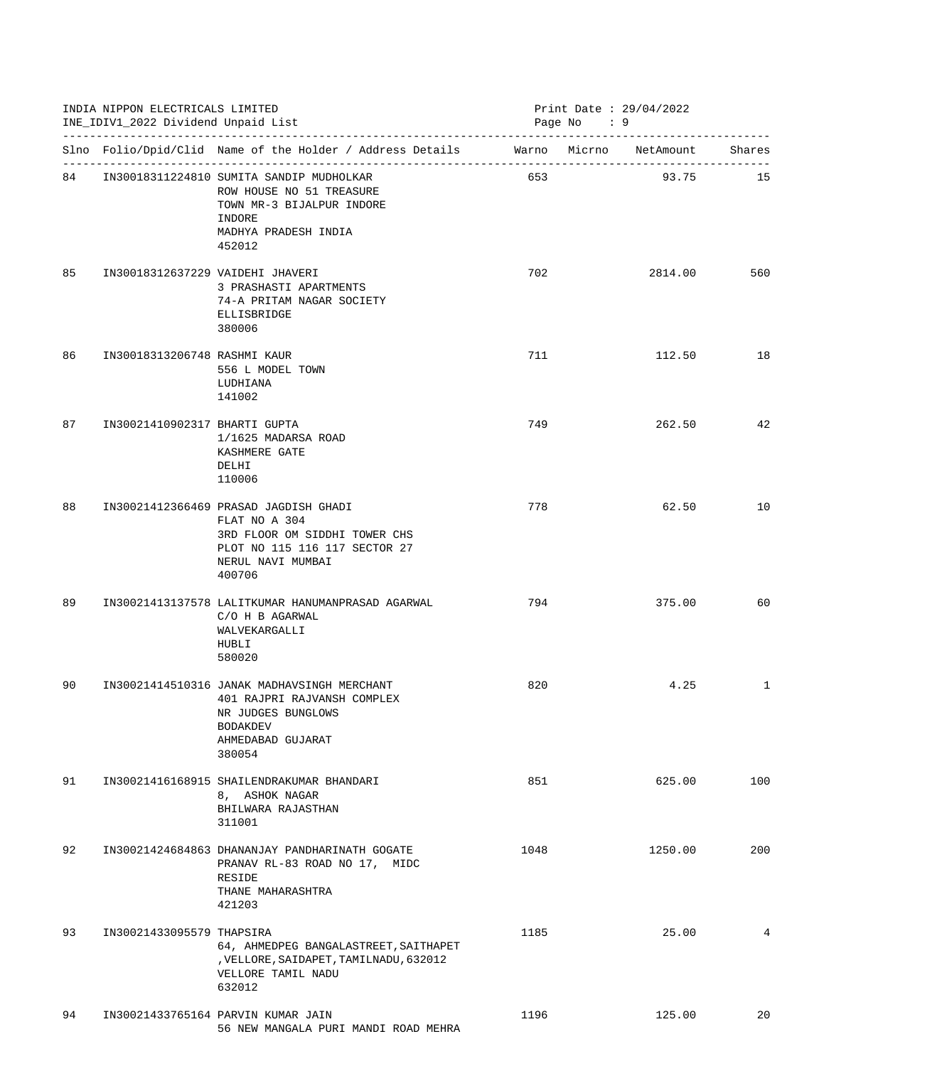|    | INDIA NIPPON ELECTRICALS LIMITED<br>INE_IDIV1_2022 Dividend Unpaid List |                                                                                                                                                         | Print Date : $29/04/2022$<br>Page No : 9 |         |     |
|----|-------------------------------------------------------------------------|---------------------------------------------------------------------------------------------------------------------------------------------------------|------------------------------------------|---------|-----|
|    |                                                                         | Slno Folio/Dpid/Clid Name of the Holder / Address Details Marno Micrno NetAmount Shares                                                                 |                                          |         |     |
|    |                                                                         | 84 IN30018311224810 SUMITA SANDIP MUDHOLKAR<br>ROW HOUSE NO 51 TREASURE<br>TOWN MR-3 BIJALPUR INDORE<br>INDORE<br>MADHYA PRADESH INDIA<br>452012        | 653                                      | 93.75   | 15  |
| 85 | IN30018312637229 VAIDEHI JHAVERI                                        | 3 PRASHASTI APARTMENTS<br>74-A PRITAM NAGAR SOCIETY<br>ELLISBRIDGE<br>380006                                                                            | 702                                      | 2814.00 | 560 |
| 86 | IN30018313206748 RASHMI KAUR                                            | 556 L MODEL TOWN<br>LUDHIANA<br>141002                                                                                                                  | 711                                      | 112.50  | 18  |
| 87 | IN30021410902317 BHARTI GUPTA                                           | 1/1625 MADARSA ROAD<br>KASHMERE GATE<br>DELHI<br>110006                                                                                                 | 749                                      | 262.50  | 42  |
| 88 |                                                                         | IN30021412366469 PRASAD JAGDISH GHADI<br>FLAT NO A 304<br>3RD FLOOR OM SIDDHI TOWER CHS<br>PLOT NO 115 116 117 SECTOR 27<br>NERUL NAVI MUMBAI<br>400706 | 778                                      | 62.50   | 10  |
| 89 |                                                                         | IN30021413137578 LALITKUMAR HANUMANPRASAD AGARWAL<br>C/O H B AGARWAL<br>WALVEKARGALLI<br>HUBLI<br>580020                                                | 794                                      | 375.00  | 60  |
| 90 |                                                                         | IN30021414510316 JANAK MADHAVSINGH MERCHANT<br>401 RAJPRI RAJVANSH COMPLEX<br>NR JUDGES BUNGLOWS<br><b>BODAKDEV</b><br>AHMEDABAD GUJARAT<br>380054      | 820                                      | 4.25    | 1   |
| 91 |                                                                         | IN30021416168915 SHAILENDRAKUMAR BHANDARI<br>8, ASHOK NAGAR<br>BHILWARA RAJASTHAN<br>311001                                                             | 851                                      | 625.00  | 100 |
| 92 |                                                                         | IN30021424684863 DHANANJAY PANDHARINATH GOGATE<br>PRANAV RL-83 ROAD NO 17, MIDC<br><b>RESIDE</b><br>THANE MAHARASHTRA<br>421203                         | 1048                                     | 1250.00 | 200 |
| 93 | IN30021433095579 THAPSIRA                                               | 64, AHMEDPEG BANGALASTREET, SAITHAPET<br>, VELLORE, SAIDAPET, TAMILNADU, 632012<br>VELLORE TAMIL NADU<br>632012                                         | 1185                                     | 25.00   | 4   |
| 94 |                                                                         | IN30021433765164 PARVIN KUMAR JAIN<br>56 NEW MANGALA PURI MANDI ROAD MEHRA                                                                              | 1196                                     | 125.00  | 20  |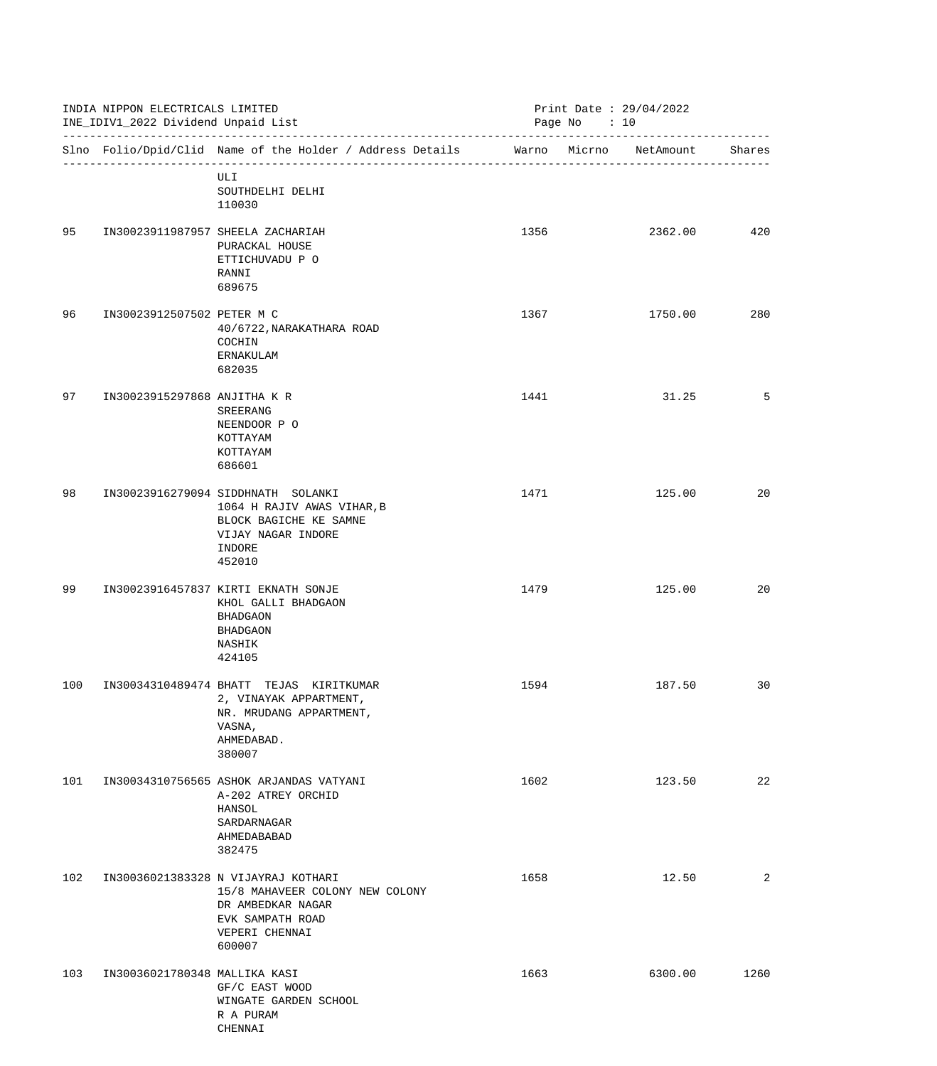|     | INDIA NIPPON ELECTRICALS LIMITED<br>INE_IDIV1_2022 Dividend Unpaid List |                                                                                                                                             | Print Date : $29/04/2022$<br>Page No $: 10$ |         |        |
|-----|-------------------------------------------------------------------------|---------------------------------------------------------------------------------------------------------------------------------------------|---------------------------------------------|---------|--------|
|     |                                                                         | Slno Folio/Dpid/Clid Name of the Holder / Address Details Marno Micrno NetAmount                                                            |                                             |         | Shares |
|     |                                                                         | ULI<br>SOUTHDELHI DELHI<br>110030                                                                                                           |                                             |         |        |
| 95  |                                                                         | IN30023911987957 SHEELA ZACHARIAH<br>PURACKAL HOUSE<br>ETTICHUVADU P O<br>RANNI<br>689675                                                   | 1356                                        | 2362.00 | 420    |
| 96  | IN30023912507502 PETER M C                                              | 40/6722, NARAKATHARA ROAD<br>COCHIN<br>ERNAKULAM<br>682035                                                                                  | 1367                                        | 1750.00 | 280    |
| 97  | IN30023915297868 ANJITHA K R                                            | SREERANG<br>NEENDOOR P O<br>KOTTAYAM<br>KOTTAYAM<br>686601                                                                                  | 1441                                        | 31.25   | 5      |
| 98  |                                                                         | IN30023916279094 SIDDHNATH SOLANKI<br>1064 H RAJIV AWAS VIHAR, B<br>BLOCK BAGICHE KE SAMNE<br>VIJAY NAGAR INDORE<br>INDORE<br>452010        | 1471                                        | 125.00  | 20     |
| 99  |                                                                         | IN30023916457837 KIRTI EKNATH SONJE<br>KHOL GALLI BHADGAON<br><b>BHADGAON</b><br><b>BHADGAON</b><br>NASHIK<br>424105                        | 1479                                        | 125.00  | 20     |
| 100 |                                                                         | IN30034310489474 BHATT TEJAS KIRITKUMAR<br>2, VINAYAK APPARTMENT,<br>NR. MRUDANG APPARTMENT,<br>VASNA,<br>AHMEDABAD.<br>380007              | 1594                                        | 187.50  | 30     |
| 101 |                                                                         | IN30034310756565 ASHOK ARJANDAS VATYANI<br>A-202 ATREY ORCHID<br>HANSOL<br>SARDARNAGAR<br>AHMEDABABAD<br>382475                             | 1602                                        | 123.50  | 22     |
| 102 |                                                                         | IN30036021383328 N VIJAYRAJ KOTHARI<br>15/8 MAHAVEER COLONY NEW COLONY<br>DR AMBEDKAR NAGAR<br>EVK SAMPATH ROAD<br>VEPERI CHENNAI<br>600007 | 1658                                        | 12.50   | 2      |
| 103 | IN30036021780348 MALLIKA KASI                                           | GF/C EAST WOOD<br>WINGATE GARDEN SCHOOL<br>R A PURAM<br>CHENNAI                                                                             | 1663                                        | 6300.00 | 1260   |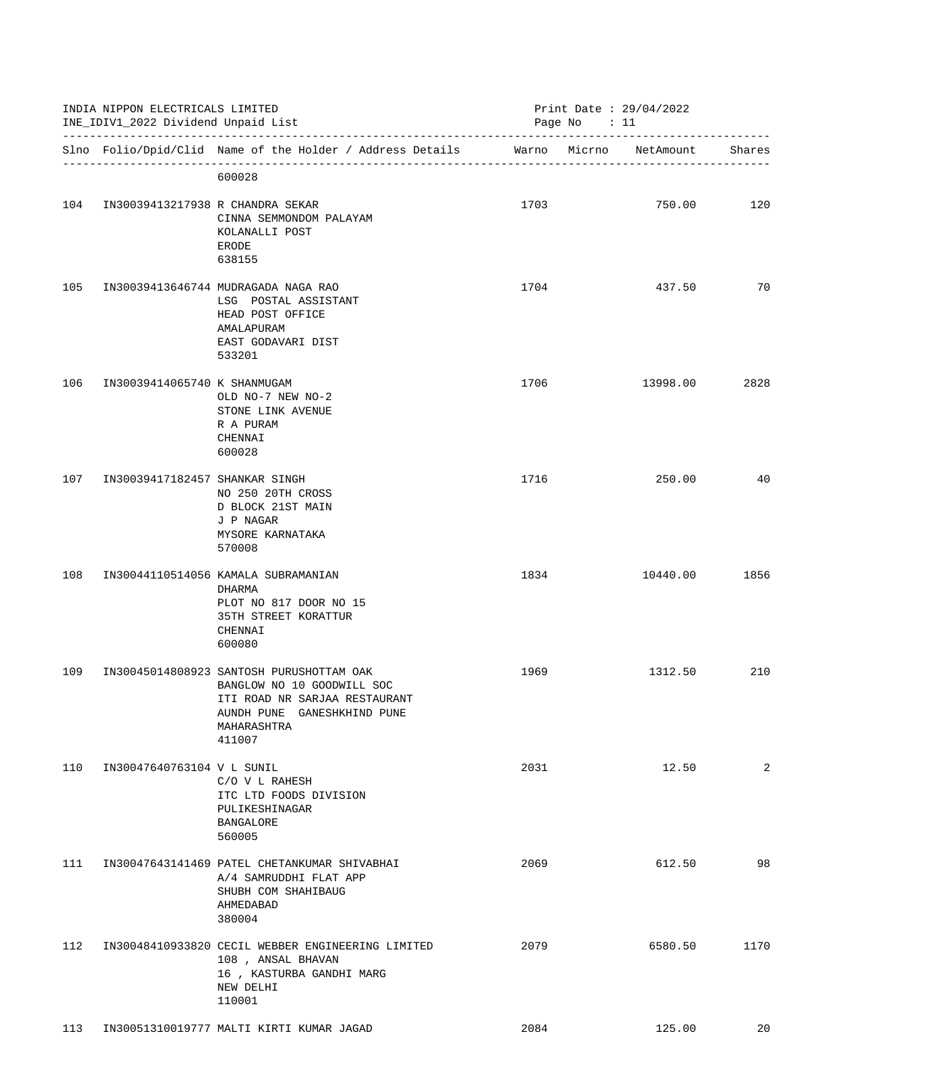|     | INDIA NIPPON ELECTRICALS LIMITED<br>INE_IDIV1_2022 Dividend Unpaid List |                                                                                                                                                                 | Print Date : $29/04/2022$<br>Page No : 11 |  |                        |        |
|-----|-------------------------------------------------------------------------|-----------------------------------------------------------------------------------------------------------------------------------------------------------------|-------------------------------------------|--|------------------------|--------|
|     |                                                                         | Slno Folio/Dpid/Clid Name of the Holder / Address Details                                                                                                       |                                           |  | Warno Micrno NetAmount | Shares |
|     |                                                                         | 600028                                                                                                                                                          |                                           |  |                        |        |
| 104 | IN30039413217938 R CHANDRA SEKAR                                        | CINNA SEMMONDOM PALAYAM<br>KOLANALLI POST<br>ERODE<br>638155                                                                                                    | 1703                                      |  | 750.00                 | 120    |
| 105 |                                                                         | IN30039413646744 MUDRAGADA NAGA RAO<br>LSG POSTAL ASSISTANT<br>HEAD POST OFFICE<br>AMALAPURAM<br>EAST GODAVARI DIST<br>533201                                   | 1704                                      |  | 437.50                 | 70     |
| 106 | IN30039414065740 K SHANMUGAM                                            | OLD NO-7 NEW NO-2<br>STONE LINK AVENUE<br>R A PURAM<br>CHENNAI<br>600028                                                                                        | 1706                                      |  | 13998.00               | 2828   |
| 107 | IN30039417182457 SHANKAR SINGH                                          | NO 250 20TH CROSS<br>D BLOCK 21ST MAIN<br>J P NAGAR<br>MYSORE KARNATAKA<br>570008                                                                               | 1716                                      |  | 250.00                 | 40     |
| 108 |                                                                         | IN30044110514056 KAMALA SUBRAMANIAN<br>DHARMA<br>PLOT NO 817 DOOR NO 15<br>35TH STREET KORATTUR<br>CHENNAI<br>600080                                            | 1834                                      |  | 10440.00               | 1856   |
| 109 |                                                                         | IN30045014808923 SANTOSH PURUSHOTTAM OAK<br>BANGLOW NO 10 GOODWILL SOC<br>ITI ROAD NR SARJAA RESTAURANT<br>AUNDH PUNE GANESHKHIND PUNE<br>MAHARASHTRA<br>411007 | 1969                                      |  | 1312.50                | 210    |
| 110 | IN30047640763104 V L SUNIL                                              | C/O V L RAHESH<br>ITC LTD FOODS DIVISION<br>PULIKESHINAGAR<br><b>BANGALORE</b><br>560005                                                                        | 2031                                      |  | 12.50                  | 2      |
| 111 |                                                                         | IN30047643141469 PATEL CHETANKUMAR SHIVABHAI<br>A/4 SAMRUDDHI FLAT APP<br>SHUBH COM SHAHIBAUG<br>AHMEDABAD<br>380004                                            | 2069                                      |  | 612.50                 | 98     |
| 112 |                                                                         | IN30048410933820 CECIL WEBBER ENGINEERING LIMITED<br>108, ANSAL BHAVAN<br>16, KASTURBA GANDHI MARG<br>NEW DELHI<br>110001                                       | 2079                                      |  | 6580.50                | 1170   |
| 113 |                                                                         | IN30051310019777 MALTI KIRTI KUMAR JAGAD                                                                                                                        | 2084                                      |  | 125.00                 | 20     |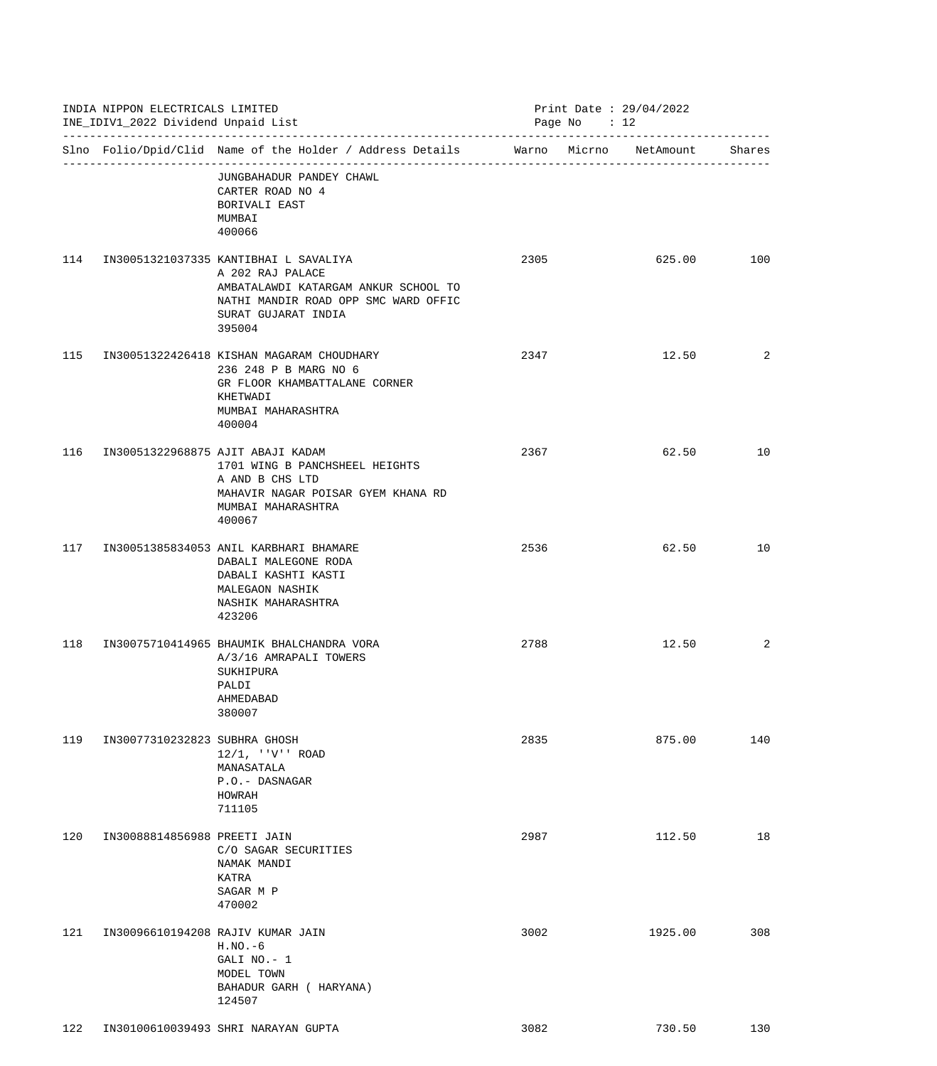|     | INDIA NIPPON ELECTRICALS LIMITED<br>INE_IDIV1_2022 Dividend Unpaid List<br>---------------------------------- |                                                                                                                                                                            |      | Print Date: 29/04/2022<br>Page No : 12 |        |
|-----|---------------------------------------------------------------------------------------------------------------|----------------------------------------------------------------------------------------------------------------------------------------------------------------------------|------|----------------------------------------|--------|
|     |                                                                                                               | Slno Folio/Dpid/Clid Name of the Holder / Address Details Marno Micrno NetAmount                                                                                           |      |                                        | Shares |
|     |                                                                                                               | JUNGBAHADUR PANDEY CHAWL<br>CARTER ROAD NO 4<br>BORIVALI EAST<br>MUMBAI<br>400066                                                                                          |      |                                        |        |
| 114 |                                                                                                               | IN30051321037335 KANTIBHAI L SAVALIYA<br>A 202 RAJ PALACE<br>AMBATALAWDI KATARGAM ANKUR SCHOOL TO<br>NATHI MANDIR ROAD OPP SMC WARD OFFIC<br>SURAT GUJARAT INDIA<br>395004 | 2305 | 625.00                                 | 100    |
| 115 |                                                                                                               | IN30051322426418 KISHAN MAGARAM CHOUDHARY<br>236 248 P B MARG NO 6<br>GR FLOOR KHAMBATTALANE CORNER<br>KHETWADI<br>MUMBAI MAHARASHTRA<br>400004                            | 2347 | 12.50                                  | 2      |
| 116 |                                                                                                               | IN30051322968875 AJIT ABAJI KADAM<br>1701 WING B PANCHSHEEL HEIGHTS<br>A AND B CHS LTD<br>MAHAVIR NAGAR POISAR GYEM KHANA RD<br>MUMBAI MAHARASHTRA<br>400067               | 2367 | 62.50                                  | 10     |
| 117 |                                                                                                               | IN30051385834053 ANIL KARBHARI BHAMARE<br>DABALI MALEGONE RODA<br>DABALI KASHTI KASTI<br>MALEGAON NASHIK<br>NASHIK MAHARASHTRA<br>423206                                   | 2536 | 62.50                                  | 10     |
| 118 |                                                                                                               | IN30075710414965 BHAUMIK BHALCHANDRA VORA<br>A/3/16 AMRAPALI TOWERS<br>SUKHIPURA<br>PALDI<br>AHMEDABAD<br>380007                                                           | 2788 | 12.50                                  | 2      |
| 119 | IN30077310232823 SUBHRA GHOSH                                                                                 | $12/1$ , $'V'$ ROAD<br>MANASATALA<br>P.O.- DASNAGAR<br>HOWRAH<br>711105                                                                                                    | 2835 | 875.00                                 | 140    |
| 120 | IN30088814856988 PREETI JAIN                                                                                  | C/O SAGAR SECURITIES<br>NAMAK MANDI<br>KATRA<br>SAGAR M P<br>470002                                                                                                        | 2987 | 112.50                                 | 18     |
| 121 |                                                                                                               | IN30096610194208 RAJIV KUMAR JAIN<br>$H.NO.-6$<br>GALI NO.- 1<br>MODEL TOWN<br>BAHADUR GARH ( HARYANA)<br>124507                                                           | 3002 | 1925.00                                | 308    |
| 122 |                                                                                                               | IN30100610039493 SHRI NARAYAN GUPTA                                                                                                                                        | 3082 | 730.50                                 | 130    |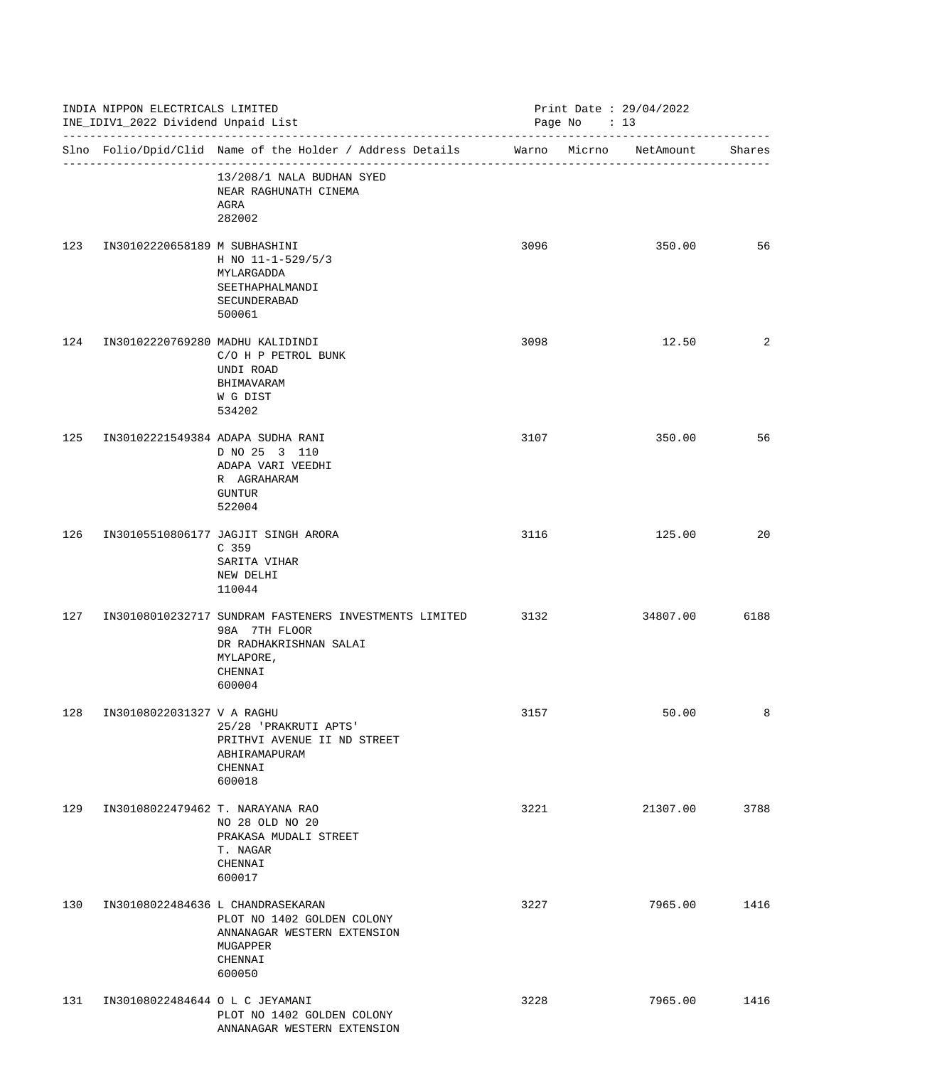|     | INDIA NIPPON ELECTRICALS LIMITED<br>INE_IDIV1_2022 Dividend Unpaid List<br>------------------------------ |                                                                                                                                     |      | Print Date: 29/04/2022<br>Page No : 13 |        |  |  |
|-----|-----------------------------------------------------------------------------------------------------------|-------------------------------------------------------------------------------------------------------------------------------------|------|----------------------------------------|--------|--|--|
|     |                                                                                                           | Slno Folio/Dpid/Clid Name of the Holder / Address Details                                                                           |      | Warno Micrno NetAmount                 | Shares |  |  |
|     |                                                                                                           | 13/208/1 NALA BUDHAN SYED<br>NEAR RAGHUNATH CINEMA<br>AGRA<br>282002                                                                |      |                                        |        |  |  |
| 123 | IN30102220658189 M SUBHASHINI                                                                             | H NO $11 - 1 - 529/5/3$<br>MYLARGADDA<br>SEETHAPHALMANDI<br>SECUNDERABAD<br>500061                                                  | 3096 | 350.00                                 | 56     |  |  |
| 124 | IN30102220769280 MADHU KALIDINDI                                                                          | C/O H P PETROL BUNK<br>UNDI ROAD<br>BHIMAVARAM<br>W G DIST<br>534202                                                                | 3098 | 12.50                                  | 2      |  |  |
| 125 |                                                                                                           | IN30102221549384 ADAPA SUDHA RANI<br>D NO 25 3 110<br>ADAPA VARI VEEDHI<br>R AGRAHARAM<br>GUNTUR<br>522004                          | 3107 | 350.00                                 | 56     |  |  |
| 126 |                                                                                                           | IN30105510806177 JAGJIT SINGH ARORA<br>C <sub>359</sub><br>SARITA VIHAR<br>NEW DELHI<br>110044                                      | 3116 | 125.00                                 | 20     |  |  |
| 127 |                                                                                                           | IN30108010232717 SUNDRAM FASTENERS INVESTMENTS LIMITED<br>98A 7TH FLOOR<br>DR RADHAKRISHNAN SALAI<br>MYLAPORE,<br>CHENNAI<br>600004 | 3132 | 34807.00                               | 6188   |  |  |
| 128 | IN30108022031327 V A RAGHU                                                                                | 25/28 'PRAKRUTI APTS'<br>PRITHVI AVENUE II ND STREET<br>ABHIRAMAPURAM<br>CHENNAI<br>600018                                          | 3157 | 50.00                                  | 8      |  |  |
| 129 | IN30108022479462 T. NARAYANA RAO                                                                          | NO 28 OLD NO 20<br>PRAKASA MUDALI STREET<br>T. NAGAR<br>CHENNAI<br>600017                                                           | 3221 | 21307.00                               | 3788   |  |  |
| 130 |                                                                                                           | IN30108022484636 L CHANDRASEKARAN<br>PLOT NO 1402 GOLDEN COLONY<br>ANNANAGAR WESTERN EXTENSION<br>MUGAPPER<br>CHENNAI<br>600050     | 3227 | 7965.00                                | 1416   |  |  |
| 131 | IN30108022484644 O L C JEYAMANI                                                                           | PLOT NO 1402 GOLDEN COLONY<br>ANNANAGAR WESTERN EXTENSION                                                                           | 3228 | 7965.00                                | 1416   |  |  |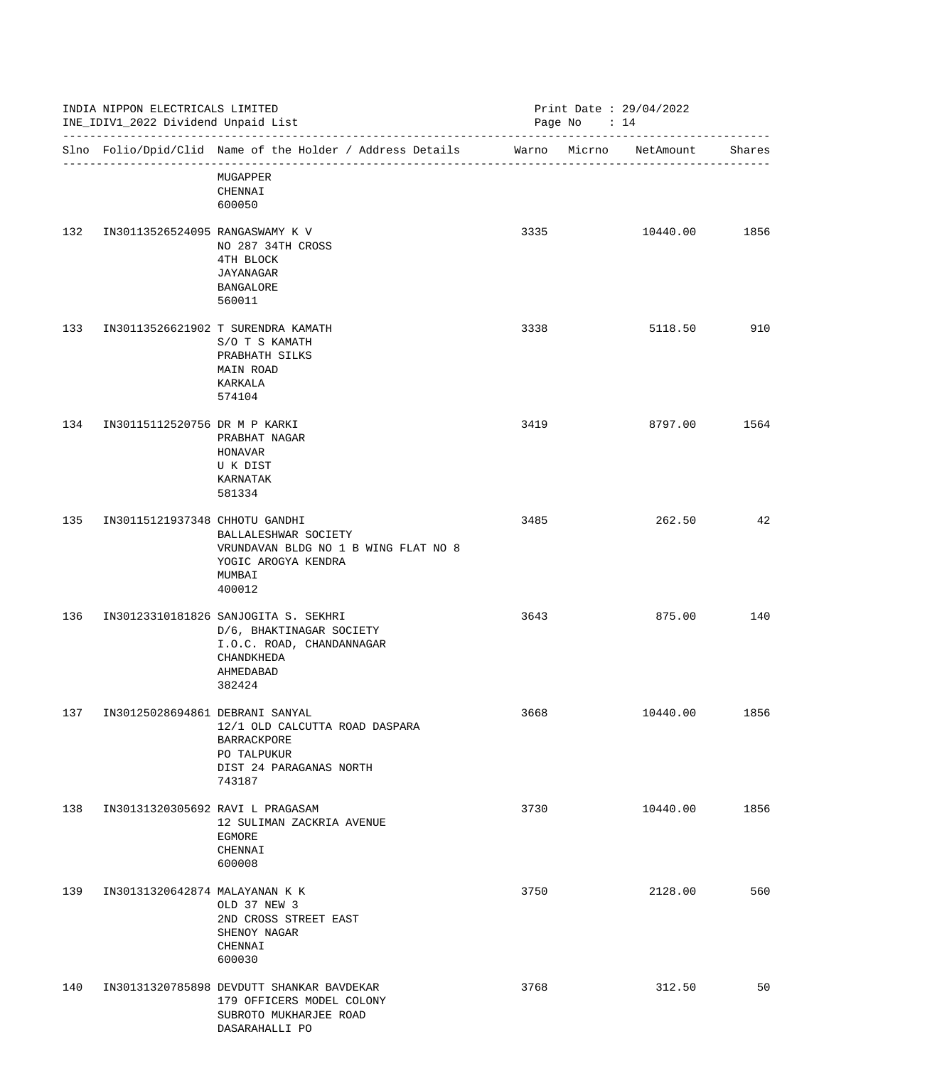|     | INDIA NIPPON ELECTRICALS LIMITED<br>INE_IDIV1_2022 Dividend Unpaid List<br>------------------------------- |                                                                                                                                    |      | Print Date: 29/04/2022<br>Page No : 14 |                        |        |  |
|-----|------------------------------------------------------------------------------------------------------------|------------------------------------------------------------------------------------------------------------------------------------|------|----------------------------------------|------------------------|--------|--|
|     |                                                                                                            | Slno Folio/Dpid/Clid Name of the Holder / Address Details                                                                          |      |                                        | Warno Micrno NetAmount | Shares |  |
|     |                                                                                                            | MUGAPPER<br>CHENNAI<br>600050                                                                                                      |      |                                        |                        |        |  |
| 132 | IN30113526524095 RANGASWAMY K V                                                                            | NO 287 34TH CROSS<br>4TH BLOCK<br>JAYANAGAR<br>BANGALORE<br>560011                                                                 | 3335 |                                        | 10440.00               | 1856   |  |
| 133 |                                                                                                            | IN30113526621902 T SURENDRA KAMATH<br>S/O T S KAMATH<br>PRABHATH SILKS<br>MAIN ROAD<br>KARKALA<br>574104                           | 3338 |                                        | 5118.50                | 910    |  |
| 134 | IN30115112520756 DR M P KARKI                                                                              | PRABHAT NAGAR<br>HONAVAR<br>U K DIST<br>KARNATAK<br>581334                                                                         | 3419 |                                        | 8797.00                | 1564   |  |
| 135 | IN30115121937348 CHHOTU GANDHI                                                                             | BALLALESHWAR SOCIETY<br>VRUNDAVAN BLDG NO 1 B WING FLAT NO 8<br>YOGIC AROGYA KENDRA<br>MUMBAI<br>400012                            | 3485 |                                        | 262.50                 | 42     |  |
| 136 |                                                                                                            | IN30123310181826 SANJOGITA S. SEKHRI<br>D/6, BHAKTINAGAR SOCIETY<br>I.O.C. ROAD, CHANDANNAGAR<br>CHANDKHEDA<br>AHMEDABAD<br>382424 | 3643 |                                        | 875.00                 | 140    |  |
| 137 | IN30125028694861 DEBRANI SANYAL                                                                            | 12/1 OLD CALCUTTA ROAD DASPARA<br>BARRACKPORE<br>PO TALPUKUR<br>DIST 24 PARAGANAS NORTH<br>743187                                  | 3668 |                                        | 10440.00               | 1856   |  |
| 138 | IN30131320305692 RAVI L PRAGASAM                                                                           | 12 SULIMAN ZACKRIA AVENUE<br>EGMORE<br>CHENNAI<br>600008                                                                           | 3730 |                                        | 10440.00               | 1856   |  |
| 139 | IN30131320642874 MALAYANAN K K                                                                             | OLD 37 NEW 3<br>2ND CROSS STREET EAST<br>SHENOY NAGAR<br>CHENNAI<br>600030                                                         | 3750 |                                        | 2128.00                | 560    |  |
| 140 |                                                                                                            | IN30131320785898 DEVDUTT SHANKAR BAVDEKAR<br>179 OFFICERS MODEL COLONY<br>SUBROTO MUKHARJEE ROAD<br>DASARAHALLI PO                 | 3768 |                                        | 312.50                 | 50     |  |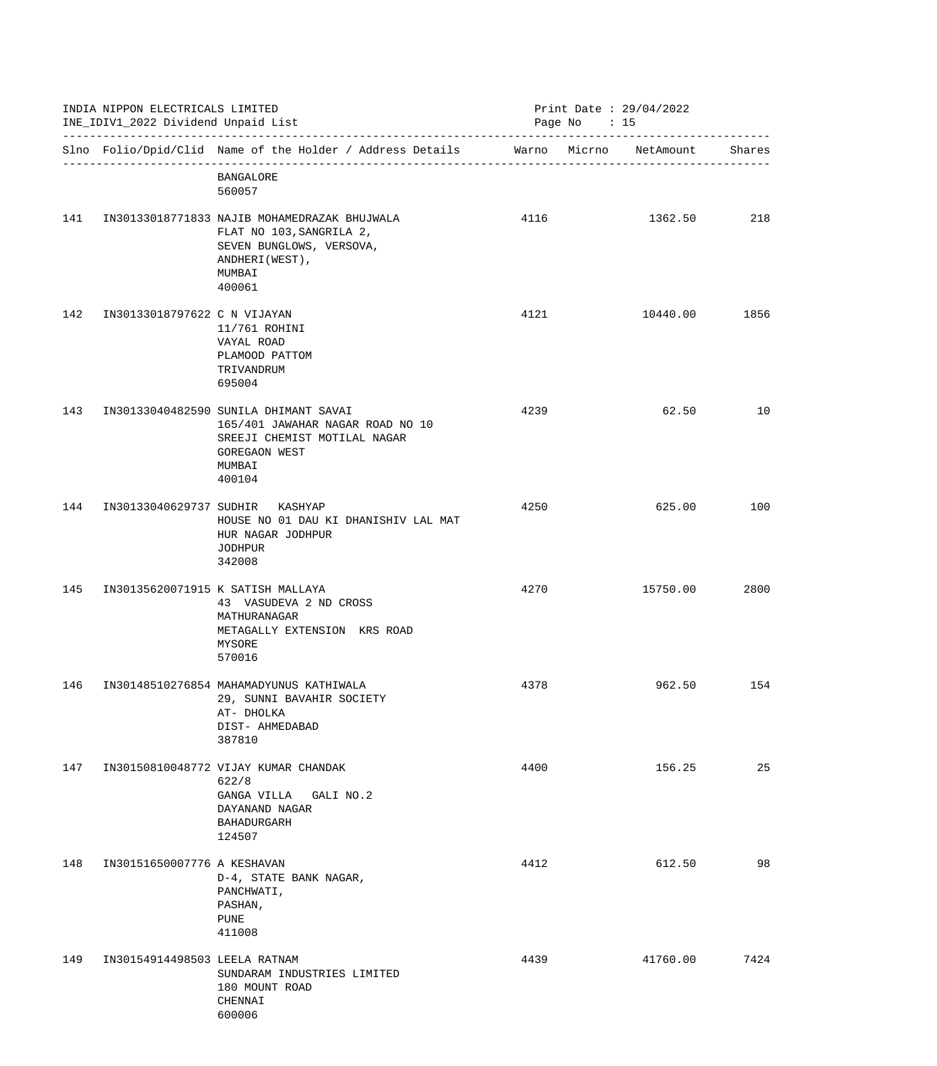| INDIA NIPPON ELECTRICALS LIMITED<br>INE_IDIV1_2022 Dividend Unpaid List |                               |                                                                                                                                                | Print Date : $29/04/2022$<br>Page No : 15 |                        |        |  |
|-------------------------------------------------------------------------|-------------------------------|------------------------------------------------------------------------------------------------------------------------------------------------|-------------------------------------------|------------------------|--------|--|
|                                                                         |                               | Slno Folio/Dpid/Clid Name of the Holder / Address Details                                                                                      |                                           | Warno Micrno NetAmount | Shares |  |
|                                                                         |                               | <b>BANGALORE</b><br>560057                                                                                                                     |                                           |                        |        |  |
| 141                                                                     |                               | IN30133018771833 NAJIB MOHAMEDRAZAK BHUJWALA<br>FLAT NO 103, SANGRILA 2,<br>SEVEN BUNGLOWS, VERSOVA,<br>ANDHERI (WEST),<br>MUMBAI<br>400061    | 4116                                      | 1362.50                | 218    |  |
| 142                                                                     | IN30133018797622 C N VIJAYAN  | 11/761 ROHINI<br>VAYAL ROAD<br>PLAMOOD PATTOM<br>TRIVANDRUM<br>695004                                                                          | 4121                                      | 10440.00               | 1856   |  |
| 143                                                                     |                               | IN30133040482590 SUNILA DHIMANT SAVAI<br>165/401 JAWAHAR NAGAR ROAD NO 10<br>SREEJI CHEMIST MOTILAL NAGAR<br>GOREGAON WEST<br>MUMBAI<br>400104 | 4239                                      | 62.50                  | 10     |  |
| 144                                                                     | IN30133040629737 SUDHIR       | KASHYAP<br>HOUSE NO 01 DAU KI DHANISHIV LAL MAT<br>HUR NAGAR JODHPUR<br><b>JODHPUR</b><br>342008                                               | 4250                                      | 625.00                 | 100    |  |
| 145                                                                     |                               | IN30135620071915 K SATISH MALLAYA<br>43 VASUDEVA 2 ND CROSS<br>MATHURANAGAR<br>METAGALLY EXTENSION KRS ROAD<br>MYSORE<br>570016                | 4270                                      | 15750.00               | 2800   |  |
| 146                                                                     |                               | IN30148510276854 MAHAMADYUNUS KATHIWALA<br>29, SUNNI BAVAHIR SOCIETY<br>AT- DHOLKA<br>DIST- AHMEDABAD<br>387810                                | 4378                                      | 962.50                 | 154    |  |
| 147                                                                     |                               | IN30150810048772 VIJAY KUMAR CHANDAK<br>622/8<br>GANGA VILLA<br>GALI NO.2<br>DAYANAND NAGAR<br><b>BAHADURGARH</b><br>124507                    | 4400                                      | 156.25                 | 25     |  |
| 148                                                                     | IN30151650007776 A KESHAVAN   | D-4, STATE BANK NAGAR,<br>PANCHWATI,<br>PASHAN,<br>PUNE<br>411008                                                                              | 4412                                      | 612.50                 | 98     |  |
| 149                                                                     | IN30154914498503 LEELA RATNAM | SUNDARAM INDUSTRIES LIMITED<br>180 MOUNT ROAD<br>CHENNAI<br>600006                                                                             | 4439                                      | 41760.00               | 7424   |  |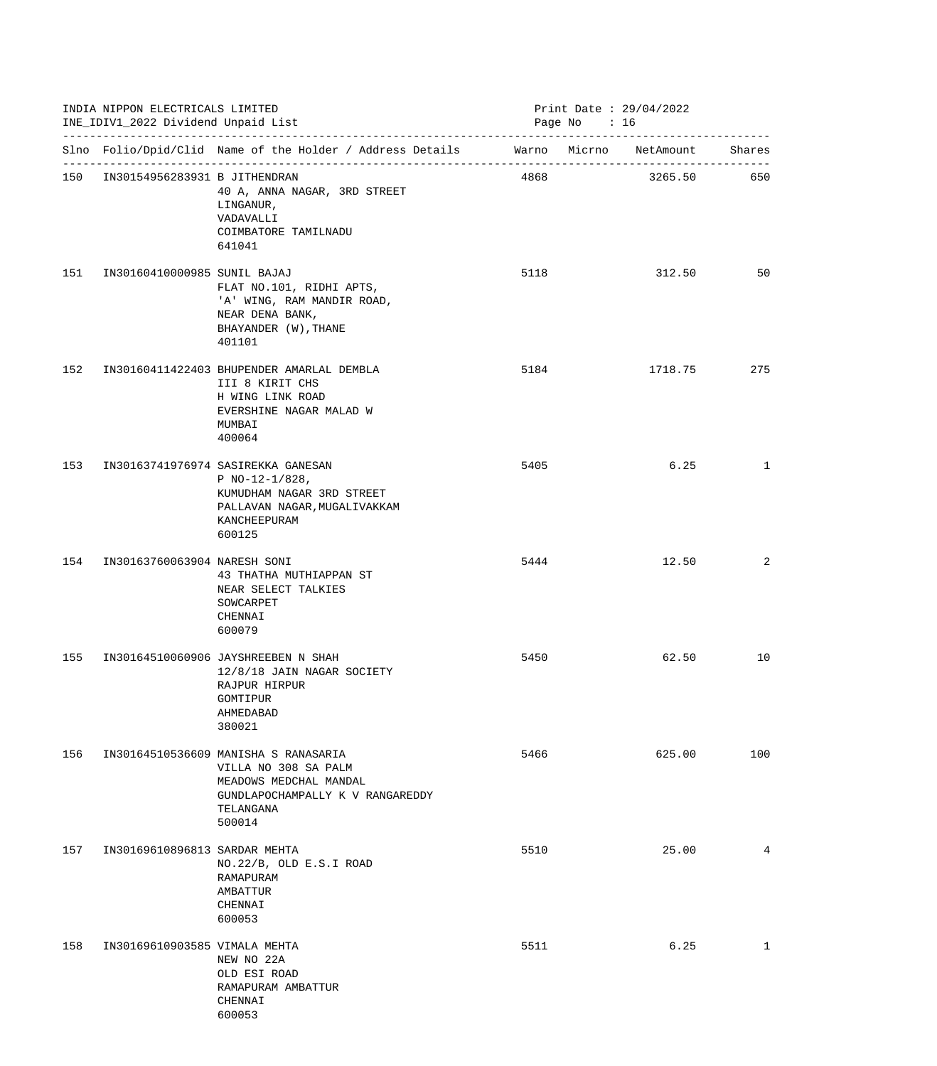|     | INDIA NIPPON ELECTRICALS LIMITED<br>INE_IDIV1_2022 Dividend Unpaid List |                                                                                                                                                   | Print Date : $29/04/2022$<br>Page No $: 16$ |  |         |              |
|-----|-------------------------------------------------------------------------|---------------------------------------------------------------------------------------------------------------------------------------------------|---------------------------------------------|--|---------|--------------|
|     |                                                                         | Slno Folio/Dpid/Clid Name of the Holder / Address Details Marno Micrno NetAmount Shares                                                           |                                             |  |         |              |
|     | 150 IN30154956283931 B JITHENDRAN                                       | 40 A, ANNA NAGAR, 3RD STREET<br>LINGANUR,<br>VADAVALLI<br>COIMBATORE TAMILNADU<br>641041                                                          | 4868                                        |  | 3265.50 | 650          |
| 151 | IN30160410000985 SUNIL BAJAJ                                            | FLAT NO.101, RIDHI APTS,<br>'A' WING, RAM MANDIR ROAD,<br>NEAR DENA BANK,<br>BHAYANDER (W), THANE<br>401101                                       | 5118                                        |  | 312.50  | 50           |
| 152 |                                                                         | IN30160411422403 BHUPENDER AMARLAL DEMBLA<br>III 8 KIRIT CHS<br>H WING LINK ROAD<br>EVERSHINE NAGAR MALAD W<br>MUMBAI<br>400064                   | 5184                                        |  | 1718.75 | 275          |
| 153 |                                                                         | IN30163741976974 SASIREKKA GANESAN<br>P NO-12-1/828,<br>KUMUDHAM NAGAR 3RD STREET<br>PALLAVAN NAGAR, MUGALIVAKKAM<br>KANCHEEPURAM<br>600125       | 5405                                        |  | 6.25    | $\mathbf{1}$ |
| 154 | IN30163760063904 NARESH SONI                                            | 43 THATHA MUTHIAPPAN ST<br>NEAR SELECT TALKIES<br>SOWCARPET<br>CHENNAI<br>600079                                                                  | 5444                                        |  | 12.50   | 2            |
|     |                                                                         | 155 IN30164510060906 JAYSHREEBEN N SHAH<br>12/8/18 JAIN NAGAR SOCIETY<br>RAJPUR HIRPUR<br>GOMTIPUR<br>AHMEDABAD<br>380021                         | 5450                                        |  | 62.50   | 10           |
| 156 |                                                                         | IN30164510536609 MANISHA S RANASARIA<br>VILLA NO 308 SA PALM<br>MEADOWS MEDCHAL MANDAL<br>GUNDLAPOCHAMPALLY K V RANGAREDDY<br>TELANGANA<br>500014 | 5466                                        |  | 625.00  | 100          |
| 157 | IN30169610896813 SARDAR MEHTA                                           | NO.22/B, OLD E.S.I ROAD<br>RAMAPURAM<br>AMBATTUR<br>CHENNAI<br>600053                                                                             | 5510                                        |  | 25.00   | 4            |
| 158 | IN30169610903585 VIMALA MEHTA                                           | NEW NO 22A<br>OLD ESI ROAD<br>RAMAPURAM AMBATTUR<br>CHENNAI<br>600053                                                                             | 5511                                        |  | 6.25    | $\mathbf{1}$ |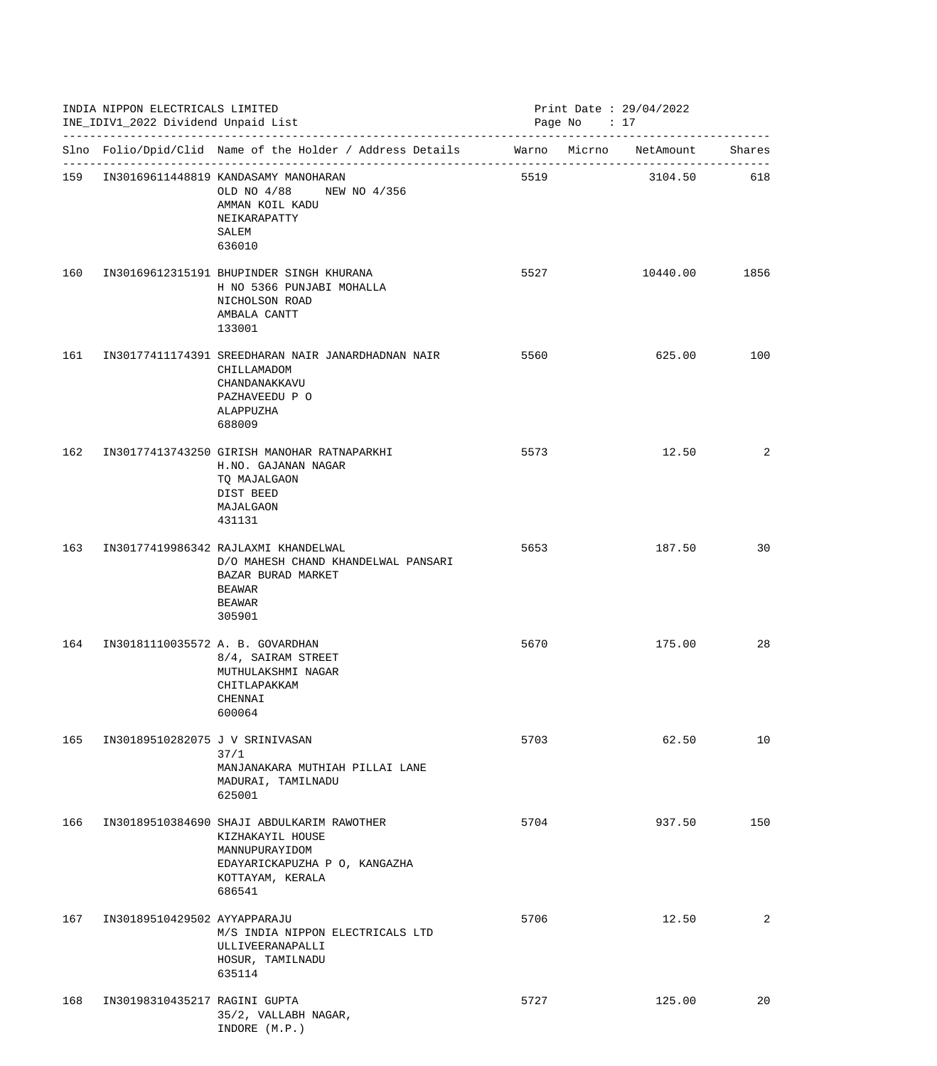|     | INDIA NIPPON ELECTRICALS LIMITED<br>INE_IDIV1_2022 Dividend Unpaid List |                                                                                                                                                 |      | Print Date : $29/04/2022$<br>Page No : 17 |           |        |
|-----|-------------------------------------------------------------------------|-------------------------------------------------------------------------------------------------------------------------------------------------|------|-------------------------------------------|-----------|--------|
|     |                                                                         | Slno Folio/Dpid/Clid Name of the Holder / Address Details Marno Micrno                                                                          |      |                                           | NetAmount | Shares |
|     |                                                                         | 159 IN30169611448819 KANDASAMY MANOHARAN<br>OLD NO 4/88 NEW NO 4/356<br>AMMAN KOIL KADU<br>NEIKARAPATTY<br>SALEM<br>636010                      | 5519 |                                           | 3104.50   | 618    |
| 160 |                                                                         | IN30169612315191 BHUPINDER SINGH KHURANA<br>H NO 5366 PUNJABI MOHALLA<br>NICHOLSON ROAD<br>AMBALA CANTT<br>133001                               | 5527 |                                           | 10440.00  | 1856   |
| 161 |                                                                         | IN30177411174391 SREEDHARAN NAIR JANARDHADNAN NAIR<br>CHILLAMADOM<br>CHANDANAKKAVU<br>PAZHAVEEDU P O<br>ALAPPUZHA<br>688009                     | 5560 |                                           | 625.00    | 100    |
| 162 |                                                                         | IN30177413743250 GIRISH MANOHAR RATNAPARKHI<br>H.NO. GAJANAN NAGAR<br>TO MAJALGAON<br>DIST BEED<br>MAJALGAON<br>431131                          | 5573 |                                           | 12.50     | 2      |
| 163 |                                                                         | IN30177419986342 RAJLAXMI KHANDELWAL<br>D/O MAHESH CHAND KHANDELWAL PANSARI<br>BAZAR BURAD MARKET<br>BEAWAR<br>BEAWAR<br>305901                 | 5653 |                                           | 187.50    | 30     |
| 164 | IN30181110035572 A. B. GOVARDHAN                                        | 8/4, SAIRAM STREET<br>MUTHULAKSHMI NAGAR<br>CHITLAPAKKAM<br>CHENNAI<br>600064                                                                   | 5670 |                                           | 175.00    | 28     |
| 165 | IN30189510282075 J V SRINIVASAN                                         | 37/1<br>MANJANAKARA MUTHIAH PILLAI LANE<br>MADURAI, TAMILNADU<br>625001                                                                         | 5703 |                                           | 62.50     | 10     |
| 166 |                                                                         | IN30189510384690 SHAJI ABDULKARIM RAWOTHER<br>KIZHAKAYIL HOUSE<br>MANNUPURAYIDOM<br>EDAYARICKAPUZHA P O, KANGAZHA<br>KOTTAYAM, KERALA<br>686541 | 5704 |                                           | 937.50    | 150    |
| 167 | IN30189510429502 AYYAPPARAJU                                            | M/S INDIA NIPPON ELECTRICALS LTD<br>ULLIVEERANAPALLI<br>HOSUR, TAMILNADU<br>635114                                                              | 5706 |                                           | 12.50     | 2      |
| 168 | IN30198310435217 RAGINI GUPTA                                           | 35/2, VALLABH NAGAR,<br>INDORE (M.P.)                                                                                                           | 5727 |                                           | 125.00    | 20     |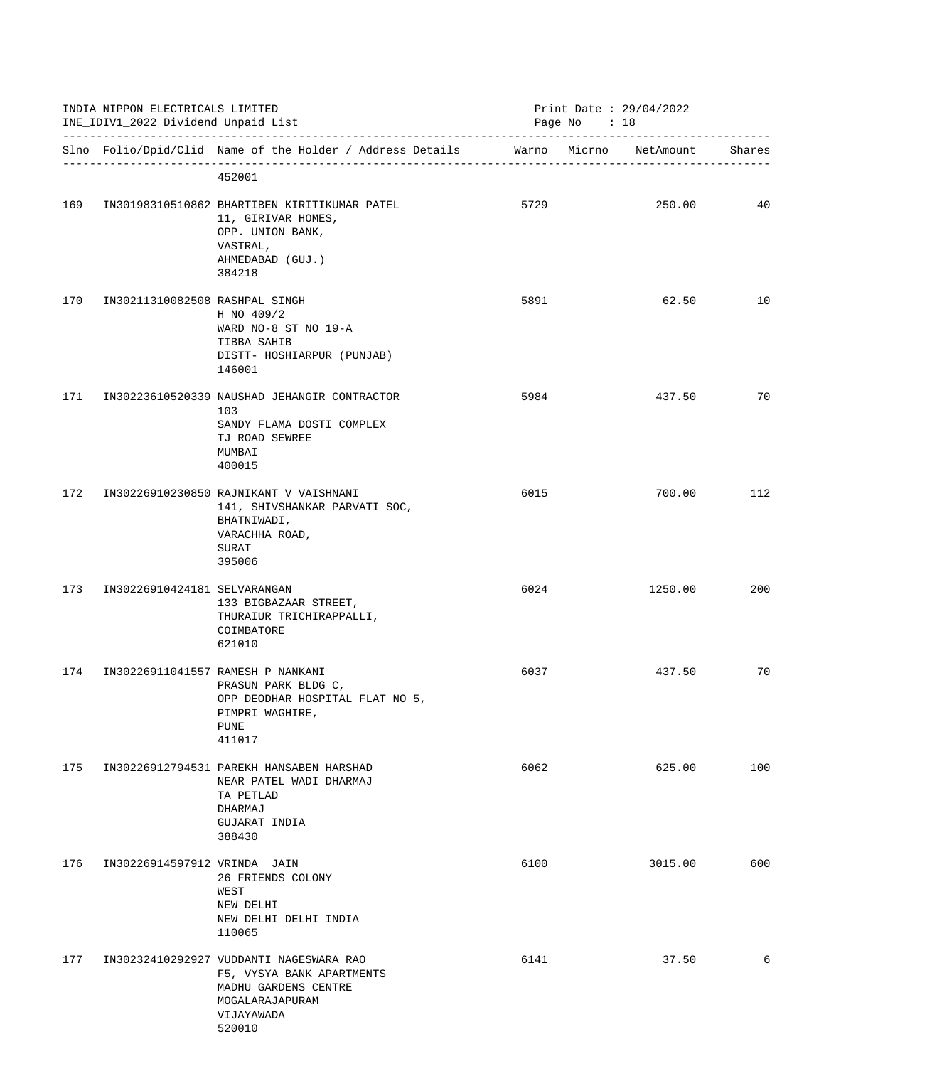|     | INDIA NIPPON ELECTRICALS LIMITED<br>INE_IDIV1_2022 Dividend Unpaid List |                                                                                                                                         |      | Print Date : $29/04/2022$<br>Page No : 18 |         |        |
|-----|-------------------------------------------------------------------------|-----------------------------------------------------------------------------------------------------------------------------------------|------|-------------------------------------------|---------|--------|
|     |                                                                         | Slno Folio/Dpid/Clid Name of the Holder / Address Details Marno Micrno NetAmount                                                        |      |                                           |         | Shares |
|     |                                                                         | 452001                                                                                                                                  |      |                                           |         |        |
| 169 |                                                                         | IN30198310510862 BHARTIBEN KIRITIKUMAR PATEL<br>11, GIRIVAR HOMES,<br>OPP. UNION BANK,<br>VASTRAL,<br>AHMEDABAD (GUJ.)<br>384218        | 5729 |                                           | 250.00  | 40     |
| 170 | IN30211310082508 RASHPAL SINGH                                          | H NO 409/2<br>WARD NO-8 ST NO 19-A<br>TIBBA SAHIB<br>DISTT- HOSHIARPUR (PUNJAB)<br>146001                                               | 5891 |                                           | 62.50   | 10     |
| 171 |                                                                         | IN30223610520339 NAUSHAD JEHANGIR CONTRACTOR<br>103<br>SANDY FLAMA DOSTI COMPLEX<br>TJ ROAD SEWREE<br>MUMBAI<br>400015                  | 5984 |                                           | 437.50  | 70     |
| 172 |                                                                         | IN30226910230850 RAJNIKANT V VAISHNANI<br>141, SHIVSHANKAR PARVATI SOC,<br>BHATNIWADI,<br>VARACHHA ROAD,<br>SURAT<br>395006             | 6015 |                                           | 700.00  | 112    |
| 173 | IN30226910424181 SELVARANGAN                                            | 133 BIGBAZAAR STREET,<br>THURAIUR TRICHIRAPPALLI,<br>COIMBATORE<br>621010                                                               | 6024 |                                           | 1250.00 | 200    |
| 174 |                                                                         | IN30226911041557 RAMESH P NANKANI<br>PRASUN PARK BLDG C,<br>OPP DEODHAR HOSPITAL FLAT NO 5,<br>PIMPRI WAGHIRE,<br><b>PUNE</b><br>411017 | 6037 |                                           | 437.50  | 70     |
| 175 |                                                                         | IN30226912794531 PAREKH HANSABEN HARSHAD<br>NEAR PATEL WADI DHARMAJ<br>TA PETLAD<br>DHARMAJ<br>GUJARAT INDIA<br>388430                  | 6062 |                                           | 625.00  | 100    |
| 176 | IN30226914597912 VRINDA JAIN                                            | 26 FRIENDS COLONY<br>WEST<br>NEW DELHI<br>NEW DELHI DELHI INDIA<br>110065                                                               | 6100 |                                           | 3015.00 | 600    |
| 177 |                                                                         | IN30232410292927 VUDDANTI NAGESWARA RAO<br>F5, VYSYA BANK APARTMENTS<br>MADHU GARDENS CENTRE<br>MOGALARAJAPURAM<br>VIJAYAWADA<br>520010 | 6141 |                                           | 37.50   | 6      |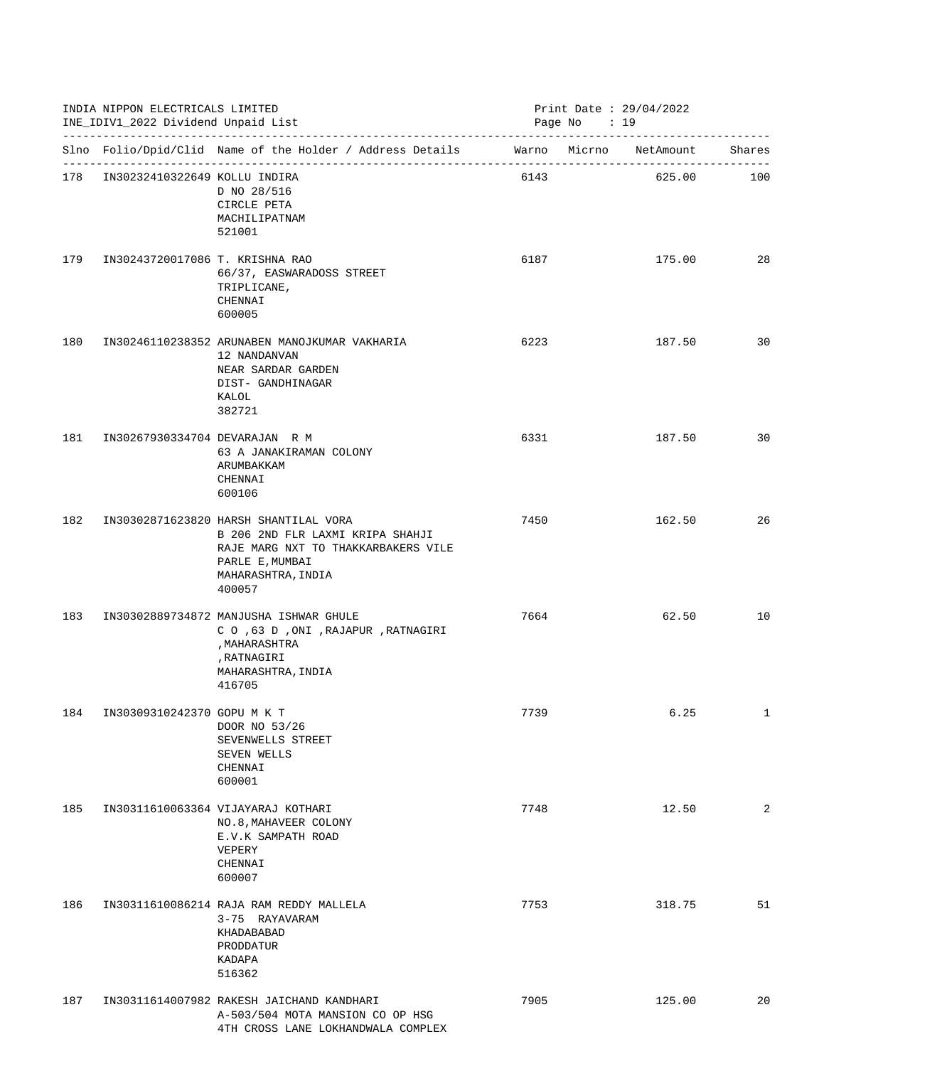|     | INDIA NIPPON ELECTRICALS LIMITED<br>INE_IDIV1_2022 Dividend Unpaid List |                                                                                                                                                                     |      | Print Date : $29/04/2022$<br>Page No : 19 |        |              |  |
|-----|-------------------------------------------------------------------------|---------------------------------------------------------------------------------------------------------------------------------------------------------------------|------|-------------------------------------------|--------|--------------|--|
|     |                                                                         | Slno Folio/Dpid/Clid Name of the Holder / Address Details Warno Micrno NetAmount Shares                                                                             |      |                                           |        |              |  |
|     | 178 IN30232410322649 KOLLU INDIRA                                       | D NO 28/516<br>CIRCLE PETA<br>MACHILIPATNAM<br>521001                                                                                                               | 6143 |                                           | 625.00 | 100          |  |
| 179 | IN30243720017086 T. KRISHNA RAO                                         | 66/37, EASWARADOSS STREET<br>TRIPLICANE,<br>CHENNAI<br>600005                                                                                                       | 6187 |                                           | 175.00 | 28           |  |
| 180 |                                                                         | IN30246110238352 ARUNABEN MANOJKUMAR VAKHARIA<br>12 NANDANVAN<br>NEAR SARDAR GARDEN<br>DIST- GANDHINAGAR<br>KALOL<br>382721                                         | 6223 |                                           | 187.50 | 30           |  |
| 181 | IN30267930334704 DEVARAJAN R M                                          | 63 A JANAKIRAMAN COLONY<br>ARUMBAKKAM<br>CHENNAI<br>600106                                                                                                          | 6331 |                                           | 187.50 | 30           |  |
| 182 |                                                                         | IN30302871623820 HARSH SHANTILAL VORA<br>B 206 2ND FLR LAXMI KRIPA SHAHJI<br>RAJE MARG NXT TO THAKKARBAKERS VILE<br>PARLE E, MUMBAI<br>MAHARASHTRA, INDIA<br>400057 | 7450 |                                           | 162.50 | 26           |  |
| 183 |                                                                         | IN30302889734872 MANJUSHA ISHWAR GHULE<br>C O ,63 D , ONI , RAJAPUR , RATNAGIRI<br>, MAHARASHTRA<br>, RATNAGIRI<br>MAHARASHTRA, INDIA<br>416705                     | 7664 |                                           | 62.50  | 10           |  |
| 184 | IN30309310242370 GOPU M K T                                             | DOOR NO 53/26<br>SEVENWELLS STREET<br>SEVEN WELLS<br>CHENNAI<br>600001                                                                                              | 7739 |                                           | 6.25   | $\mathbf{1}$ |  |
| 185 |                                                                         | IN30311610063364 VIJAYARAJ KOTHARI<br>NO.8, MAHAVEER COLONY<br>E.V.K SAMPATH ROAD<br>VEPERY<br>CHENNAI<br>600007                                                    | 7748 |                                           | 12.50  | 2            |  |
| 186 |                                                                         | IN30311610086214 RAJA RAM REDDY MALLELA<br>3-75 RAYAVARAM<br>KHADABABAD<br>PRODDATUR<br>KADAPA<br>516362                                                            | 7753 |                                           | 318.75 | 51           |  |
| 187 |                                                                         | IN30311614007982 RAKESH JAICHAND KANDHARI<br>A-503/504 MOTA MANSION CO OP HSG<br>4TH CROSS LANE LOKHANDWALA COMPLEX                                                 | 7905 |                                           | 125.00 | 20           |  |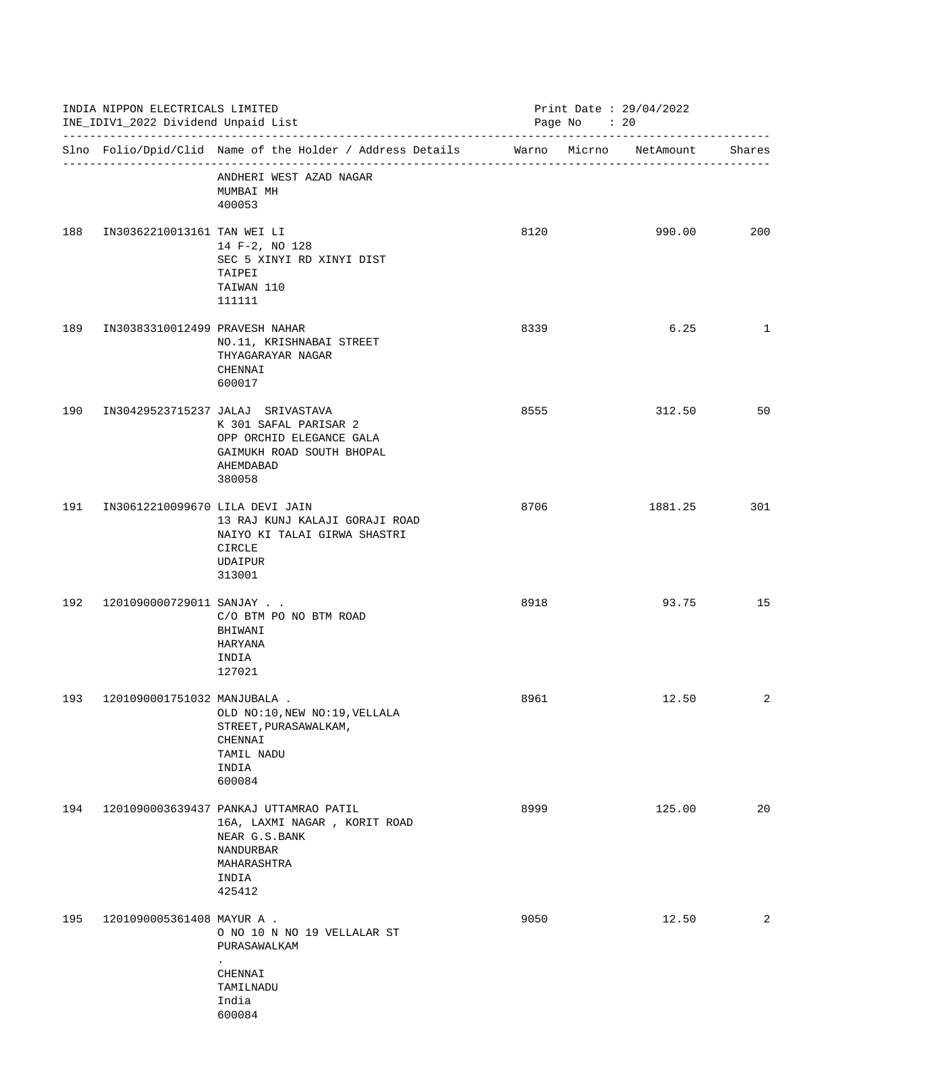|     | INDIA NIPPON ELECTRICALS LIMITED<br>INE_IDIV1_2022 Dividend Unpaid List |                                                                                                                                            |      | Print Date: 29/04/2022<br>Page No : 20 |         |        |
|-----|-------------------------------------------------------------------------|--------------------------------------------------------------------------------------------------------------------------------------------|------|----------------------------------------|---------|--------|
|     |                                                                         | Slno Folio/Dpid/Clid Name of the Holder / Address Details Marno Micrno NetAmount                                                           |      |                                        |         | Shares |
|     |                                                                         | ANDHERI WEST AZAD NAGAR<br>MUMBAI MH<br>400053                                                                                             |      |                                        |         |        |
| 188 | IN30362210013161 TAN WEI LI                                             | 14 F-2, NO 128<br>SEC 5 XINYI RD XINYI DIST<br>TAIPEI<br>TAIWAN 110<br>111111                                                              | 8120 |                                        | 990.00  | 200    |
| 189 | IN30383310012499 PRAVESH NAHAR                                          | NO.11, KRISHNABAI STREET<br>THYAGARAYAR NAGAR<br>CHENNAI<br>600017                                                                         | 8339 |                                        | 6.25    | 1      |
| 190 |                                                                         | IN30429523715237 JALAJ SRIVASTAVA<br>K 301 SAFAL PARISAR 2<br>OPP ORCHID ELEGANCE GALA<br>GAIMUKH ROAD SOUTH BHOPAL<br>AHEMDABAD<br>380058 | 8555 |                                        | 312.50  | 50     |
| 191 | IN30612210099670 LILA DEVI JAIN                                         | 13 RAJ KUNJ KALAJI GORAJI ROAD<br>NAIYO KI TALAI GIRWA SHASTRI<br>CIRCLE<br>UDAIPUR<br>313001                                              | 8706 |                                        | 1881.25 | 301    |
| 192 | 1201090000729011 SANJAY                                                 | C/O BTM PO NO BTM ROAD<br>BHIWANI<br>HARYANA<br>INDIA<br>127021                                                                            | 8918 |                                        | 93.75   | 15     |
| 193 | 1201090001751032 MANJUBALA .                                            | OLD NO:10, NEW NO:19, VELLALA<br>STREET, PURASAWALKAM,<br>CHENNAI<br>TAMIL NADU<br>INDIA<br>600084                                         | 8961 |                                        | 12.50   | 2      |
| 194 |                                                                         | 1201090003639437 PANKAJ UTTAMRAO PATIL<br>16A, LAXMI NAGAR , KORIT ROAD<br>NEAR G.S.BANK<br>NANDURBAR<br>MAHARASHTRA<br>INDIA<br>425412    | 8999 |                                        | 125.00  | 20     |
| 195 | 1201090005361408 MAYUR A .                                              | O NO 10 N NO 19 VELLALAR ST<br>PURASAWALKAM<br>CHENNAI<br>TAMILNADU<br>India<br>600084                                                     | 9050 |                                        | 12.50   | 2      |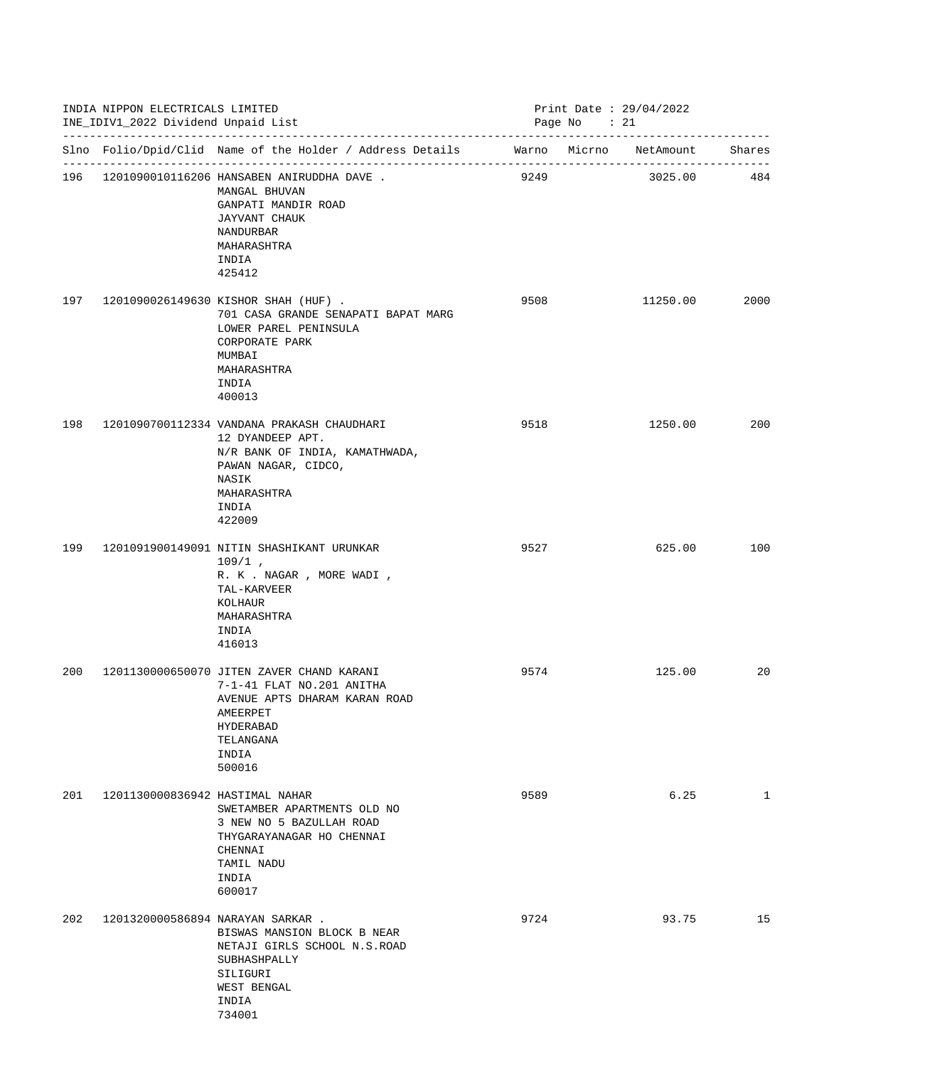|     | INDIA NIPPON ELECTRICALS LIMITED<br>INE_IDIV1_2022 Dividend Unpaid List |                                                                                                                                                                    |      | Print Date: 29/04/2022<br>Page No : 21 |          |              |  |
|-----|-------------------------------------------------------------------------|--------------------------------------------------------------------------------------------------------------------------------------------------------------------|------|----------------------------------------|----------|--------------|--|
|     |                                                                         | Slno Folio/Dpid/Clid Name of the Holder / Address Details Marno Micrno NetAmount                                                                                   |      |                                        |          | Shares       |  |
|     |                                                                         | 196 1201090010116206 HANSABEN ANIRUDDHA DAVE.<br>MANGAL BHUVAN<br>GANPATI MANDIR ROAD<br>JAYVANT CHAUK<br>NANDURBAR<br>MAHARASHTRA<br>INDIA<br>425412              | 9249 |                                        | 3025.00  | 484          |  |
| 197 |                                                                         | 1201090026149630 KISHOR SHAH (HUF).<br>701 CASA GRANDE SENAPATI BAPAT MARG<br>LOWER PAREL PENINSULA<br>CORPORATE PARK<br>MUMBAI<br>MAHARASHTRA<br>INDIA<br>400013  | 9508 |                                        | 11250.00 | 2000         |  |
| 198 |                                                                         | 1201090700112334 VANDANA PRAKASH CHAUDHARI<br>12 DYANDEEP APT.<br>N/R BANK OF INDIA, KAMATHWADA,<br>PAWAN NAGAR, CIDCO,<br>NASIK<br>MAHARASHTRA<br>INDIA<br>422009 | 9518 |                                        | 1250.00  | 200          |  |
| 199 |                                                                         | 1201091900149091 NITIN SHASHIKANT URUNKAR<br>$109/1$ ,<br>R. K . NAGAR , MORE WADI ,<br>TAL-KARVEER<br>KOLHAUR<br>MAHARASHTRA<br>INDIA<br>416013                   | 9527 |                                        | 625.00   | 100          |  |
| 200 |                                                                         | 1201130000650070 JITEN ZAVER CHAND KARANI<br>7-1-41 FLAT NO.201 ANITHA<br>AVENUE APTS DHARAM KARAN ROAD<br>AMEERPET<br>HYDERABAD<br>TELANGANA<br>INDIA<br>500016   | 9574 |                                        | 125.00   | 20           |  |
| 201 | 1201130000836942 HASTIMAL NAHAR                                         | SWETAMBER APARTMENTS OLD NO<br>3 NEW NO 5 BAZULLAH ROAD<br>THYGARAYANAGAR HO CHENNAI<br>CHENNAI<br>TAMIL NADU<br>INDIA<br>600017                                   | 9589 |                                        | 6.25     | $\mathbf{1}$ |  |
| 202 |                                                                         | 1201320000586894 NARAYAN SARKAR .<br>BISWAS MANSION BLOCK B NEAR<br>NETAJI GIRLS SCHOOL N.S.ROAD<br>SUBHASHPALLY<br>SILIGURI<br>WEST BENGAL<br>INDIA<br>734001     | 9724 |                                        | 93.75    | 15           |  |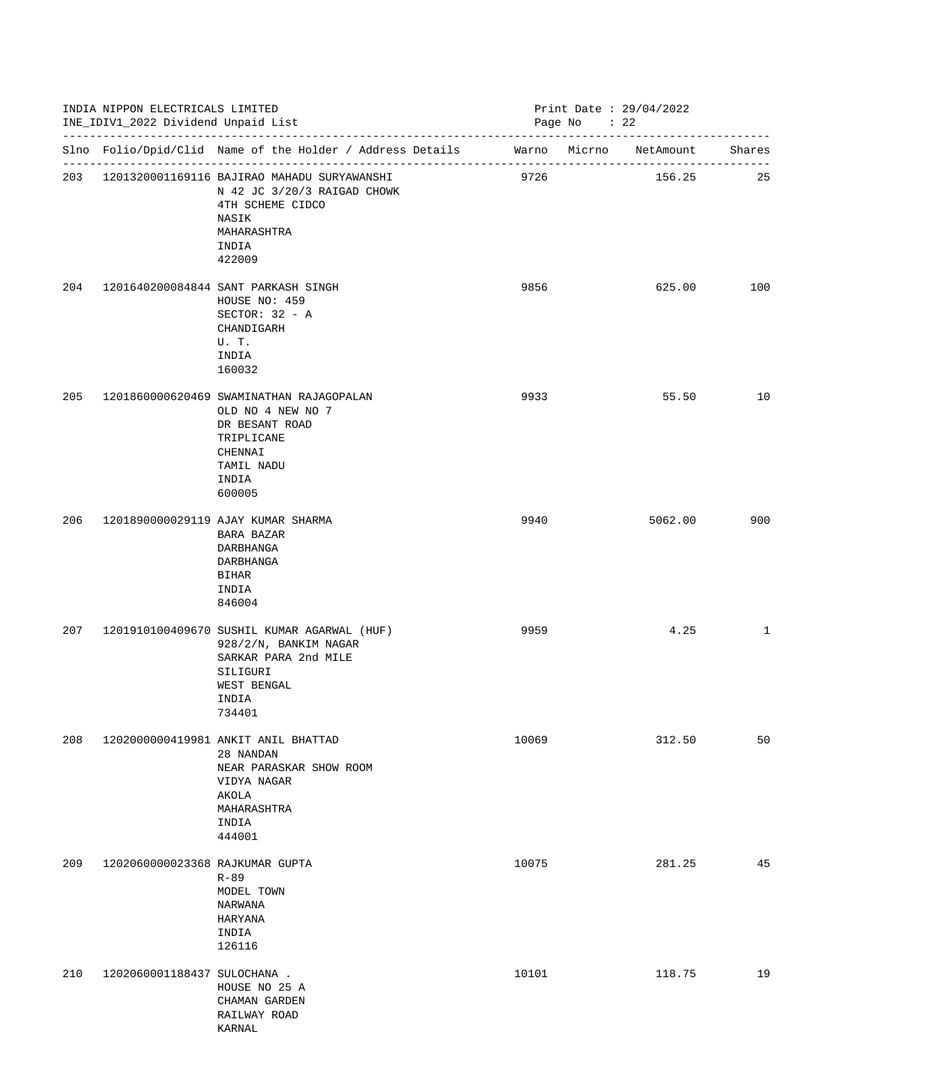|     | INDIA NIPPON ELECTRICALS LIMITED<br>INE_IDIV1_2022 Dividend Unpaid List |                                                                                                                                               |       | Print Date : $29/04/2022$<br>Page No : 22 |              |  |  |
|-----|-------------------------------------------------------------------------|-----------------------------------------------------------------------------------------------------------------------------------------------|-------|-------------------------------------------|--------------|--|--|
|     |                                                                         | Slno Folio/Dpid/Clid Name of the Holder / Address Details Marno Micrno NetAmount Shares                                                       |       |                                           |              |  |  |
|     |                                                                         | 203 1201320001169116 BAJIRAO MAHADU SURYAWANSHI<br>N 42 JC 3/20/3 RAIGAD CHOWK<br>4TH SCHEME CIDCO<br>NASIK<br>MAHARASHTRA<br>INDIA<br>422009 | 9726  | 156.25                                    | 25           |  |  |
| 204 |                                                                         | 1201640200084844 SANT PARKASH SINGH<br>HOUSE NO: 459<br>SECTOR: $32 - A$<br>CHANDIGARH<br>U.T.<br>INDIA<br>160032                             | 9856  | 625.00                                    | 100          |  |  |
| 205 |                                                                         | 1201860000620469 SWAMINATHAN RAJAGOPALAN<br>OLD NO 4 NEW NO 7<br>DR BESANT ROAD<br>TRIPLICANE<br>CHENNAI<br>TAMIL NADU<br>INDIA<br>600005     | 9933  | 55.50                                     | 10           |  |  |
| 206 |                                                                         | 1201890000029119 AJAY KUMAR SHARMA<br>BARA BAZAR<br>DARBHANGA<br>DARBHANGA<br><b>BIHAR</b><br>INDIA<br>846004                                 | 9940  | 5062.00                                   | 900          |  |  |
| 207 |                                                                         | 1201910100409670 SUSHIL KUMAR AGARWAL (HUF)<br>928/2/N, BANKIM NAGAR<br>SARKAR PARA 2nd MILE<br>SILIGURI<br>WEST BENGAL<br>INDIA<br>734401    | 9959  | 4.25                                      | $\mathbf{1}$ |  |  |
| 208 |                                                                         | 1202000000419981 ANKIT ANIL BHATTAD<br>28 NANDAN<br>NEAR PARASKAR SHOW ROOM<br>VIDYA NAGAR<br>AKOLA<br>MAHARASHTRA<br>INDIA<br>444001         | 10069 | 312.50                                    | 50           |  |  |
| 209 | 1202060000023368 RAJKUMAR GUPTA                                         | $R - 89$<br>MODEL TOWN<br>NARWANA<br>HARYANA<br>INDIA<br>126116                                                                               | 10075 | 281.25                                    | 45           |  |  |
| 210 | 1202060001188437 SULOCHANA .                                            | HOUSE NO 25 A<br>CHAMAN GARDEN<br>RAILWAY ROAD<br>KARNAL                                                                                      | 10101 | 118.75                                    | 19           |  |  |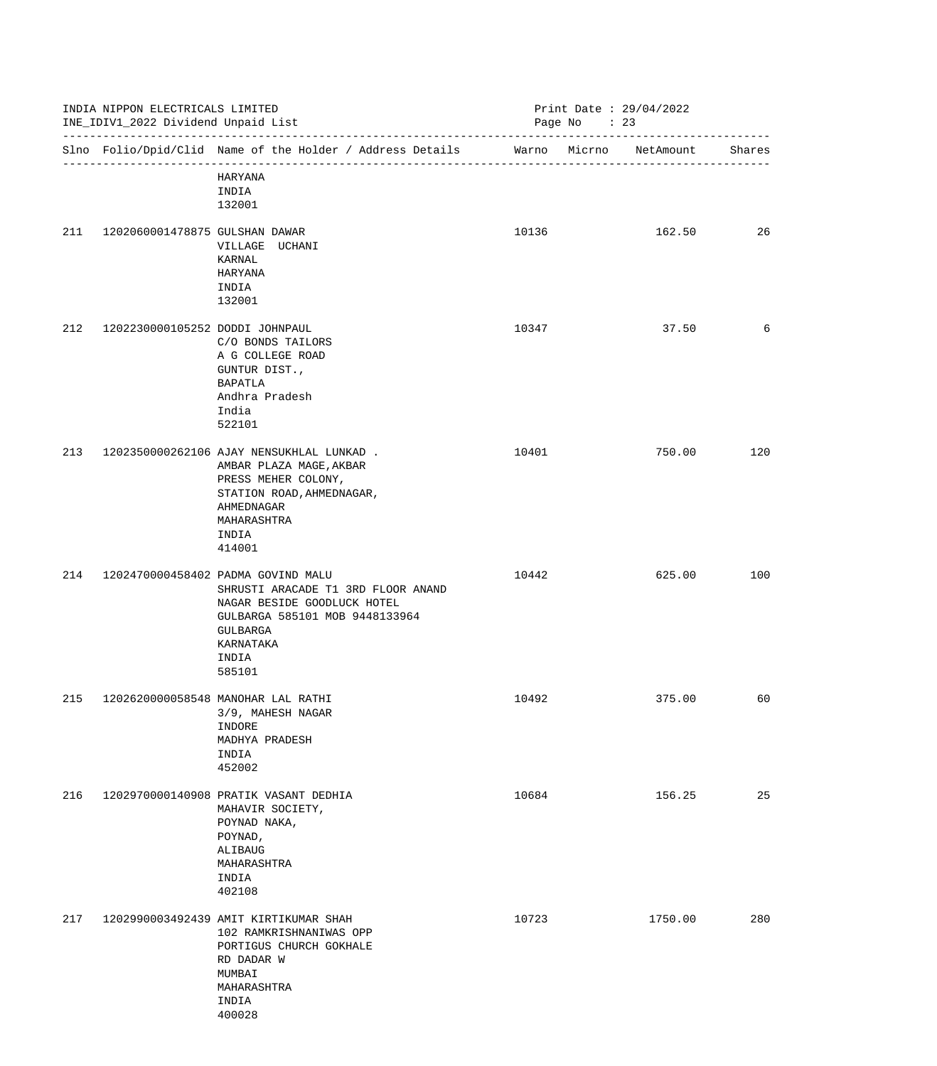|     | INDIA NIPPON ELECTRICALS LIMITED<br>INE_IDIV1_2022 Dividend Unpaid List |                                                                                                                                                                                       |       | Print Date : $29/04/2022$<br>Page No : 23 |                        |        |
|-----|-------------------------------------------------------------------------|---------------------------------------------------------------------------------------------------------------------------------------------------------------------------------------|-------|-------------------------------------------|------------------------|--------|
|     |                                                                         | Slno Folio/Dpid/Clid Name of the Holder / Address Details                                                                                                                             |       |                                           | Warno Micrno NetAmount | Shares |
|     |                                                                         | HARYANA<br>INDIA<br>132001                                                                                                                                                            |       |                                           |                        |        |
| 211 | 1202060001478875 GULSHAN DAWAR                                          | VILLAGE UCHANI<br>KARNAL<br>HARYANA<br>INDIA<br>132001                                                                                                                                | 10136 |                                           | 162.50                 | 26     |
| 212 | 1202230000105252 DODDI JOHNPAUL                                         | C/O BONDS TAILORS<br>A G COLLEGE ROAD<br>GUNTUR DIST.,<br>BAPATLA<br>Andhra Pradesh<br>India<br>522101                                                                                | 10347 |                                           | 37.50                  | 6      |
| 213 |                                                                         | 1202350000262106 AJAY NENSUKHLAL LUNKAD.<br>AMBAR PLAZA MAGE, AKBAR<br>PRESS MEHER COLONY,<br>STATION ROAD, AHMEDNAGAR,<br>AHMEDNAGAR<br>MAHARASHTRA<br>INDIA<br>414001               | 10401 |                                           | 750.00                 | 120    |
| 214 |                                                                         | 1202470000458402 PADMA GOVIND MALU<br>SHRUSTI ARACADE T1 3RD FLOOR ANAND<br>NAGAR BESIDE GOODLUCK HOTEL<br>GULBARGA 585101 MOB 9448133964<br>GULBARGA<br>KARNATAKA<br>INDIA<br>585101 | 10442 |                                           | 625.00                 | 100    |
| 215 |                                                                         | 1202620000058548 MANOHAR LAL RATHI<br>3/9, MAHESH NAGAR<br>INDORE<br>MADHYA PRADESH<br>INDIA<br>452002                                                                                | 10492 |                                           | 375.00                 | 60     |
| 216 |                                                                         | 1202970000140908 PRATIK VASANT DEDHIA<br>MAHAVIR SOCIETY,<br>POYNAD NAKA,<br>POYNAD,<br>ALIBAUG<br>MAHARASHTRA<br>INDIA<br>402108                                                     | 10684 |                                           | 156.25                 | 25     |
| 217 |                                                                         | 1202990003492439 AMIT KIRTIKUMAR SHAH<br>102 RAMKRISHNANIWAS OPP<br>PORTIGUS CHURCH GOKHALE<br>RD DADAR W<br>MUMBAI<br>MAHARASHTRA<br>INDIA<br>400028                                 | 10723 |                                           | 1750.00                | 280    |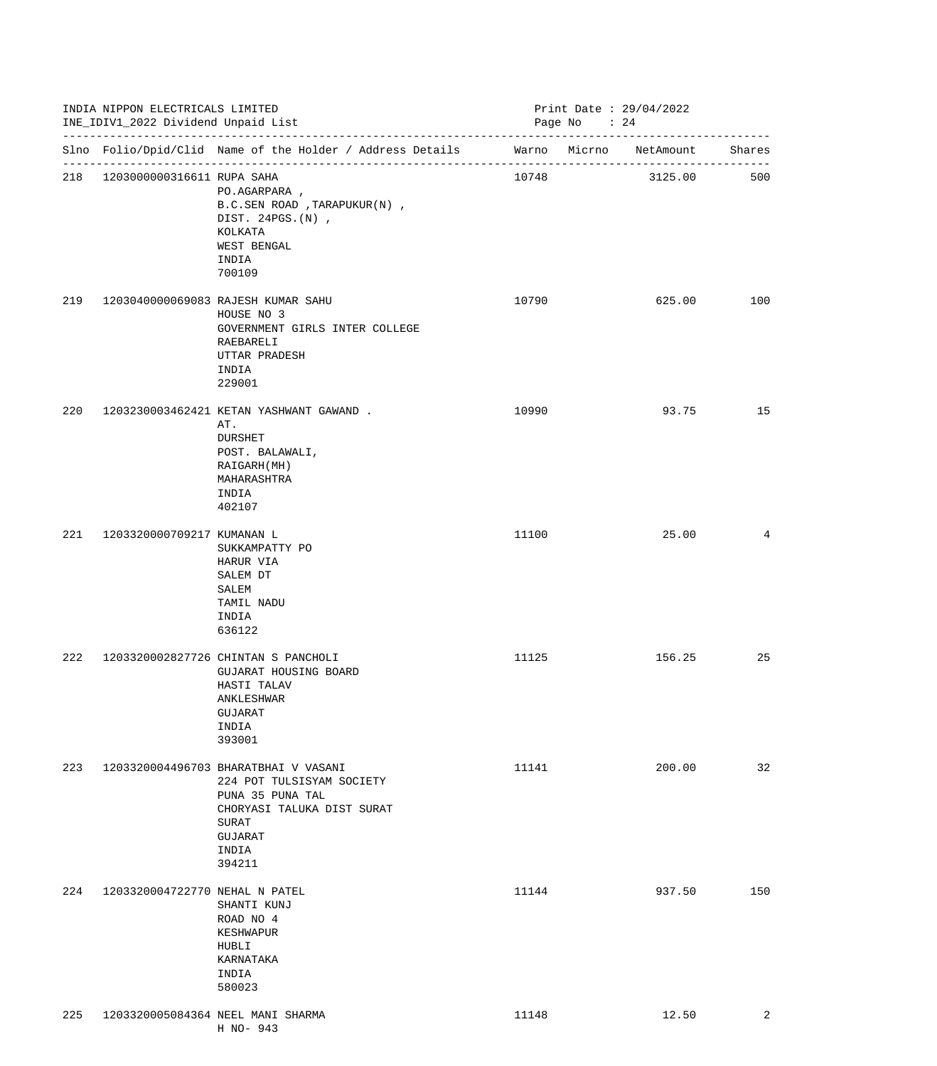|     | INDIA NIPPON ELECTRICALS LIMITED<br>INE_IDIV1_2022 Dividend Unpaid List |                                                                                                                                                                   |       | Print Date: 29/04/2022<br>Page No : 24 |         |     |  |
|-----|-------------------------------------------------------------------------|-------------------------------------------------------------------------------------------------------------------------------------------------------------------|-------|----------------------------------------|---------|-----|--|
|     |                                                                         | Slno Folio/Dpid/Clid Name of the Holder / Address Details Marno Micrno NetAmount Shares                                                                           |       |                                        |         |     |  |
|     | 218 1203000000316611 RUPA SAHA                                          | PO.AGARPARA,<br>B.C.SEN ROAD, TARAPUKUR(N),<br>DIST. 24PGS. (N),<br>KOLKATA<br>WEST BENGAL<br>INDIA<br>700109                                                     | 10748 |                                        | 3125.00 | 500 |  |
| 219 |                                                                         | 1203040000069083 RAJESH KUMAR SAHU<br>HOUSE NO 3<br>GOVERNMENT GIRLS INTER COLLEGE<br>RAEBARELI<br>UTTAR PRADESH<br>INDIA<br>229001                               | 10790 |                                        | 625.00  | 100 |  |
| 220 |                                                                         | 1203230003462421 KETAN YASHWANT GAWAND.<br>AT.<br><b>DURSHET</b><br>POST. BALAWALI,<br>RAIGARH (MH)<br>MAHARASHTRA<br>INDIA<br>402107                             | 10990 |                                        | 93.75   | 15  |  |
| 221 | 1203320000709217 KUMANAN L                                              | SUKKAMPATTY PO<br>HARUR VIA<br>SALEM DT<br>SALEM<br>TAMIL NADU<br>INDIA<br>636122                                                                                 | 11100 |                                        | 25.00   | 4   |  |
| 222 |                                                                         | 1203320002827726 CHINTAN S PANCHOLI<br>GUJARAT HOUSING BOARD<br>HASTI TALAV<br>ANKLESHWAR<br>GUJARAT<br>INDIA<br>393001                                           | 11125 |                                        | 156.25  | 25  |  |
| 223 |                                                                         | 1203320004496703 BHARATBHAI V VASANI<br>224 POT TULSISYAM SOCIETY<br>PUNA 35 PUNA TAL<br>CHORYASI TALUKA DIST SURAT<br><b>SURAT</b><br>GUJARAT<br>INDIA<br>394211 | 11141 |                                        | 200.00  | 32  |  |
| 224 | 1203320004722770 NEHAL N PATEL                                          | SHANTI KUNJ<br>ROAD NO 4<br>KESHWAPUR<br>HUBLI<br>KARNATAKA<br>INDIA<br>580023                                                                                    | 11144 |                                        | 937.50  | 150 |  |
| 225 |                                                                         | 1203320005084364 NEEL MANI SHARMA<br>H NO- 943                                                                                                                    | 11148 |                                        | 12.50   | 2   |  |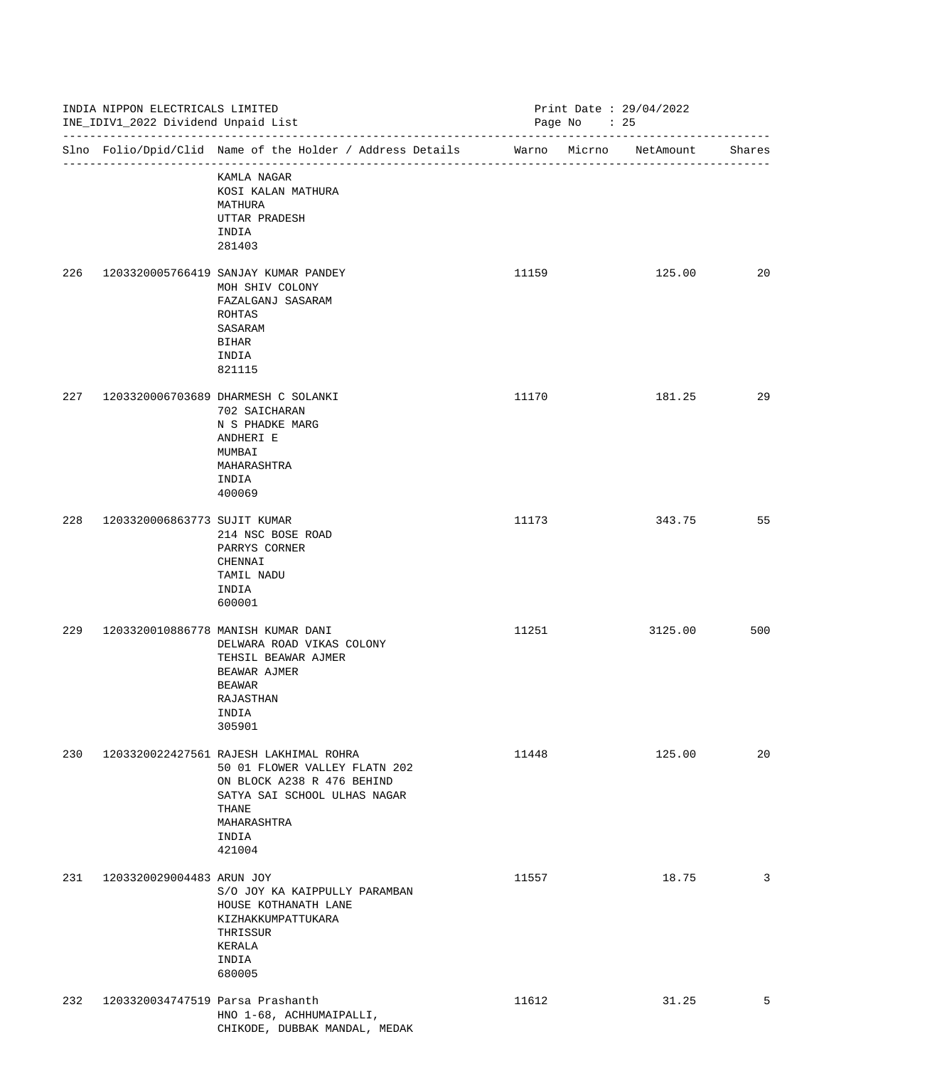|     | INDIA NIPPON ELECTRICALS LIMITED<br>INE_IDIV1_2022 Dividend Unpaid List<br>-------------------------------- |                                                                                                                                                                                  |       | Print Date: 29/04/2022<br>Page No : 25 |        |
|-----|-------------------------------------------------------------------------------------------------------------|----------------------------------------------------------------------------------------------------------------------------------------------------------------------------------|-------|----------------------------------------|--------|
|     |                                                                                                             | Slno Folio/Dpid/Clid Name of the Holder / Address Details                                                                                                                        |       | Warno Micrno<br>NetAmount              | Shares |
|     |                                                                                                             | KAMLA NAGAR<br>KOSI KALAN MATHURA<br>MATHURA<br>UTTAR PRADESH<br>INDIA<br>281403                                                                                                 |       |                                        |        |
| 226 |                                                                                                             | 1203320005766419 SANJAY KUMAR PANDEY<br>MOH SHIV COLONY<br>FAZALGANJ SASARAM<br>ROHTAS<br>SASARAM<br><b>BIHAR</b><br>INDIA<br>821115                                             | 11159 | 125.00                                 | 20     |
| 227 |                                                                                                             | 1203320006703689 DHARMESH C SOLANKI<br>702 SAICHARAN<br>N S PHADKE MARG<br>ANDHERI E<br>MUMBAI<br>MAHARASHTRA<br>INDIA<br>400069                                                 | 11170 | 181.25                                 | 29     |
| 228 | 1203320006863773 SUJIT KUMAR                                                                                | 214 NSC BOSE ROAD<br>PARRYS CORNER<br>CHENNAI<br>TAMIL NADU<br>INDIA<br>600001                                                                                                   | 11173 | 343.75                                 | 55     |
| 229 |                                                                                                             | 1203320010886778 MANISH KUMAR DANI<br>DELWARA ROAD VIKAS COLONY<br>TEHSIL BEAWAR AJMER<br>BEAWAR AJMER<br>BEAWAR<br>RAJASTHAN<br>INDIA<br>305901                                 | 11251 | 3125.00                                | 500    |
| 230 |                                                                                                             | 1203320022427561 RAJESH LAKHIMAL ROHRA<br>50 01 FLOWER VALLEY FLATN 202<br>ON BLOCK A238 R 476 BEHIND<br>SATYA SAI SCHOOL ULHAS NAGAR<br>THANE<br>MAHARASHTRA<br>INDIA<br>421004 | 11448 | 125.00                                 | 20     |
| 231 | 1203320029004483 ARUN JOY                                                                                   | S/O JOY KA KAIPPULLY PARAMBAN<br>HOUSE KOTHANATH LANE<br>KIZHAKKUMPATTUKARA<br>THRISSUR<br>KERALA<br>INDIA<br>680005                                                             | 11557 | 18.75                                  | 3      |
| 232 | 1203320034747519 Parsa Prashanth                                                                            | HNO 1-68, ACHHUMAIPALLI,<br>CHIKODE, DUBBAK MANDAL, MEDAK                                                                                                                        | 11612 | 31.25                                  | 5      |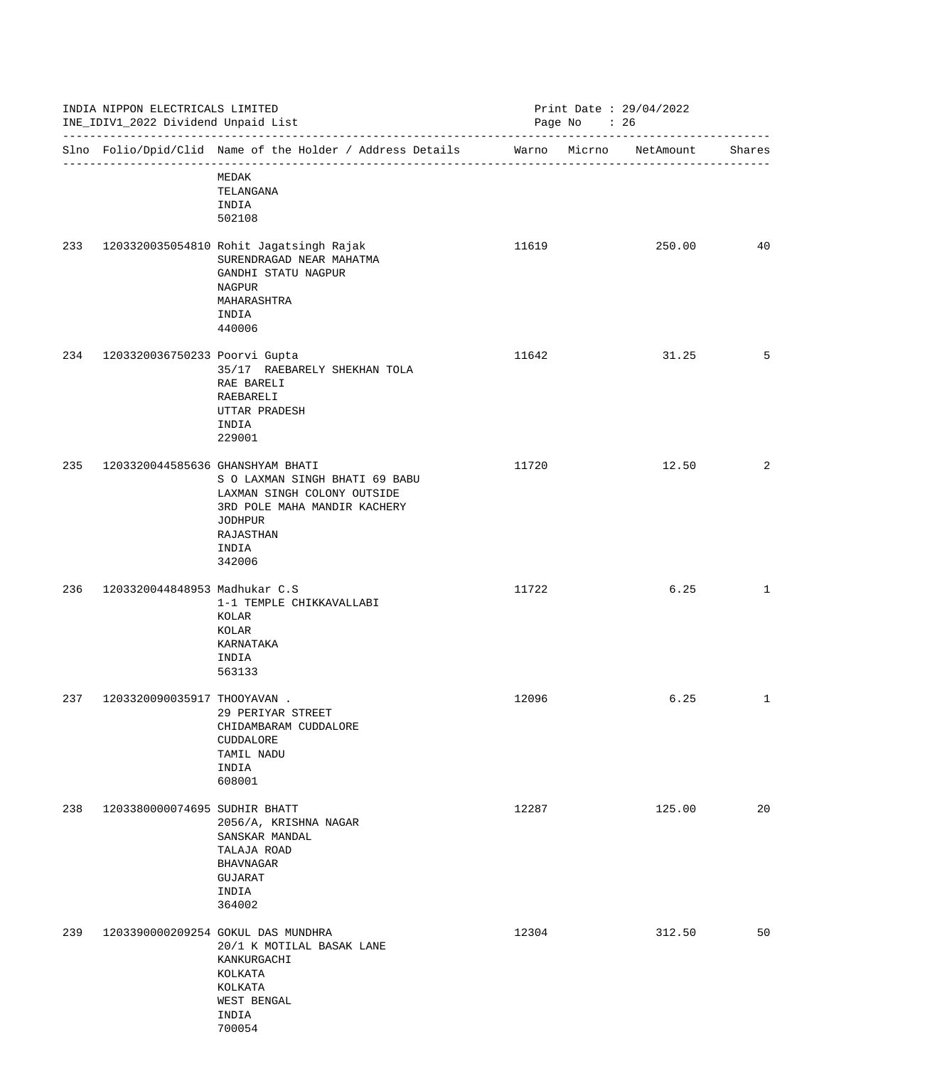|     | INDIA NIPPON ELECTRICALS LIMITED<br>INE_IDIV1_2022 Dividend Unpaid List<br>------------------------------ |                                                                                                                                          |       | Print Date: 29/04/2022<br>Page No : 26 |              |
|-----|-----------------------------------------------------------------------------------------------------------|------------------------------------------------------------------------------------------------------------------------------------------|-------|----------------------------------------|--------------|
|     |                                                                                                           | Slno Folio/Dpid/Clid Name of the Holder / Address Details                                                                                |       | Warno Micrno NetAmount                 | Shares       |
|     |                                                                                                           | MEDAK<br>TELANGANA<br>INDIA<br>502108                                                                                                    |       |                                        |              |
| 233 |                                                                                                           | 1203320035054810 Rohit Jagatsingh Rajak<br>SURENDRAGAD NEAR MAHATMA<br>GANDHI STATU NAGPUR<br>NAGPUR<br>MAHARASHTRA<br>INDIA<br>440006   | 11619 | 250.00                                 | 40           |
| 234 | 1203320036750233 Poorvi Gupta                                                                             | 35/17 RAEBARELY SHEKHAN TOLA<br>RAE BARELI<br>RAEBARELI<br>UTTAR PRADESH<br>INDIA<br>229001                                              | 11642 | 31.25                                  | 5            |
| 235 | 1203320044585636 GHANSHYAM BHATI                                                                          | S O LAXMAN SINGH BHATI 69 BABU<br>LAXMAN SINGH COLONY OUTSIDE<br>3RD POLE MAHA MANDIR KACHERY<br>JODHPUR<br>RAJASTHAN<br>INDIA<br>342006 | 11720 | 12.50                                  | 2            |
| 236 | 1203320044848953 Madhukar C.S                                                                             | 1-1 TEMPLE CHIKKAVALLABI<br>KOLAR<br>KOLAR<br>KARNATAKA<br>INDIA<br>563133                                                               | 11722 | 6.25                                   | $\mathbf{1}$ |
| 237 | 1203320090035917 THOOYAVAN .                                                                              | 29 PERIYAR STREET<br>CHIDAMBARAM CUDDALORE<br>CUDDALORE<br>TAMIL NADU<br>INDIA<br>608001                                                 | 12096 | 6.25                                   | $\mathbf{1}$ |
| 238 | 1203380000074695 SUDHIR BHATT                                                                             | 2056/A, KRISHNA NAGAR<br>SANSKAR MANDAL<br>TALAJA ROAD<br><b>BHAVNAGAR</b><br>GUJARAT<br>INDIA<br>364002                                 | 12287 | 125.00                                 | 20           |
| 239 |                                                                                                           | 1203390000209254 GOKUL DAS MUNDHRA<br>20/1 K MOTILAL BASAK LANE<br>KANKURGACHI<br>KOLKATA<br>KOLKATA<br>WEST BENGAL<br>INDIA<br>700054   | 12304 | 312.50                                 | 50           |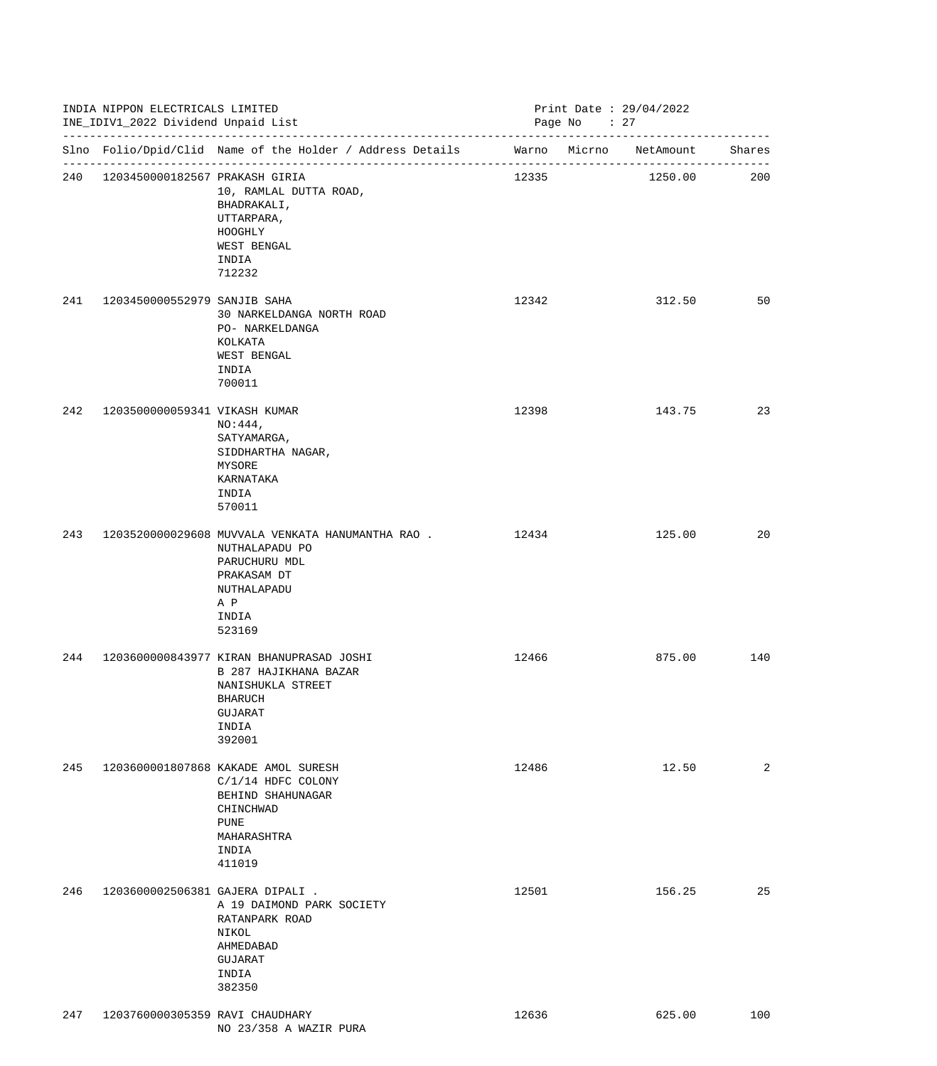|     | INDIA NIPPON ELECTRICALS LIMITED<br>INE_IDIV1_2022 Dividend Unpaid List |                                                                                                                                                   |       | Print Date: 29/04/2022<br>Page No : 27 |     |
|-----|-------------------------------------------------------------------------|---------------------------------------------------------------------------------------------------------------------------------------------------|-------|----------------------------------------|-----|
|     |                                                                         | Slno Folio/Dpid/Clid Name of the Holder / Address Details Marno Micrno NetAmount Shares                                                           |       |                                        |     |
|     | 240 1203450000182567 PRAKASH GIRIA                                      | 10, RAMLAL DUTTA ROAD,<br>BHADRAKALI,<br>UTTARPARA,<br>HOOGHLY<br>WEST BENGAL<br>INDIA<br>712232                                                  | 12335 | 1250.00                                | 200 |
| 241 | 1203450000552979 SANJIB SAHA                                            | 30 NARKELDANGA NORTH ROAD<br>PO- NARKELDANGA<br>KOLKATA<br>WEST BENGAL<br>INDIA<br>700011                                                         | 12342 | 312.50                                 | 50  |
| 242 | 1203500000059341 VIKASH KUMAR                                           | $NO:444$ ,<br>SATYAMARGA,<br>SIDDHARTHA NAGAR,<br>MYSORE<br>KARNATAKA<br>INDIA<br>570011                                                          | 12398 | 143.75                                 | 23  |
| 243 |                                                                         | 1203520000029608 MUVVALA VENKATA HANUMANTHA RAO . 2434<br>NUTHALAPADU PO<br>PARUCHURU MDL<br>PRAKASAM DT<br>NUTHALAPADU<br>A P<br>INDIA<br>523169 |       | 125.00                                 | 20  |
| 244 |                                                                         | 1203600000843977 KIRAN BHANUPRASAD JOSHI<br>B 287 HAJIKHANA BAZAR<br>NANISHUKLA STREET<br><b>BHARUCH</b><br>GUJARAT<br>INDIA<br>392001            | 12466 | 875.00                                 | 140 |
| 245 |                                                                         | 1203600001807868 KAKADE AMOL SURESH<br>$C/1/14$ HDFC COLONY<br>BEHIND SHAHUNAGAR<br>CHINCHWAD<br>PUNE<br>MAHARASHTRA<br>INDIA<br>411019           | 12486 | 12.50                                  | 2   |
| 246 | 1203600002506381 GAJERA DIPALI.                                         | A 19 DAIMOND PARK SOCIETY<br>RATANPARK ROAD<br>NIKOL<br>AHMEDABAD<br>GUJARAT<br>INDIA<br>382350                                                   | 12501 | 156.25                                 | 25  |
| 247 | 1203760000305359 RAVI CHAUDHARY                                         | NO 23/358 A WAZIR PURA                                                                                                                            | 12636 | 625.00                                 | 100 |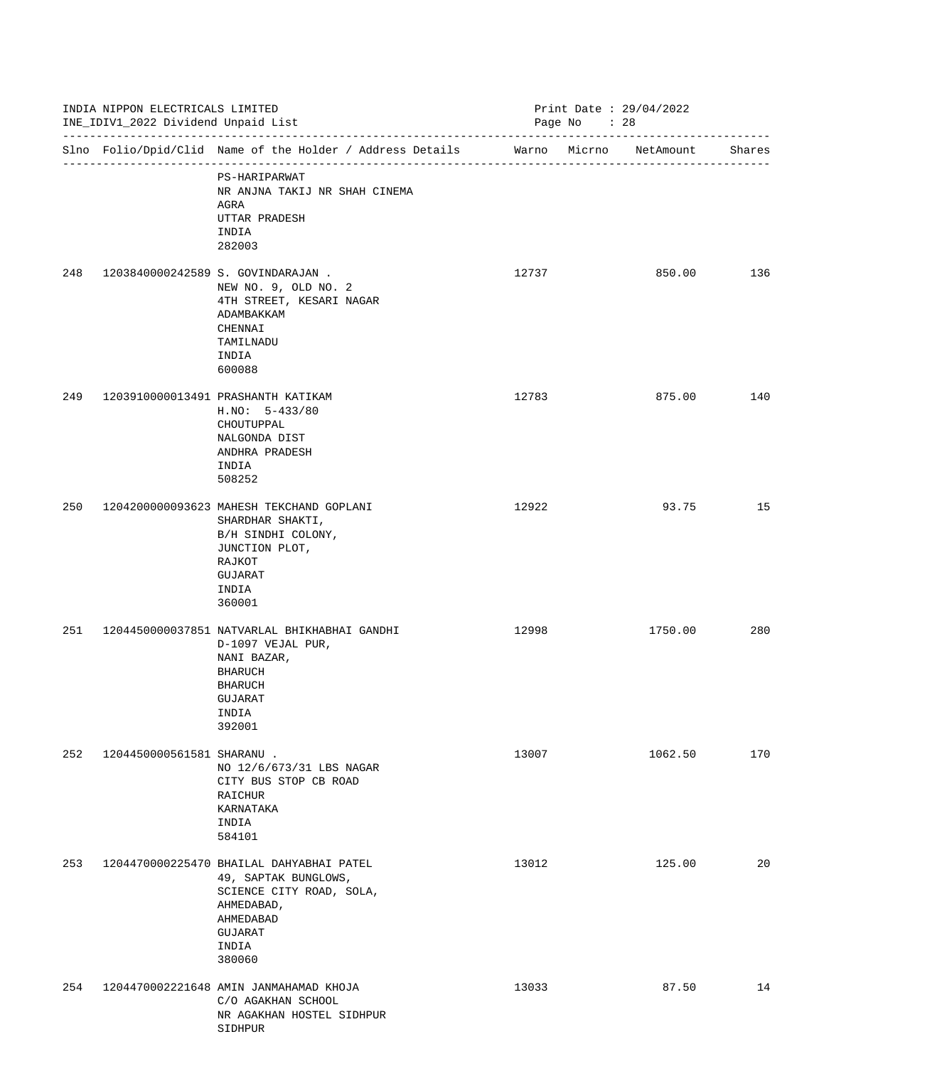|     | INDIA NIPPON ELECTRICALS LIMITED<br>INE_IDIV1_2022 Dividend Unpaid List |                                                                                                                                                       |       | Print Date: 29/04/2022<br>Page No : 28 |        |  |  |
|-----|-------------------------------------------------------------------------|-------------------------------------------------------------------------------------------------------------------------------------------------------|-------|----------------------------------------|--------|--|--|
|     |                                                                         | Slno Folio/Dpid/Clid Name of the Holder / Address Details Warno Micrno NetAmount                                                                      |       |                                        | Shares |  |  |
|     |                                                                         | PS-HARIPARWAT<br>NR ANJNA TAKIJ NR SHAH CINEMA<br>AGRA<br>UTTAR PRADESH<br>INDIA<br>282003                                                            |       |                                        |        |  |  |
| 248 |                                                                         | 1203840000242589 S. GOVINDARAJAN.<br>NEW NO. 9, OLD NO. 2<br>4TH STREET, KESARI NAGAR<br>ADAMBAKKAM<br>CHENNAI<br>TAMILNADU<br>INDIA<br>600088        | 12737 | 850.00                                 | 136    |  |  |
| 249 |                                                                         | 1203910000013491 PRASHANTH KATIKAM<br>$H.NO: 5-433/80$<br>CHOUTUPPAL<br>NALGONDA DIST<br>ANDHRA PRADESH<br>INDIA<br>508252                            | 12783 | 875.00                                 | 140    |  |  |
| 250 |                                                                         | 1204200000093623 MAHESH TEKCHAND GOPLANI<br>SHARDHAR SHAKTI,<br>B/H SINDHI COLONY,<br>JUNCTION PLOT,<br>RAJKOT<br>GUJARAT<br>INDIA<br>360001          | 12922 | 93.75                                  | 15     |  |  |
| 251 |                                                                         | 1204450000037851 NATVARLAL BHIKHABHAI GANDHI<br>D-1097 VEJAL PUR,<br>NANI BAZAR,<br><b>BHARUCH</b><br><b>BHARUCH</b><br>GUJARAT<br>INDIA<br>392001    | 12998 | 1750.00                                | 280    |  |  |
| 252 | 1204450000561581 SHARANU .                                              | NO 12/6/673/31 LBS NAGAR<br>CITY BUS STOP CB ROAD<br>RAICHUR<br>KARNATAKA<br>INDIA<br>584101                                                          | 13007 | 1062.50                                | 170    |  |  |
| 253 |                                                                         | 1204470000225470 BHAILAL DAHYABHAI PATEL<br>49, SAPTAK BUNGLOWS,<br>SCIENCE CITY ROAD, SOLA,<br>AHMEDABAD,<br>AHMEDABAD<br>GUJARAT<br>INDIA<br>380060 | 13012 | 125.00                                 | 20     |  |  |
| 254 |                                                                         | 1204470002221648 AMIN JANMAHAMAD KHOJA<br>C/O AGAKHAN SCHOOL<br>NR AGAKHAN HOSTEL SIDHPUR<br>SIDHPUR                                                  | 13033 | 87.50                                  | 14     |  |  |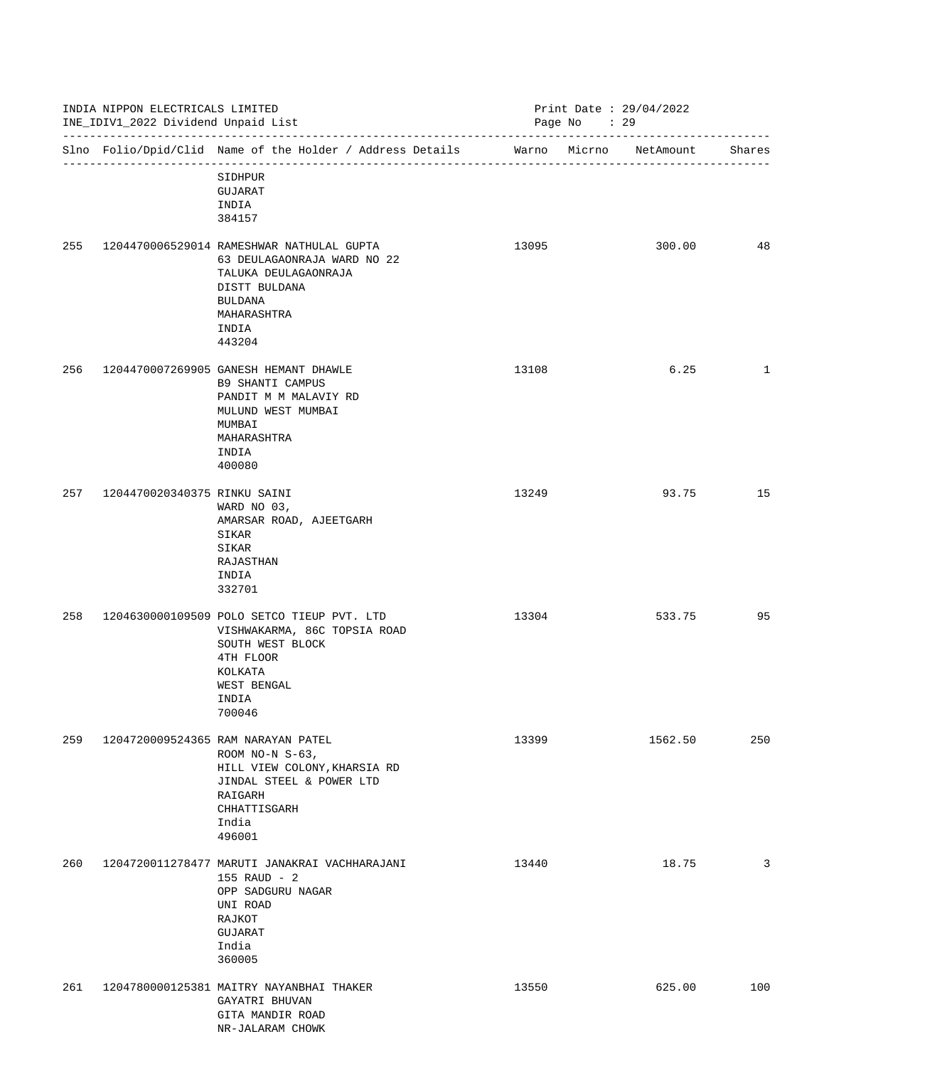|     | INDIA NIPPON ELECTRICALS LIMITED<br>INE_IDIV1_2022 Dividend Unpaid List<br>--------------------------------- |                                                                                                                                                                       | Print Date: 29/04/2022<br>Page No : 29 |         |              |
|-----|--------------------------------------------------------------------------------------------------------------|-----------------------------------------------------------------------------------------------------------------------------------------------------------------------|----------------------------------------|---------|--------------|
|     |                                                                                                              | Slno Folio/Dpid/Clid Name of the Holder / Address Details Marno Micrno NetAmount<br>SIDHPUR                                                                           |                                        |         | Shares       |
|     |                                                                                                              | GUJARAT<br>INDIA<br>384157                                                                                                                                            |                                        |         |              |
| 255 |                                                                                                              | 1204470006529014 RAMESHWAR NATHULAL GUPTA<br>63 DEULAGAONRAJA WARD NO 22<br>TALUKA DEULAGAONRAJA<br>DISTT BULDANA<br><b>BULDANA</b><br>MAHARASHTRA<br>INDIA<br>443204 | 13095                                  | 300.00  | 48           |
| 256 |                                                                                                              | 1204470007269905 GANESH HEMANT DHAWLE<br>B9 SHANTI CAMPUS<br>PANDIT M M MALAVIY RD<br>MULUND WEST MUMBAI<br>MUMBAI<br>MAHARASHTRA<br>INDIA<br>400080                  | 13108                                  | 6.25    | $\mathbf{1}$ |
| 257 | 1204470020340375 RINKU SAINI                                                                                 | WARD NO 03,<br>AMARSAR ROAD, AJEETGARH<br>SIKAR<br>SIKAR<br>RAJASTHAN<br>INDIA<br>332701                                                                              | 13249                                  | 93.75   | 15           |
| 258 |                                                                                                              | 1204630000109509 POLO SETCO TIEUP PVT. LTD<br>VISHWAKARMA, 86C TOPSIA ROAD<br>SOUTH WEST BLOCK<br>4TH FLOOR<br>KOLKATA<br>WEST BENGAL<br>INDIA<br>700046              | 13304                                  | 533.75  | 95           |
| 259 |                                                                                                              | 1204720009524365 RAM NARAYAN PATEL<br>ROOM NO-N $S-63$ ,<br>HILL VIEW COLONY, KHARSIA RD<br>JINDAL STEEL & POWER LTD<br>RAIGARH<br>CHHATTISGARH<br>India<br>496001    | 13399                                  | 1562.50 | 250          |
| 260 |                                                                                                              | 1204720011278477 MARUTI JANAKRAI VACHHARAJANI<br>155 RAUD - 2<br>OPP SADGURU NAGAR<br>UNI ROAD<br>RAJKOT<br>GUJARAT<br>India<br>360005                                | 13440                                  | 18.75   | 3            |
| 261 |                                                                                                              | 1204780000125381 MAITRY NAYANBHAI THAKER<br>GAYATRI BHUVAN<br>GITA MANDIR ROAD<br>NR-JALARAM CHOWK                                                                    | 13550                                  | 625.00  | 100          |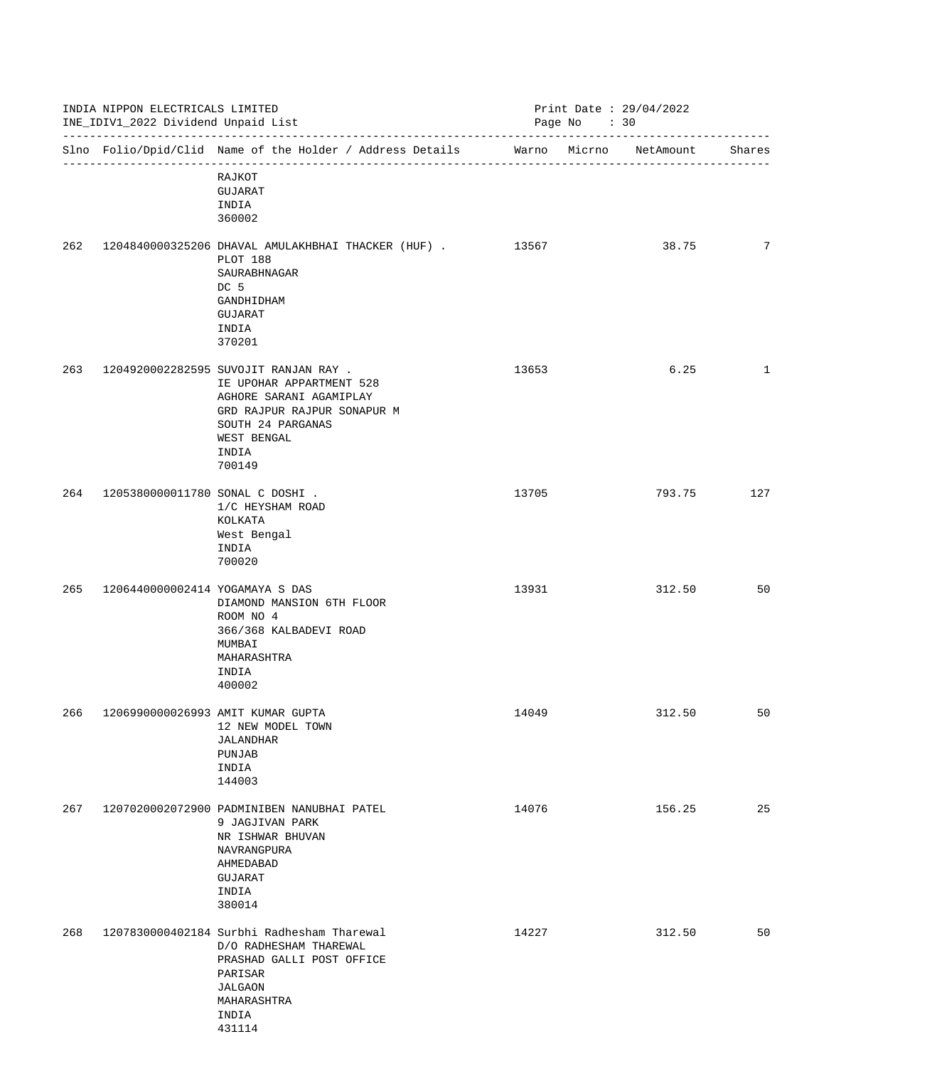|     | INDIA NIPPON ELECTRICALS LIMITED<br>INE_IDIV1_2022 Dividend Unpaid List<br>------------------------------- |                                                                                                                                                                                    |       | Print Date : $29/04/2022$<br>Page No : 30 |              |  |  |
|-----|------------------------------------------------------------------------------------------------------------|------------------------------------------------------------------------------------------------------------------------------------------------------------------------------------|-------|-------------------------------------------|--------------|--|--|
|     |                                                                                                            | Slno Folio/Dpid/Clid Name of the Holder / Address Details                                                                                                                          |       | Warno Micrno NetAmount                    | Shares       |  |  |
|     |                                                                                                            | RAJKOT<br>GUJARAT<br>INDIA<br>360002                                                                                                                                               |       |                                           |              |  |  |
| 262 |                                                                                                            | 1204840000325206 DHAVAL AMULAKHBHAI THACKER (HUF). 13567<br>PLOT 188<br>SAURABHNAGAR<br>DC 5<br>GANDHIDHAM<br>GUJARAT<br>INDIA<br>370201                                           |       | 38.75                                     | 7            |  |  |
| 263 |                                                                                                            | 1204920002282595 SUVOJIT RANJAN RAY .<br>IE UPOHAR APPARTMENT 528<br>AGHORE SARANI AGAMIPLAY<br>GRD RAJPUR RAJPUR SONAPUR M<br>SOUTH 24 PARGANAS<br>WEST BENGAL<br>INDIA<br>700149 | 13653 | 6.25                                      | $\mathbf{1}$ |  |  |
| 264 | 1205380000011780 SONAL C DOSHI .                                                                           | 1/C HEYSHAM ROAD<br>KOLKATA<br>West Bengal<br>INDIA<br>700020                                                                                                                      | 13705 | 793.75                                    | 127          |  |  |
| 265 | 1206440000002414 YOGAMAYA S DAS                                                                            | DIAMOND MANSION 6TH FLOOR<br>ROOM NO 4<br>366/368 KALBADEVI ROAD<br>MUMBAI<br>MAHARASHTRA<br>INDIA<br>400002                                                                       | 13931 | 312.50                                    | 50           |  |  |
| 266 |                                                                                                            | 1206990000026993 AMIT KUMAR GUPTA<br>12 NEW MODEL TOWN<br><b>JALANDHAR</b><br>PUNJAB<br>INDIA<br>144003                                                                            | 14049 | 312.50                                    | 50           |  |  |
| 267 |                                                                                                            | 1207020002072900 PADMINIBEN NANUBHAI PATEL<br>9 JAGJIVAN PARK<br>NR ISHWAR BHUVAN<br>NAVRANGPURA<br>AHMEDABAD<br>GUJARAT<br>INDIA<br>380014                                        | 14076 | 156.25                                    | 25           |  |  |
| 268 |                                                                                                            | 1207830000402184 Surbhi Radhesham Tharewal<br>D/O RADHESHAM THAREWAL<br>PRASHAD GALLI POST OFFICE<br>PARISAR<br><b>JALGAON</b><br>MAHARASHTRA<br>INDIA<br>431114                   | 14227 | 312.50                                    | 50           |  |  |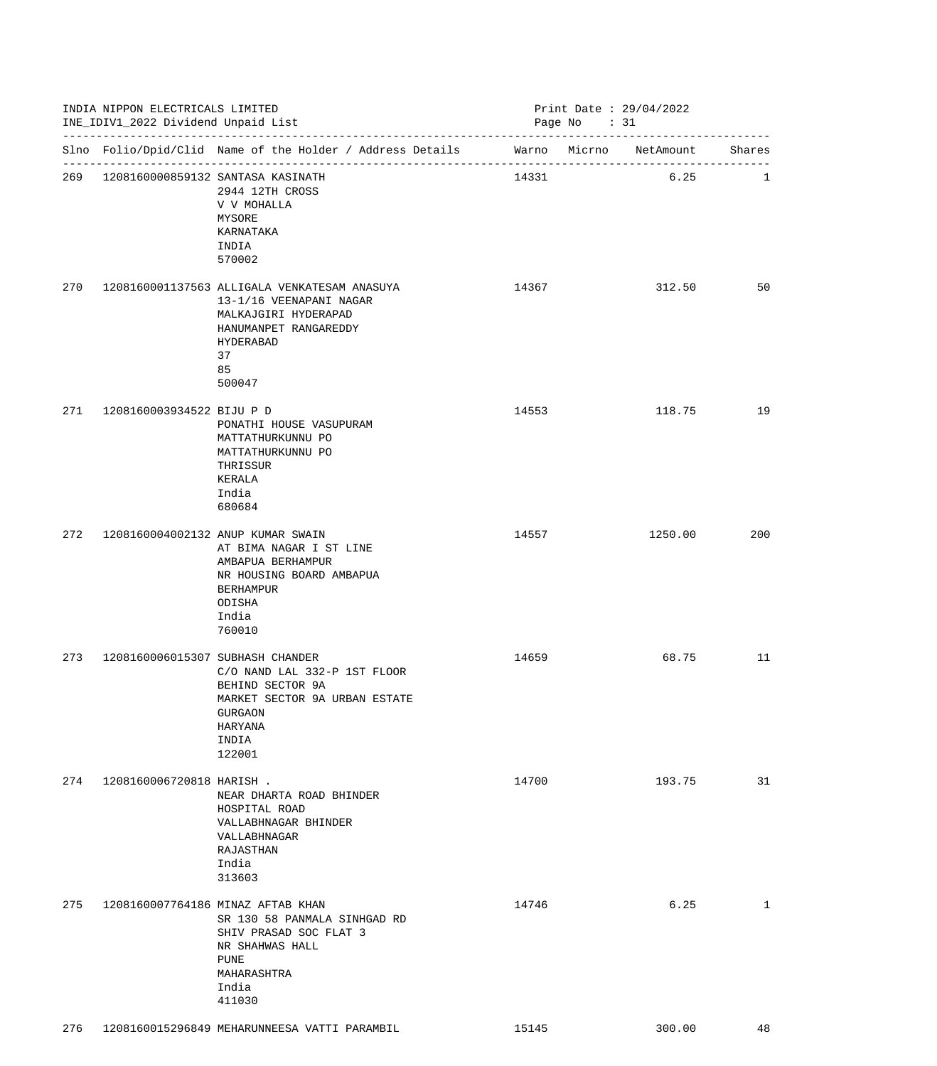|     | INDIA NIPPON ELECTRICALS LIMITED<br>INE_IDIV1_2022 Dividend Unpaid List |                                                                                                                                                                |       | Print Date: 29/04/2022<br>Page No : 31 |              |
|-----|-------------------------------------------------------------------------|----------------------------------------------------------------------------------------------------------------------------------------------------------------|-------|----------------------------------------|--------------|
|     |                                                                         | Slno Folio/Dpid/Clid Name of the Holder / Address Details Marno Micrno NetAmount Shares                                                                        |       |                                        |              |
|     |                                                                         | 269 1208160000859132 SANTASA KASINATH<br>2944 12TH CROSS<br>V V MOHALLA<br>MYSORE<br>KARNATAKA<br>INDIA<br>570002                                              | 14331 | 6.25                                   | 1            |
| 270 |                                                                         | 1208160001137563 ALLIGALA VENKATESAM ANASUYA<br>13-1/16 VEENAPANI NAGAR<br>MALKAJGIRI HYDERAPAD<br>HANUMANPET RANGAREDDY<br>HYDERABAD<br>37<br>85<br>500047    | 14367 | 312.50                                 | 50           |
| 271 | 1208160003934522 BIJU P D                                               | PONATHI HOUSE VASUPURAM<br>MATTATHURKUNNU PO<br>MATTATHURKUNNU PO<br>THRISSUR<br>KERALA<br>India<br>680684                                                     | 14553 | 118.75                                 | 19           |
| 272 |                                                                         | 1208160004002132 ANUP KUMAR SWAIN<br>AT BIMA NAGAR I ST LINE<br>AMBAPUA BERHAMPUR<br>NR HOUSING BOARD AMBAPUA<br><b>BERHAMPUR</b><br>ODISHA<br>India<br>760010 | 14557 | 1250.00                                | 200          |
| 273 | 1208160006015307 SUBHASH CHANDER                                        | C/O NAND LAL 332-P 1ST FLOOR<br>BEHIND SECTOR 9A<br>MARKET SECTOR 9A URBAN ESTATE<br><b>GURGAON</b><br>HARYANA<br>INDIA<br>122001                              | 14659 | 68.75                                  | $11\,$       |
| 274 | 1208160006720818 HARISH .                                               | NEAR DHARTA ROAD BHINDER<br>HOSPITAL ROAD<br>VALLABHNAGAR BHINDER<br>VALLABHNAGAR<br>RAJASTHAN<br>India<br>313603                                              | 14700 | 193.75                                 | 31           |
| 275 |                                                                         | 1208160007764186 MINAZ AFTAB KHAN<br>SR 130 58 PANMALA SINHGAD RD<br>SHIV PRASAD SOC FLAT 3<br>NR SHAHWAS HALL<br>PUNE<br>MAHARASHTRA<br>India<br>411030       | 14746 | 6.25                                   | $\mathbf{1}$ |
| 276 |                                                                         | 1208160015296849 MEHARUNNEESA VATTI PARAMBIL                                                                                                                   | 15145 | 300.00                                 | 48           |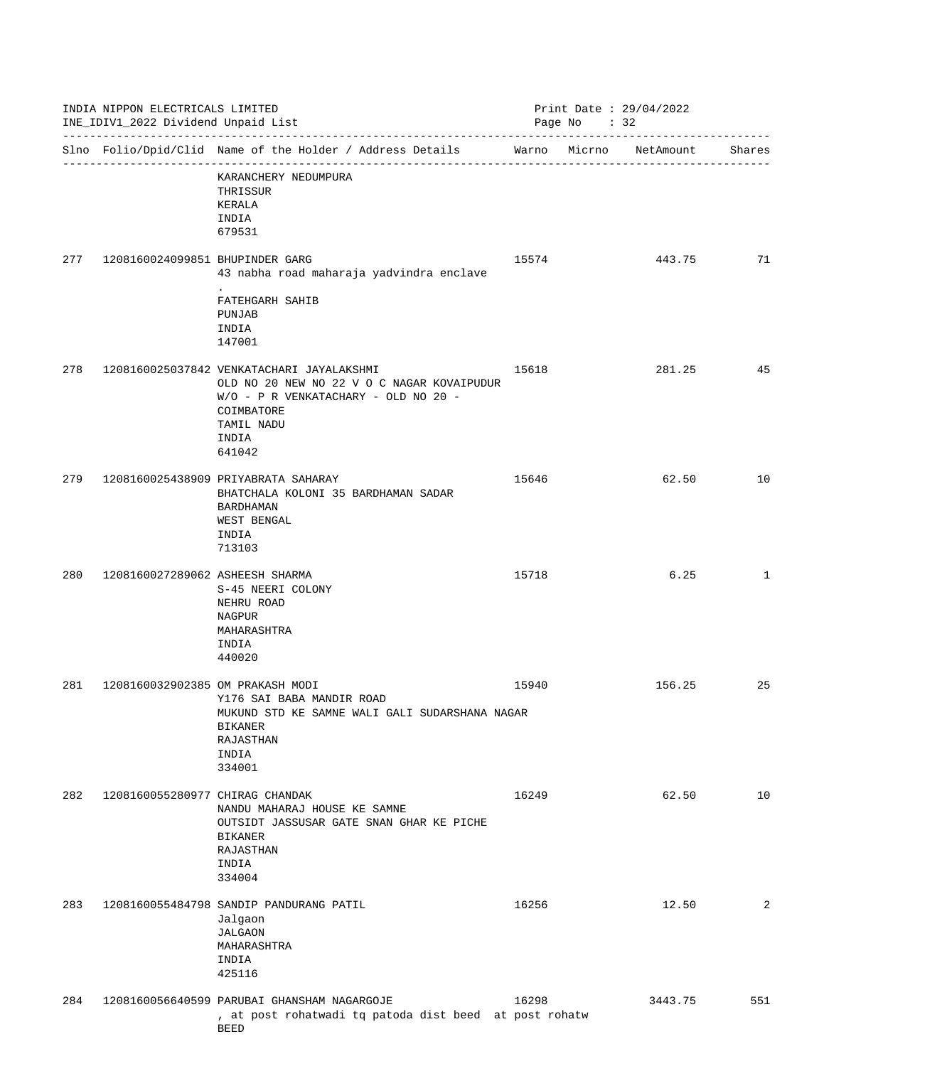|     | INDIA NIPPON ELECTRICALS LIMITED<br>INE_IDIV1_2022 Dividend Unpaid List<br>__________________________________ |                                                                                                                                                                                |       | Print Date: 29/04/2022<br>Page No : 32 |         |              |  |
|-----|---------------------------------------------------------------------------------------------------------------|--------------------------------------------------------------------------------------------------------------------------------------------------------------------------------|-------|----------------------------------------|---------|--------------|--|
|     |                                                                                                               | Slno Folio/Dpid/Clid Name of the Holder / Address Details Marno Micrno NetAmount                                                                                               |       |                                        |         | Shares       |  |
|     |                                                                                                               | KARANCHERY NEDUMPURA<br>THRISSUR<br>KERALA<br>INDIA<br>679531                                                                                                                  |       |                                        |         |              |  |
| 277 | 1208160024099851 BHUPINDER GARG                                                                               | 43 nabha road maharaja yadvindra enclave                                                                                                                                       | 15574 |                                        | 443.75  | 71           |  |
|     |                                                                                                               | FATEHGARH SAHIB<br>PUNJAB<br>INDIA<br>147001                                                                                                                                   |       |                                        |         |              |  |
| 278 |                                                                                                               | 1208160025037842 VENKATACHARI JAYALAKSHMI<br>OLD NO 20 NEW NO 22 V O C NAGAR KOVAIPUDUR<br>W/O - P R VENKATACHARY - OLD NO 20 -<br>COIMBATORE<br>TAMIL NADU<br>INDIA<br>641042 | 15618 |                                        | 281.25  | 45           |  |
| 279 |                                                                                                               | 1208160025438909 PRIYABRATA SAHARAY<br>BHATCHALA KOLONI 35 BARDHAMAN SADAR<br><b>BARDHAMAN</b><br>WEST BENGAL<br>INDIA<br>713103                                               | 15646 |                                        | 62.50   | 10           |  |
| 280 | 1208160027289062 ASHEESH SHARMA                                                                               | S-45 NEERI COLONY<br>NEHRU ROAD<br>NAGPUR<br>MAHARASHTRA<br>INDIA<br>440020                                                                                                    | 15718 |                                        | 6.25    | $\mathbf{1}$ |  |
| 281 | 1208160032902385 OM PRAKASH MODI                                                                              | Y176 SAI BABA MANDIR ROAD<br>MUKUND STD KE SAMNE WALI GALI SUDARSHANA NAGAR<br><b>BIKANER</b><br><b>RAJASTHAN</b><br>INDIA<br>334001                                           | 15940 |                                        | 156.25  | 25           |  |
| 282 | 1208160055280977 CHIRAG CHANDAK                                                                               | NANDU MAHARAJ HOUSE KE SAMNE<br>OUTSIDT JASSUSAR GATE SNAN GHAR KE PICHE<br><b>BIKANER</b><br>RAJASTHAN<br>INDIA<br>334004                                                     | 16249 |                                        | 62.50   | 10           |  |
| 283 |                                                                                                               | 1208160055484798 SANDIP PANDURANG PATIL<br>Jalgaon<br><b>JALGAON</b><br>MAHARASHTRA<br>INDIA<br>425116                                                                         | 16256 |                                        | 12.50   | 2            |  |
| 284 |                                                                                                               | 1208160056640599 PARUBAI GHANSHAM NAGARGOJE<br>, at post rohatwadi tq patoda dist beed at post rohatw<br><b>BEED</b>                                                           | 16298 |                                        | 3443.75 | 551          |  |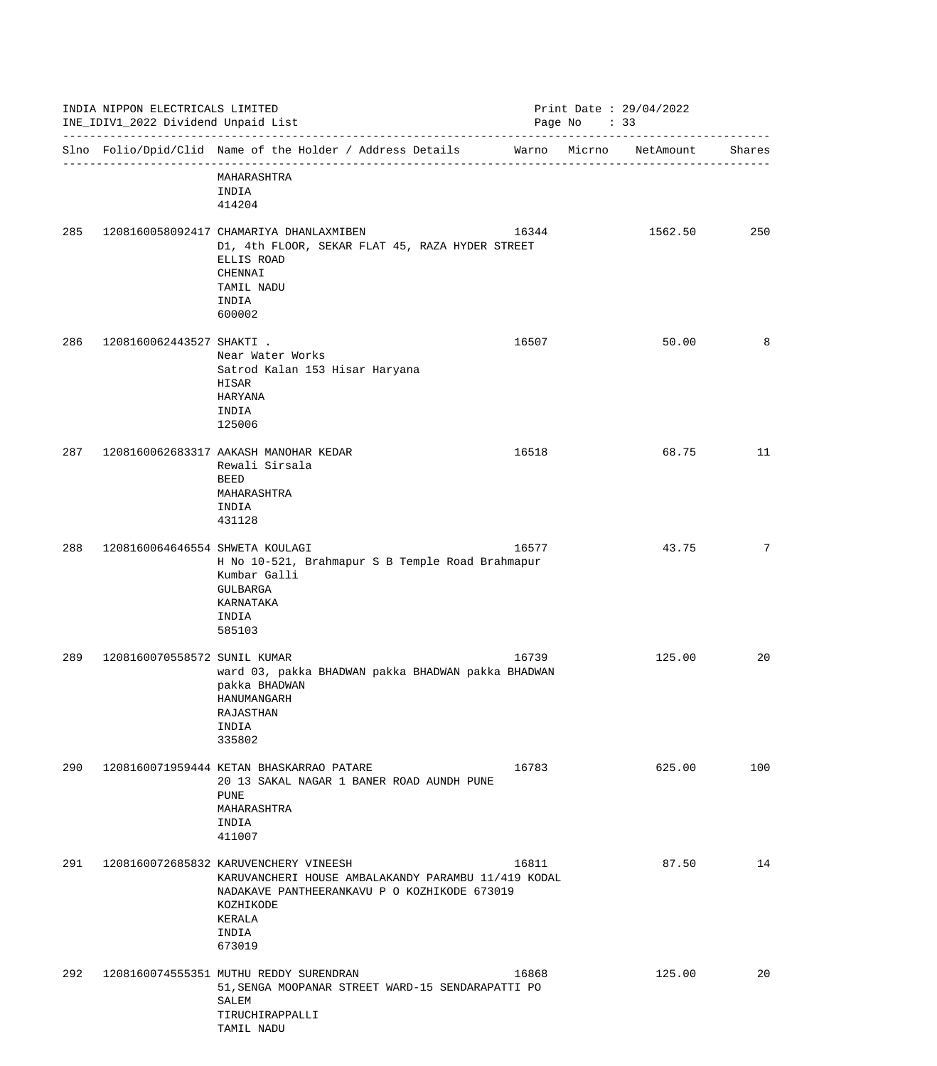| INDIA NIPPON ELECTRICALS LIMITED<br>INE_IDIV1_2022 Dividend Unpaid List |                                 | Print Date : $29/04/2022$<br>Page No : 33                                                                                                                                              |       |  |           |        |
|-------------------------------------------------------------------------|---------------------------------|----------------------------------------------------------------------------------------------------------------------------------------------------------------------------------------|-------|--|-----------|--------|
|                                                                         |                                 | Slno Folio/Dpid/Clid Name of the Holder / Address Details Warno Micrno                                                                                                                 |       |  | NetAmount | Shares |
|                                                                         |                                 | MAHARASHTRA<br>INDIA<br>414204                                                                                                                                                         |       |  |           |        |
| 285                                                                     |                                 | 1208160058092417 CHAMARIYA DHANLAXMIBEN<br>D1, 4th FLOOR, SEKAR FLAT 45, RAZA HYDER STREET<br>ELLIS ROAD<br>CHENNAI<br>TAMIL NADU<br>INDIA<br>600002                                   | 16344 |  | 1562.50   | 250    |
| 286                                                                     | 1208160062443527 SHAKTI .       | Near Water Works<br>Satrod Kalan 153 Hisar Haryana<br>HISAR<br>HARYANA<br>INDIA<br>125006                                                                                              | 16507 |  | 50.00     | 8      |
| 287                                                                     |                                 | 1208160062683317 AAKASH MANOHAR KEDAR<br>Rewali Sirsala<br><b>BEED</b><br>MAHARASHTRA<br>INDIA<br>431128                                                                               | 16518 |  | 68.75     | 11     |
| 288                                                                     | 1208160064646554 SHWETA KOULAGI | H No 10-521, Brahmapur S B Temple Road Brahmapur<br>Kumbar Galli<br>GULBARGA<br>KARNATAKA<br>INDIA<br>585103                                                                           | 16577 |  | 43.75     | 7      |
| 289                                                                     | 1208160070558572 SUNIL KUMAR    | ward 03, pakka BHADWAN pakka BHADWAN pakka BHADWAN<br>pakka BHADWAN<br>HANUMANGARH<br>RAJASTHAN<br>INDIA<br>335802                                                                     | 16739 |  | 125.00    | 20     |
| 290                                                                     |                                 | 1208160071959444 KETAN BHASKARRAO PATARE<br>20 13 SAKAL NAGAR 1 BANER ROAD AUNDH PUNE<br>PUNE<br>MAHARASHTRA<br>INDIA<br>411007                                                        | 16783 |  | 625.00    | 100    |
| 291                                                                     |                                 | 1208160072685832 KARUVENCHERY VINEESH<br>KARUVANCHERI HOUSE AMBALAKANDY PARAMBU 11/419 KODAL<br>NADAKAVE PANTHEERANKAVU P O KOZHIKODE 673019<br>KOZHIKODE<br>KERALA<br>INDIA<br>673019 | 16811 |  | 87.50     | 14     |
| 292                                                                     |                                 | 1208160074555351 MUTHU REDDY SURENDRAN<br>51, SENGA MOOPANAR STREET WARD-15 SENDARAPATTI PO<br>SALEM<br>TIRUCHIRAPPALLI<br>TAMIL NADU                                                  | 16868 |  | 125.00    | 20     |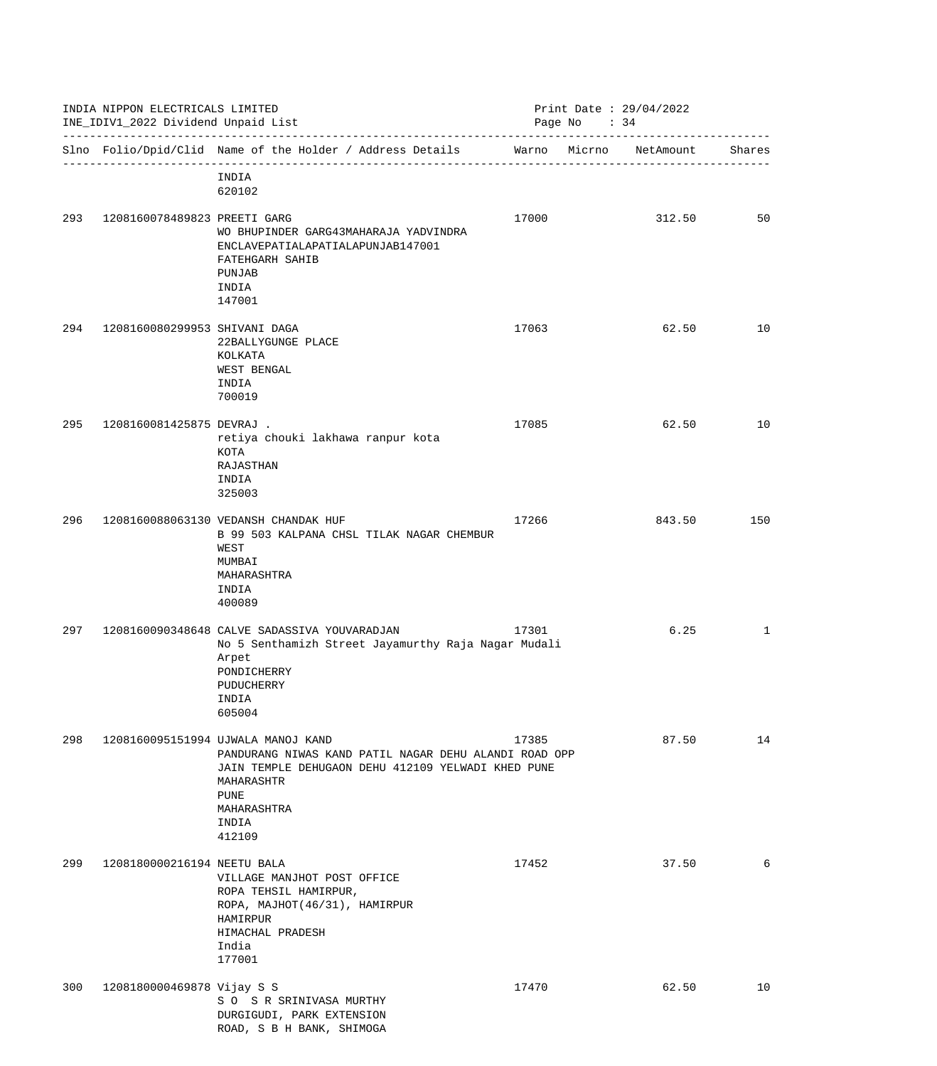| INDIA NIPPON ELECTRICALS LIMITED<br>INE_IDIV1_2022 Dividend Unpaid List |                               |                                                                                                                                                                                                                  | Print Date : $29/04/2022$<br>Page No : 34 |        |           |              |  |
|-------------------------------------------------------------------------|-------------------------------|------------------------------------------------------------------------------------------------------------------------------------------------------------------------------------------------------------------|-------------------------------------------|--------|-----------|--------------|--|
|                                                                         |                               | Slno Folio/Dpid/Clid Name of the Holder / Address Details Warno                                                                                                                                                  |                                           | Micrno | NetAmount | Shares       |  |
|                                                                         |                               | INDIA<br>620102                                                                                                                                                                                                  |                                           |        |           |              |  |
| 293                                                                     | 1208160078489823 PREETI GARG  | WO BHUPINDER GARG43MAHARAJA YADVINDRA<br>ENCLAVEPATIALAPATIALAPUNJAB147001<br>FATEHGARH SAHIB<br>PUNJAB<br>INDIA<br>147001                                                                                       | 17000                                     |        | 312.50    | 50           |  |
| 294                                                                     | 1208160080299953 SHIVANI DAGA | 22BALLYGUNGE PLACE<br>KOLKATA<br>WEST BENGAL<br>INDIA<br>700019                                                                                                                                                  | 17063                                     |        | 62.50     | 10           |  |
| 295                                                                     | 1208160081425875 DEVRAJ .     | retiya chouki lakhawa ranpur kota<br><b>KOTA</b><br><b>RAJASTHAN</b><br>INDIA<br>325003                                                                                                                          | 17085                                     |        | 62.50     | 10           |  |
| 296                                                                     |                               | 1208160088063130 VEDANSH CHANDAK HUF<br>B 99 503 KALPANA CHSL TILAK NAGAR CHEMBUR<br>WEST<br>MUMBAI<br>MAHARASHTRA<br>INDIA<br>400089                                                                            | 17266                                     |        | 843.50    | 150          |  |
| 297                                                                     |                               | 1208160090348648 CALVE SADASSIVA YOUVARADJAN<br>No 5 Senthamizh Street Jayamurthy Raja Nagar Mudali<br>Arpet<br>PONDICHERRY<br>PUDUCHERRY<br>INDIA<br>605004                                                     | 17301                                     |        | 6.25      | $\mathbf{1}$ |  |
| 298                                                                     |                               | 1208160095151994 UJWALA MANOJ KAND<br>PANDURANG NIWAS KAND PATIL NAGAR DEHU ALANDI ROAD OPP<br>JAIN TEMPLE DEHUGAON DEHU 412109 YELWADI KHED PUNE<br>MAHARASHTR<br><b>PUNE</b><br>MAHARASHTRA<br>INDIA<br>412109 | 17385                                     |        | 87.50     | 14           |  |
| 299                                                                     | 1208180000216194 NEETU BALA   | VILLAGE MANJHOT POST OFFICE<br>ROPA TEHSIL HAMIRPUR,<br>ROPA, MAJHOT (46/31), HAMIRPUR<br>HAMIRPUR<br>HIMACHAL PRADESH<br>India<br>177001                                                                        | 17452                                     |        | 37.50     | 6            |  |
| 300                                                                     | 1208180000469878 Vijay S S    | S O S R SRINIVASA MURTHY<br>DURGIGUDI, PARK EXTENSION<br>ROAD, S B H BANK, SHIMOGA                                                                                                                               | 17470                                     |        | 62.50     | 10           |  |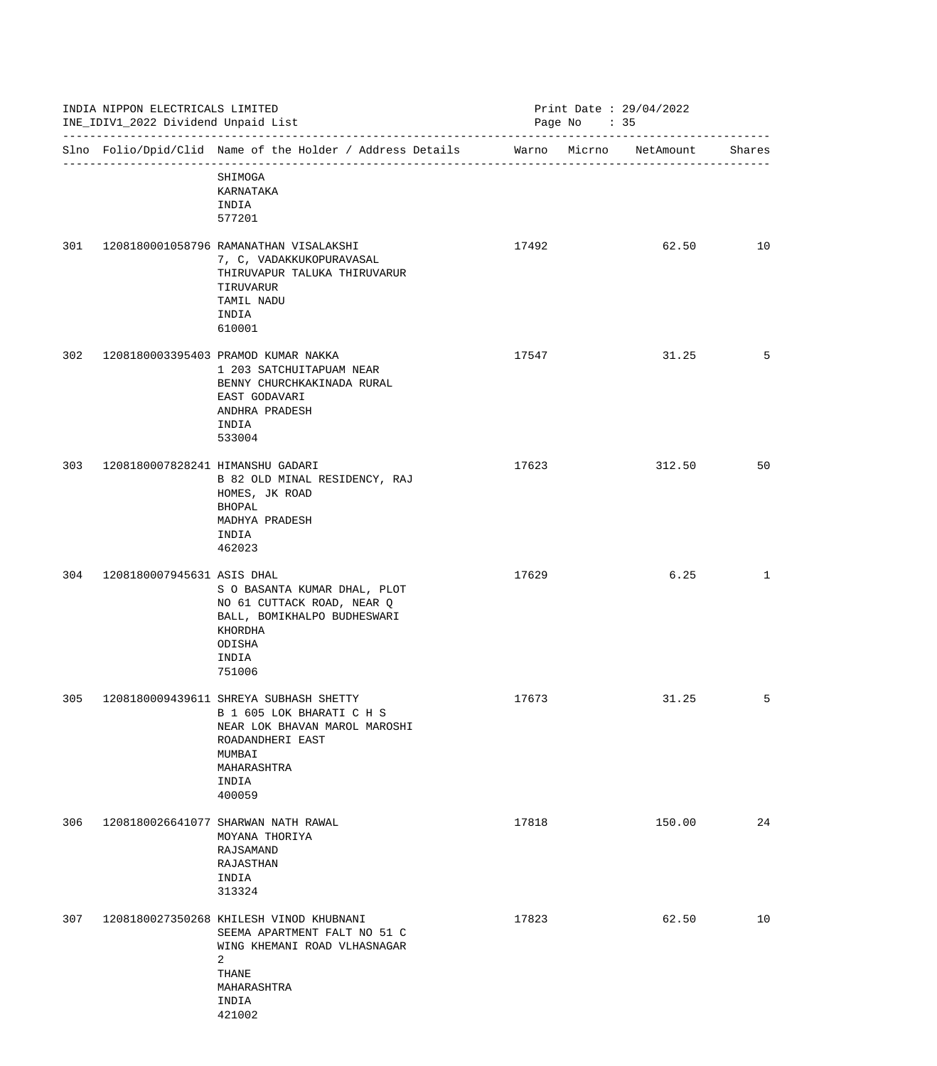|     | INDIA NIPPON ELECTRICALS LIMITED<br>INE_IDIV1_2022 Dividend Unpaid List<br>-------------------------------- |                                                                                                                                                                      |       | Print Date: 29/04/2022<br>Page No : 35 |        |  |
|-----|-------------------------------------------------------------------------------------------------------------|----------------------------------------------------------------------------------------------------------------------------------------------------------------------|-------|----------------------------------------|--------|--|
|     |                                                                                                             | Slno Folio/Dpid/Clid Name of the Holder / Address Details                                                                                                            |       | Warno Micrno NetAmount                 | Shares |  |
|     |                                                                                                             | SHIMOGA<br>KARNATAKA<br>INDIA<br>577201                                                                                                                              |       |                                        |        |  |
| 301 |                                                                                                             | 1208180001058796 RAMANATHAN VISALAKSHI<br>7, C, VADAKKUKOPURAVASAL<br>THIRUVAPUR TALUKA THIRUVARUR<br>TIRUVARUR<br>TAMIL NADU<br>INDIA<br>610001                     | 17492 | 62.50                                  | 10     |  |
| 302 |                                                                                                             | 1208180003395403 PRAMOD KUMAR NAKKA<br>1 203 SATCHUITAPUAM NEAR<br>BENNY CHURCHKAKINADA RURAL<br>EAST GODAVARI<br>ANDHRA PRADESH<br>INDIA<br>533004                  | 17547 | 31.25                                  | 5      |  |
| 303 | 1208180007828241 HIMANSHU GADARI                                                                            | B 82 OLD MINAL RESIDENCY, RAJ<br>HOMES, JK ROAD<br>BHOPAL<br>MADHYA PRADESH<br>INDIA<br>462023                                                                       | 17623 | 312.50                                 | 50     |  |
| 304 | 1208180007945631 ASIS DHAL                                                                                  | S O BASANTA KUMAR DHAL, PLOT<br>NO 61 CUTTACK ROAD, NEAR Q<br>BALL, BOMIKHALPO BUDHESWARI<br>KHORDHA<br>ODISHA<br>INDIA<br>751006                                    | 17629 | 6.25                                   | 1      |  |
| 305 |                                                                                                             | 1208180009439611 SHREYA SUBHASH SHETTY<br>B 1 605 LOK BHARATI C H S<br>NEAR LOK BHAVAN MAROL MAROSHI<br>ROADANDHERI EAST<br>MUMBAI<br>MAHARASHTRA<br>INDIA<br>400059 | 17673 | 31.25                                  | 5      |  |
| 306 |                                                                                                             | 1208180026641077 SHARWAN NATH RAWAL<br>MOYANA THORIYA<br>RAJSAMAND<br>RAJASTHAN<br>INDIA<br>313324                                                                   | 17818 | 150.00                                 | 24     |  |
| 307 |                                                                                                             | 1208180027350268 KHILESH VINOD KHUBNANI<br>SEEMA APARTMENT FALT NO 51 C<br>WING KHEMANI ROAD VLHASNAGAR<br>2<br>THANE<br>MAHARASHTRA<br>INDIA<br>421002              | 17823 | 62.50                                  | 10     |  |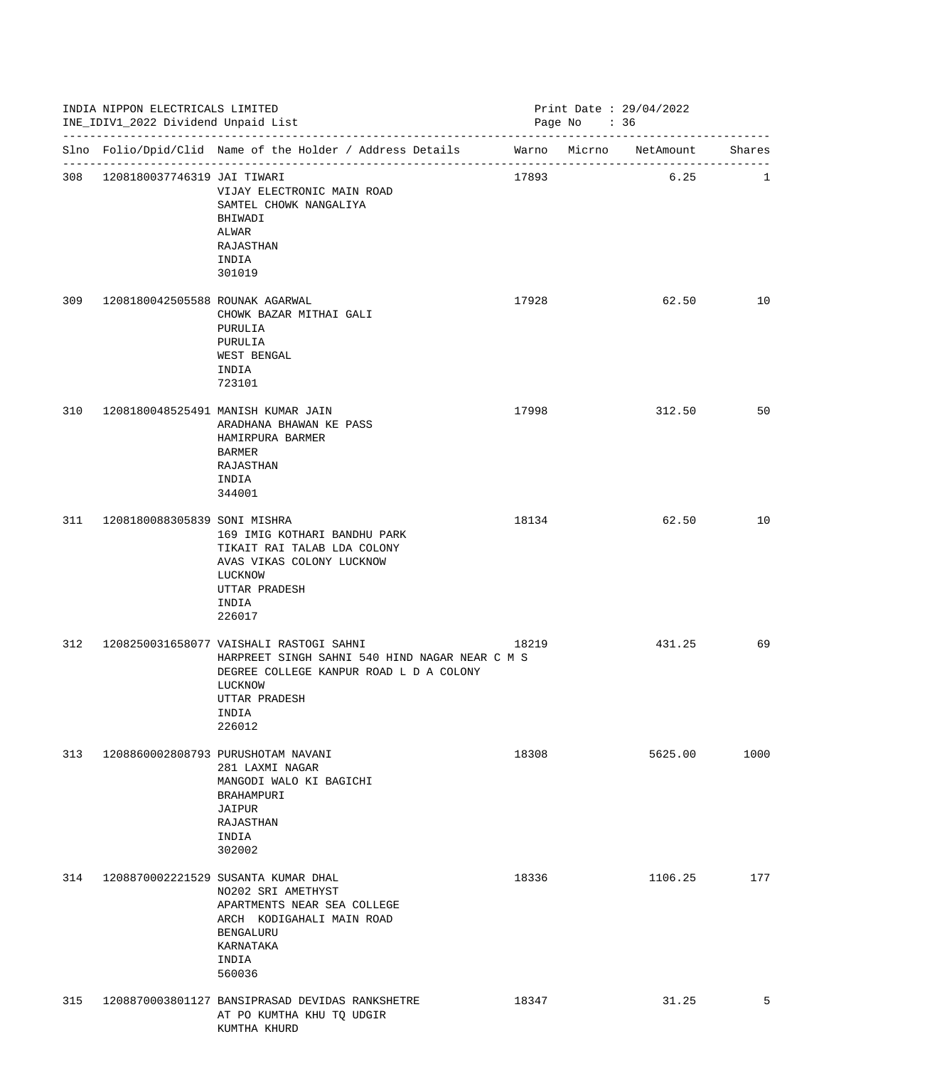|     | INDIA NIPPON ELECTRICALS LIMITED<br>INE_IDIV1_2022 Dividend Unpaid List |                                                                                                                                                                                     |       | Print Date: 29/04/2022<br>Page No : 36 |         |      |
|-----|-------------------------------------------------------------------------|-------------------------------------------------------------------------------------------------------------------------------------------------------------------------------------|-------|----------------------------------------|---------|------|
|     |                                                                         | Slno Folio/Dpid/Clid Name of the Holder / Address Details Marno Micrno NetAmount Shares                                                                                             |       |                                        |         |      |
|     | 308 1208180037746319 JAI TIWARI                                         | VIJAY ELECTRONIC MAIN ROAD<br>SAMTEL CHOWK NANGALIYA<br>BHIWADI<br>ALWAR<br>RAJASTHAN<br>INDIA<br>301019                                                                            | 17893 |                                        | 6.25    | 1    |
| 309 | 1208180042505588 ROUNAK AGARWAL                                         | CHOWK BAZAR MITHAI GALI<br>PURULIA<br>PURULIA<br>WEST BENGAL<br>INDIA<br>723101                                                                                                     | 17928 |                                        | 62.50   | 10   |
| 310 |                                                                         | 1208180048525491 MANISH KUMAR JAIN<br>ARADHANA BHAWAN KE PASS<br>HAMIRPURA BARMER<br>BARMER<br>RAJASTHAN<br>INDIA<br>344001                                                         | 17998 |                                        | 312.50  | 50   |
| 311 | 1208180088305839 SONI MISHRA                                            | 169 IMIG KOTHARI BANDHU PARK<br>TIKAIT RAI TALAB LDA COLONY<br>AVAS VIKAS COLONY LUCKNOW<br>LUCKNOW<br>UTTAR PRADESH<br>INDIA<br>226017                                             | 18134 |                                        | 62.50   | 10   |
| 312 |                                                                         | 1208250031658077 VAISHALI RASTOGI SAHNI<br>HARPREET SINGH SAHNI 540 HIND NAGAR NEAR C M S<br>DEGREE COLLEGE KANPUR ROAD L D A COLONY<br>LUCKNOW<br>UTTAR PRADESH<br>INDIA<br>226012 | 18219 |                                        | 431.25  | 69   |
| 313 |                                                                         | 1208860002808793 PURUSHOTAM NAVANI<br>281 LAXMI NAGAR<br>MANGODI WALO KI BAGICHI<br>BRAHAMPURI<br>JAIPUR<br>RAJASTHAN<br>INDIA<br>302002                                            | 18308 |                                        | 5625.00 | 1000 |
| 314 |                                                                         | 1208870002221529 SUSANTA KUMAR DHAL<br>NO202 SRI AMETHYST<br>APARTMENTS NEAR SEA COLLEGE<br>ARCH KODIGAHALI MAIN ROAD<br>BENGALURU<br>KARNATAKA<br>INDIA<br>560036                  | 18336 |                                        | 1106.25 | 177  |
| 315 |                                                                         | 1208870003801127 BANSIPRASAD DEVIDAS RANKSHETRE<br>AT PO KUMTHA KHU TQ UDGIR<br>KUMTHA KHURD                                                                                        | 18347 |                                        | 31.25   | 5    |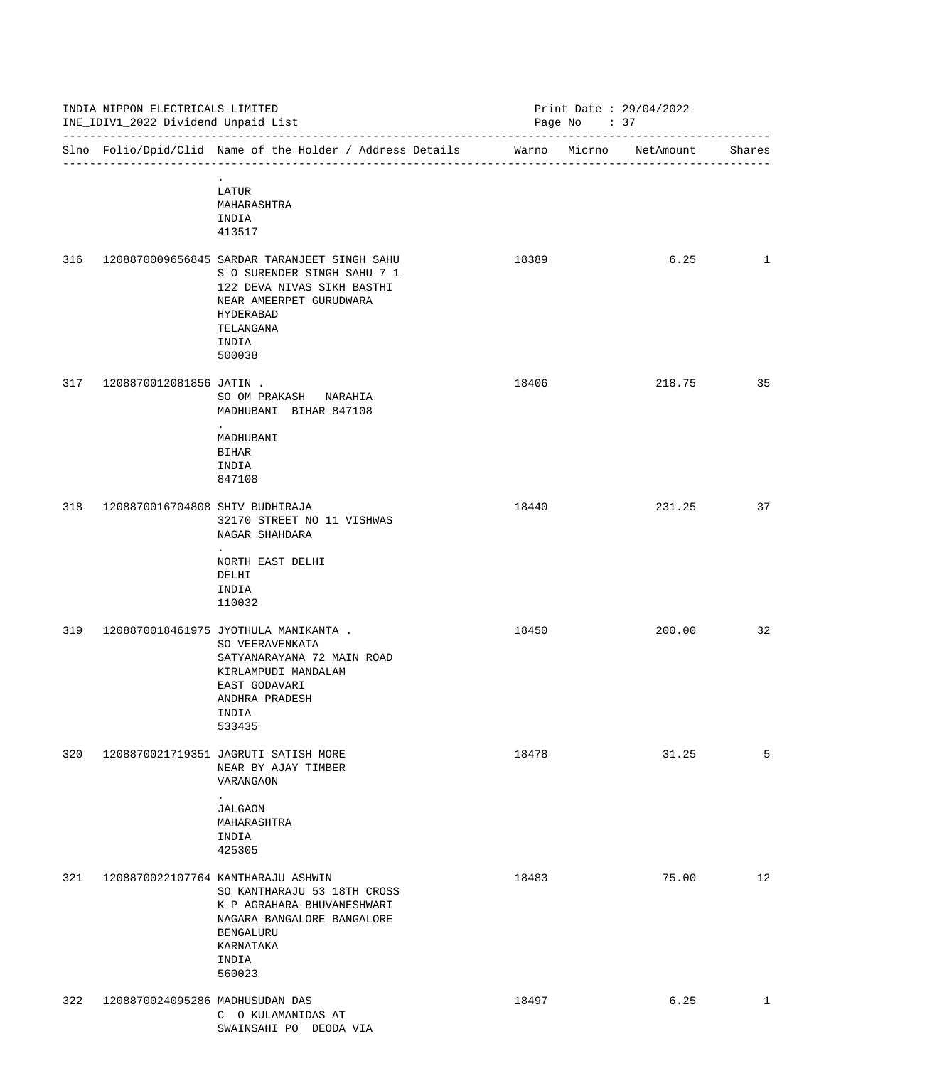| INDIA NIPPON ELECTRICALS LIMITED<br>INE_IDIV1_2022 Dividend Unpaid List<br>--------------------------------- |                                 |                                                                                                                                                                                   | Print Date : $29/04/2022$<br>Page No : 37 |  |        |              |
|--------------------------------------------------------------------------------------------------------------|---------------------------------|-----------------------------------------------------------------------------------------------------------------------------------------------------------------------------------|-------------------------------------------|--|--------|--------------|
|                                                                                                              |                                 | Slno Folio/Dpid/Clid Name of the Holder / Address Details Marno Micrno NetAmount                                                                                                  |                                           |  |        | Shares       |
|                                                                                                              |                                 | LATUR<br>MAHARASHTRA<br>INDIA<br>413517                                                                                                                                           |                                           |  |        |              |
| 316                                                                                                          |                                 | 1208870009656845 SARDAR TARANJEET SINGH SAHU<br>S O SURENDER SINGH SAHU 7 1<br>122 DEVA NIVAS SIKH BASTHI<br>NEAR AMEERPET GURUDWARA<br>HYDERABAD<br>TELANGANA<br>INDIA<br>500038 | 18389                                     |  | 6.25   | $\mathbf{1}$ |
| 317                                                                                                          | 1208870012081856 JATIN .        | SO OM PRAKASH NARAHIA<br>MADHUBANI BIHAR 847108<br>MADHUBANI<br><b>BIHAR</b><br>INDIA<br>847108                                                                                   | 18406                                     |  | 218.75 | 35           |
| 318                                                                                                          | 1208870016704808 SHIV BUDHIRAJA | 32170 STREET NO 11 VISHWAS<br>NAGAR SHAHDARA<br>NORTH EAST DELHI<br>DELHI<br>INDIA<br>110032                                                                                      | 18440                                     |  | 231.25 | 37           |
| 319                                                                                                          |                                 | 1208870018461975 JYOTHULA MANIKANTA .<br>SO VEERAVENKATA<br>SATYANARAYANA 72 MAIN ROAD<br>KIRLAMPUDI MANDALAM<br>EAST GODAVARI<br>ANDHRA PRADESH<br>INDIA<br>533435               | 18450                                     |  | 200.00 | 32           |
| 320                                                                                                          |                                 | 1208870021719351 JAGRUTI SATISH MORE<br>NEAR BY AJAY TIMBER<br>VARANGAON<br><b>JALGAON</b><br>MAHARASHTRA<br>INDIA<br>425305                                                      | 18478                                     |  | 31.25  | 5            |
| 321                                                                                                          |                                 | 1208870022107764 KANTHARAJU ASHWIN<br>SO KANTHARAJU 53 18TH CROSS<br>K P AGRAHARA BHUVANESHWARI<br>NAGARA BANGALORE BANGALORE<br>BENGALURU<br>KARNATAKA<br>INDIA<br>560023        | 18483                                     |  | 75.00  | 12           |
| 322                                                                                                          | 1208870024095286 MADHUSUDAN DAS | C O KULAMANIDAS AT<br>SWAINSAHI PO DEODA VIA                                                                                                                                      | 18497                                     |  | 6.25   | $\mathbf{1}$ |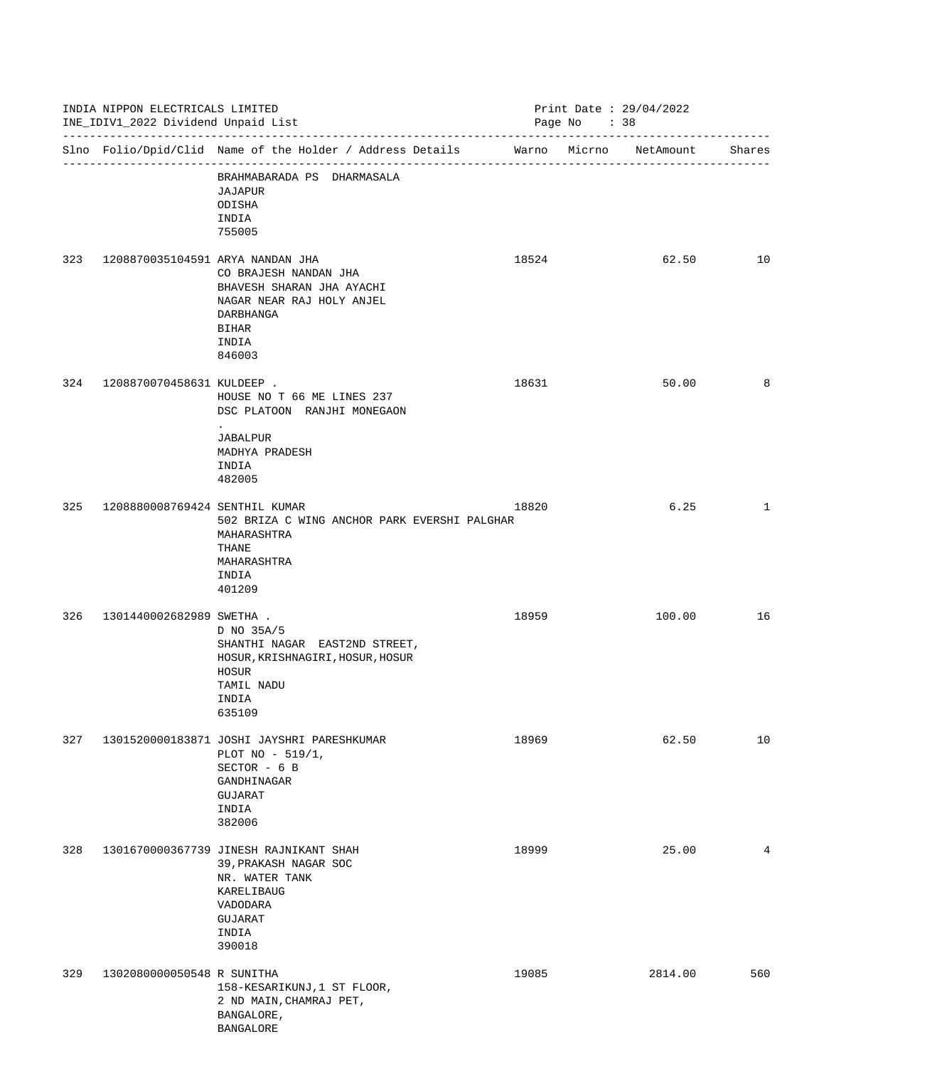| INDIA NIPPON ELECTRICALS LIMITED<br>INE_IDIV1_2022 Dividend Unpaid List<br>------------------------------- |                                  | Print Date : $29/04/2022$<br>Page No : 38                                                                                                 |       |  |                         |        |
|------------------------------------------------------------------------------------------------------------|----------------------------------|-------------------------------------------------------------------------------------------------------------------------------------------|-------|--|-------------------------|--------|
|                                                                                                            |                                  | Slno Folio/Dpid/Clid Name of the Holder / Address Details Marno Micrno NetAmount                                                          |       |  | ----------------------- | Shares |
|                                                                                                            |                                  | BRAHMABARADA PS DHARMASALA<br>JAJAPUR<br>ODISHA<br>INDIA<br>755005                                                                        |       |  |                         |        |
| 323                                                                                                        | 1208870035104591 ARYA NANDAN JHA | CO BRAJESH NANDAN JHA<br>BHAVESH SHARAN JHA AYACHI<br>NAGAR NEAR RAJ HOLY ANJEL<br>DARBHANGA<br><b>BIHAR</b><br>INDIA<br>846003           | 18524 |  | 62.50                   | 10     |
| 324                                                                                                        | 1208870070458631 KULDEEP .       | HOUSE NO T 66 ME LINES 237<br>DSC PLATOON RANJHI MONEGAON<br>JABALPUR<br>MADHYA PRADESH<br>INDIA<br>482005                                | 18631 |  | 50.00                   | 8      |
| 325                                                                                                        | 1208880008769424 SENTHIL KUMAR   | 502 BRIZA C WING ANCHOR PARK EVERSHI PALGHAR<br>MAHARASHTRA<br>THANE<br>MAHARASHTRA<br>INDIA<br>401209                                    | 18820 |  | 6.25                    | 1      |
| 326                                                                                                        | 1301440002682989 SWETHA .        | D NO 35A/5<br>SHANTHI NAGAR EAST2ND STREET,<br>HOSUR, KRISHNAGIRI, HOSUR, HOSUR<br>HOSUR<br>TAMIL NADU<br>INDIA<br>635109                 | 18959 |  | 100.00                  | 16     |
| 327                                                                                                        |                                  | 1301520000183871 JOSHI JAYSHRI PARESHKUMAR<br>PLOT NO - 519/1,<br>SECTOR - 6 B<br>GANDHINAGAR<br><b>GUJARAT</b><br>INDIA<br>382006        | 18969 |  | 62.50                   | 10     |
| 328                                                                                                        |                                  | 1301670000367739 JINESH RAJNIKANT SHAH<br>39, PRAKASH NAGAR SOC<br>NR. WATER TANK<br>KARELIBAUG<br>VADODARA<br>GUJARAT<br>INDIA<br>390018 | 18999 |  | 25.00                   | 4      |
| 329                                                                                                        | 1302080000050548 R SUNITHA       | 158-KESARIKUNJ, 1 ST FLOOR,<br>2 ND MAIN, CHAMRAJ PET,<br>BANGALORE,<br><b>BANGALORE</b>                                                  | 19085 |  | 2814.00                 | 560    |